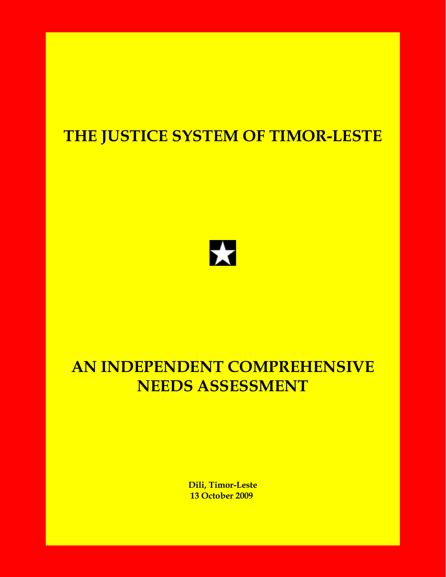# **THE JUSTICE SYSTEM OF TIMOR-LESTE**



# **AN INDEPENDENT COMPREHENSIVE NEEDS ASSESSMENT**

 **Dili, Timor-Leste 13 October 2009**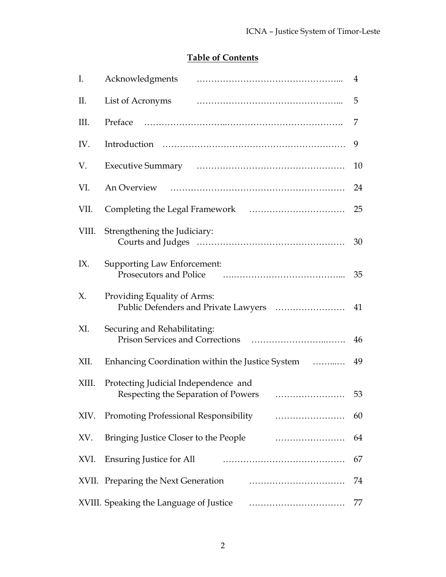# **Table of Contents**

| I.    |                                                                             | 4  |  |  |  |
|-------|-----------------------------------------------------------------------------|----|--|--|--|
| II.   |                                                                             | 5  |  |  |  |
| III.  | Preface                                                                     | 7  |  |  |  |
| IV.   |                                                                             | 9  |  |  |  |
| V.    |                                                                             | 10 |  |  |  |
| VI.   |                                                                             | 24 |  |  |  |
| VII.  |                                                                             | 25 |  |  |  |
| VIII. | Strengthening the Judiciary:                                                | 30 |  |  |  |
| IX.   | <b>Supporting Law Enforcement:</b><br><b>Prosecutors and Police</b>         | 35 |  |  |  |
| X.    | Providing Equality of Arms:                                                 |    |  |  |  |
| XI.   | Securing and Rehabilitating:                                                | 46 |  |  |  |
| XII.  | Enhancing Coordination within the Justice System                            |    |  |  |  |
| XIII. | Protecting Judicial Independence and<br>Respecting the Separation of Powers | 53 |  |  |  |
| XIV.  | Promoting Professional Responsibility <i>manufacture container</i>          | 60 |  |  |  |
| XV.   | Bringing Justice Closer to the People                                       | 64 |  |  |  |
| XVI.  | <b>Ensuring Justice for All</b>                                             | 67 |  |  |  |
|       | XVII. Preparing the Next Generation                                         | 74 |  |  |  |
|       | XVIII. Speaking the Language of Justice <b>Constructs</b> 2011.             | 77 |  |  |  |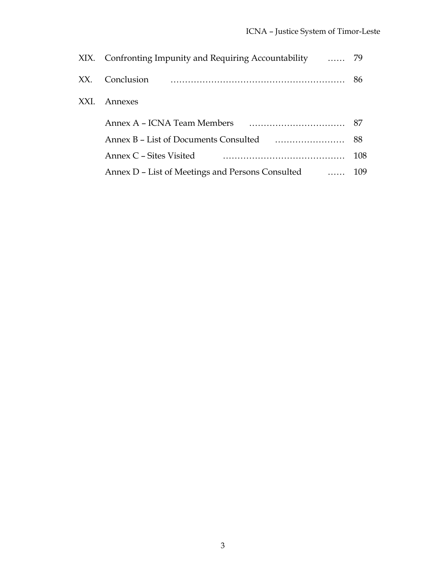| XX.  | Conclusion                                                                                 | 86  |  |  |  |  |  |
|------|--------------------------------------------------------------------------------------------|-----|--|--|--|--|--|
| XXI. | Annexes                                                                                    |     |  |  |  |  |  |
|      | Annex A – ICNA Team Members                                                                |     |  |  |  |  |  |
|      |                                                                                            |     |  |  |  |  |  |
|      | Annex C – Sites Visited                                                                    | 108 |  |  |  |  |  |
|      | Annex D – List of Meetings and Persons Consulted<br>$\mathbf{r}$ . The set of $\mathbf{r}$ | 109 |  |  |  |  |  |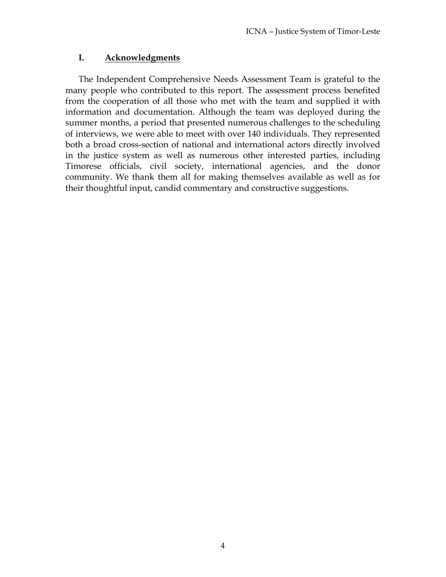# **I. Acknowledgments**

The Independent Comprehensive Needs Assessment Team is grateful to the many people who contributed to this report. The assessment process benefited from the cooperation of all those who met with the team and supplied it with information and documentation. Although the team was deployed during the summer months, a period that presented numerous challenges to the scheduling of interviews, we were able to meet with over 140 individuals. They represented both a broad cross-section of national and international actors directly involved in the justice system as well as numerous other interested parties, including Timorese officials, civil society, international agencies, and the donor community. We thank them all for making themselves available as well as for their thoughtful input, candid commentary and constructive suggestions.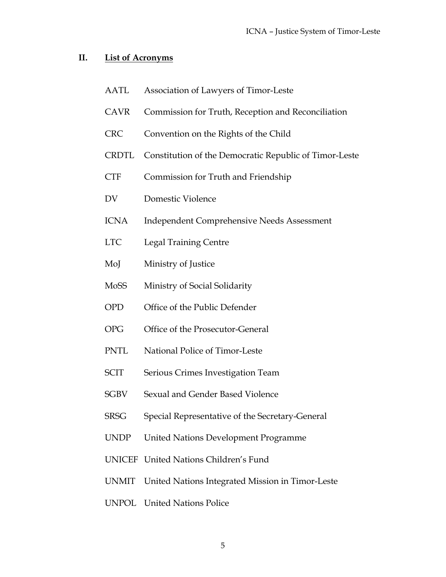#### **II. List of Acronyms**

- AATL Association of Lawyers of Timor-Leste
- CAVR Commission for Truth, Reception and Reconciliation
- CRC Convention on the Rights of the Child
- CRDTL Constitution of the Democratic Republic of Timor-Leste
- CTF Commission for Truth and Friendship
- DV Domestic Violence
- ICNA Independent Comprehensive Needs Assessment
- LTC Legal Training Centre
- MoJ Ministry of Justice
- MoSS Ministry of Social Solidarity
- OPD Office of the Public Defender
- OPG Office of the Prosecutor-General
- PNTL National Police of Timor-Leste
- SCIT Serious Crimes Investigation Team
- SGBV Sexual and Gender Based Violence
- SRSG Special Representative of the Secretary-General
- UNDP United Nations Development Programme
- UNICEF United Nations Children's Fund
- UNMIT United Nations Integrated Mission in Timor-Leste
- UNPOL United Nations Police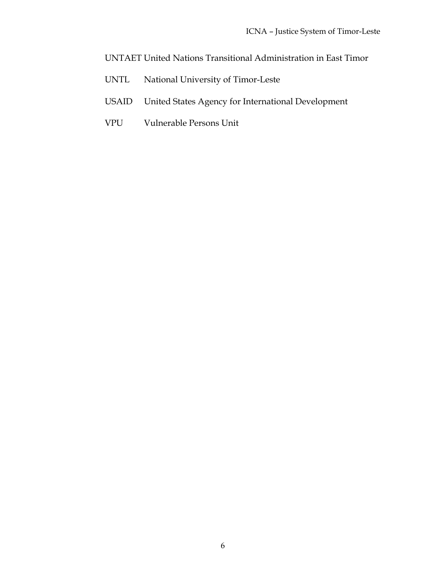UNTAET United Nations Transitional Administration in East Timor

- UNTL National University of Timor-Leste
- USAID United States Agency for International Development
- VPU Vulnerable Persons Unit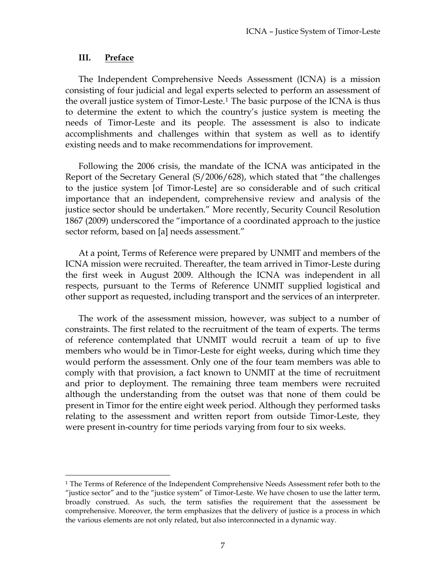#### **III. Preface**

 $\overline{a}$ 

The Independent Comprehensive Needs Assessment (ICNA) is a mission consisting of four judicial and legal experts selected to perform an assessment of the overall justice system of Timor-Leste.1 The basic purpose of the ICNA is thus to determine the extent to which the country's justice system is meeting the needs of Timor-Leste and its people. The assessment is also to indicate accomplishments and challenges within that system as well as to identify existing needs and to make recommendations for improvement.

Following the 2006 crisis, the mandate of the ICNA was anticipated in the Report of the Secretary General (S/2006/628), which stated that "the challenges to the justice system [of Timor-Leste] are so considerable and of such critical importance that an independent, comprehensive review and analysis of the justice sector should be undertaken." More recently, Security Council Resolution 1867 (2009) underscored the "importance of a coordinated approach to the justice sector reform, based on [a] needs assessment."

At a point, Terms of Reference were prepared by UNMIT and members of the ICNA mission were recruited. Thereafter, the team arrived in Timor-Leste during the first week in August 2009. Although the ICNA was independent in all respects, pursuant to the Terms of Reference UNMIT supplied logistical and other support as requested, including transport and the services of an interpreter.

The work of the assessment mission, however, was subject to a number of constraints. The first related to the recruitment of the team of experts. The terms of reference contemplated that UNMIT would recruit a team of up to five members who would be in Timor-Leste for eight weeks, during which time they would perform the assessment. Only one of the four team members was able to comply with that provision, a fact known to UNMIT at the time of recruitment and prior to deployment. The remaining three team members were recruited although the understanding from the outset was that none of them could be present in Timor for the entire eight week period. Although they performed tasks relating to the assessment and written report from outside Timor-Leste, they were present in-country for time periods varying from four to six weeks.

<sup>&</sup>lt;sup>1</sup> The Terms of Reference of the Independent Comprehensive Needs Assessment refer both to the "justice sector" and to the "justice system" of Timor-Leste. We have chosen to use the latter term, broadly construed. As such, the term satisfies the requirement that the assessment be comprehensive. Moreover, the term emphasizes that the delivery of justice is a process in which the various elements are not only related, but also interconnected in a dynamic way.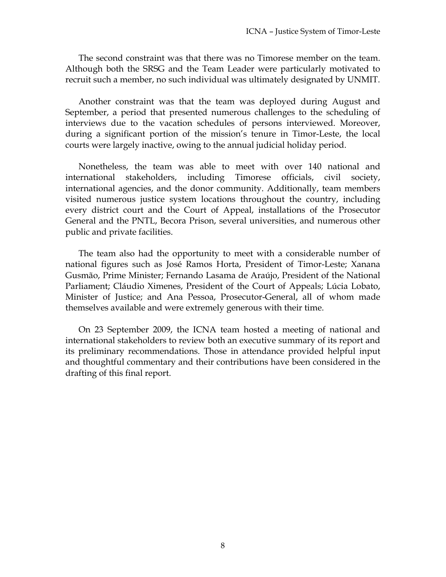The second constraint was that there was no Timorese member on the team. Although both the SRSG and the Team Leader were particularly motivated to recruit such a member, no such individual was ultimately designated by UNMIT.

Another constraint was that the team was deployed during August and September, a period that presented numerous challenges to the scheduling of interviews due to the vacation schedules of persons interviewed. Moreover, during a significant portion of the mission's tenure in Timor-Leste, the local courts were largely inactive, owing to the annual judicial holiday period.

Nonetheless, the team was able to meet with over 140 national and international stakeholders, including Timorese officials, civil society, international agencies, and the donor community. Additionally, team members visited numerous justice system locations throughout the country, including every district court and the Court of Appeal, installations of the Prosecutor General and the PNTL, Becora Prison, several universities, and numerous other public and private facilities.

The team also had the opportunity to meet with a considerable number of national figures such as José Ramos Horta, President of Timor-Leste; Xanana Gusmão, Prime Minister; Fernando Lasama de Araújo, President of the National Parliament; Cláudio Ximenes, President of the Court of Appeals; Lúcia Lobato, Minister of Justice; and Ana Pessoa, Prosecutor-General, all of whom made themselves available and were extremely generous with their time.

On 23 September 2009, the ICNA team hosted a meeting of national and international stakeholders to review both an executive summary of its report and its preliminary recommendations. Those in attendance provided helpful input and thoughtful commentary and their contributions have been considered in the drafting of this final report.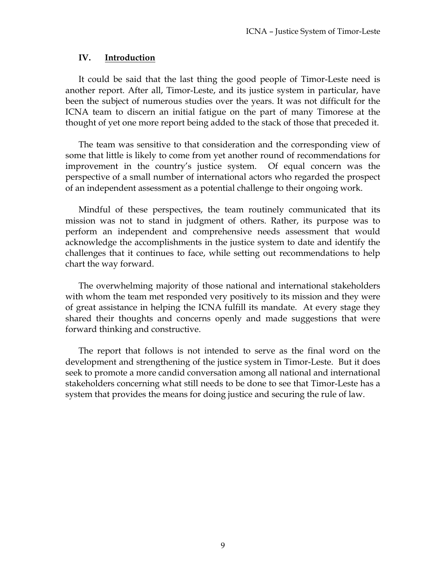#### **IV. Introduction**

It could be said that the last thing the good people of Timor-Leste need is another report. After all, Timor-Leste, and its justice system in particular, have been the subject of numerous studies over the years. It was not difficult for the ICNA team to discern an initial fatigue on the part of many Timorese at the thought of yet one more report being added to the stack of those that preceded it.

The team was sensitive to that consideration and the corresponding view of some that little is likely to come from yet another round of recommendations for improvement in the country's justice system. Of equal concern was the perspective of a small number of international actors who regarded the prospect of an independent assessment as a potential challenge to their ongoing work.

Mindful of these perspectives, the team routinely communicated that its mission was not to stand in judgment of others. Rather, its purpose was to perform an independent and comprehensive needs assessment that would acknowledge the accomplishments in the justice system to date and identify the challenges that it continues to face, while setting out recommendations to help chart the way forward.

The overwhelming majority of those national and international stakeholders with whom the team met responded very positively to its mission and they were of great assistance in helping the ICNA fulfill its mandate. At every stage they shared their thoughts and concerns openly and made suggestions that were forward thinking and constructive.

The report that follows is not intended to serve as the final word on the development and strengthening of the justice system in Timor-Leste. But it does seek to promote a more candid conversation among all national and international stakeholders concerning what still needs to be done to see that Timor-Leste has a system that provides the means for doing justice and securing the rule of law.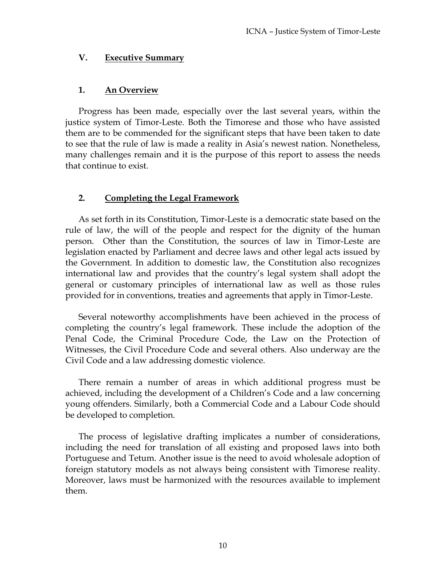#### **V. Executive Summary**

# **1. An Overview**

Progress has been made, especially over the last several years, within the justice system of Timor-Leste. Both the Timorese and those who have assisted them are to be commended for the significant steps that have been taken to date to see that the rule of law is made a reality in Asia's newest nation. Nonetheless, many challenges remain and it is the purpose of this report to assess the needs that continue to exist.

# **2. Completing the Legal Framework**

As set forth in its Constitution, Timor-Leste is a democratic state based on the rule of law, the will of the people and respect for the dignity of the human person. Other than the Constitution, the sources of law in Timor-Leste are legislation enacted by Parliament and decree laws and other legal acts issued by the Government. In addition to domestic law, the Constitution also recognizes international law and provides that the country's legal system shall adopt the general or customary principles of international law as well as those rules provided for in conventions, treaties and agreements that apply in Timor-Leste.

Several noteworthy accomplishments have been achieved in the process of completing the country's legal framework. These include the adoption of the Penal Code, the Criminal Procedure Code, the Law on the Protection of Witnesses, the Civil Procedure Code and several others. Also underway are the Civil Code and a law addressing domestic violence.

There remain a number of areas in which additional progress must be achieved, including the development of a Children's Code and a law concerning young offenders. Similarly, both a Commercial Code and a Labour Code should be developed to completion.

The process of legislative drafting implicates a number of considerations, including the need for translation of all existing and proposed laws into both Portuguese and Tetum. Another issue is the need to avoid wholesale adoption of foreign statutory models as not always being consistent with Timorese reality. Moreover, laws must be harmonized with the resources available to implement them.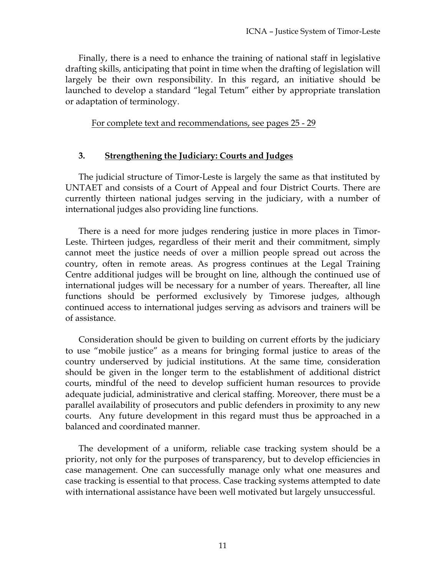Finally, there is a need to enhance the training of national staff in legislative drafting skills, anticipating that point in time when the drafting of legislation will largely be their own responsibility. In this regard, an initiative should be launched to develop a standard "legal Tetum" either by appropriate translation or adaptation of terminology.

For complete text and recommendations, see pages 25 - 29

#### **3. Strengthening the Judiciary: Courts and Judges**

The judicial structure of Timor-Leste is largely the same as that instituted by UNTAET and consists of a Court of Appeal and four District Courts. There are currently thirteen national judges serving in the judiciary, with a number of international judges also providing line functions.

There is a need for more judges rendering justice in more places in Timor-Leste. Thirteen judges, regardless of their merit and their commitment, simply cannot meet the justice needs of over a million people spread out across the country, often in remote areas. As progress continues at the Legal Training Centre additional judges will be brought on line, although the continued use of international judges will be necessary for a number of years. Thereafter, all line functions should be performed exclusively by Timorese judges, although continued access to international judges serving as advisors and trainers will be of assistance.

Consideration should be given to building on current efforts by the judiciary to use "mobile justice" as a means for bringing formal justice to areas of the country underserved by judicial institutions. At the same time, consideration should be given in the longer term to the establishment of additional district courts, mindful of the need to develop sufficient human resources to provide adequate judicial, administrative and clerical staffing. Moreover, there must be a parallel availability of prosecutors and public defenders in proximity to any new courts. Any future development in this regard must thus be approached in a balanced and coordinated manner.

The development of a uniform, reliable case tracking system should be a priority, not only for the purposes of transparency, but to develop efficiencies in case management. One can successfully manage only what one measures and case tracking is essential to that process. Case tracking systems attempted to date with international assistance have been well motivated but largely unsuccessful.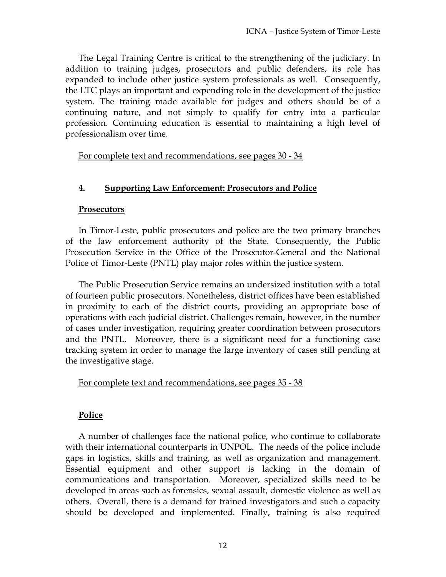The Legal Training Centre is critical to the strengthening of the judiciary. In addition to training judges, prosecutors and public defenders, its role has expanded to include other justice system professionals as well. Consequently, the LTC plays an important and expending role in the development of the justice system. The training made available for judges and others should be of a continuing nature, and not simply to qualify for entry into a particular profession. Continuing education is essential to maintaining a high level of professionalism over time.

For complete text and recommendations, see pages 30 - 34

# **4. Supporting Law Enforcement: Prosecutors and Police**

# **Prosecutors**

In Timor-Leste, public prosecutors and police are the two primary branches of the law enforcement authority of the State. Consequently, the Public Prosecution Service in the Office of the Prosecutor-General and the National Police of Timor-Leste (PNTL) play major roles within the justice system.

The Public Prosecution Service remains an undersized institution with a total of fourteen public prosecutors. Nonetheless, district offices have been established in proximity to each of the district courts, providing an appropriate base of operations with each judicial district. Challenges remain, however, in the number of cases under investigation, requiring greater coordination between prosecutors and the PNTL. Moreover, there is a significant need for a functioning case tracking system in order to manage the large inventory of cases still pending at the investigative stage.

# For complete text and recommendations, see pages 35 - 38

# **Police**

A number of challenges face the national police, who continue to collaborate with their international counterparts in UNPOL. The needs of the police include gaps in logistics, skills and training, as well as organization and management. Essential equipment and other support is lacking in the domain of communications and transportation. Moreover, specialized skills need to be developed in areas such as forensics, sexual assault, domestic violence as well as others. Overall, there is a demand for trained investigators and such a capacity should be developed and implemented. Finally, training is also required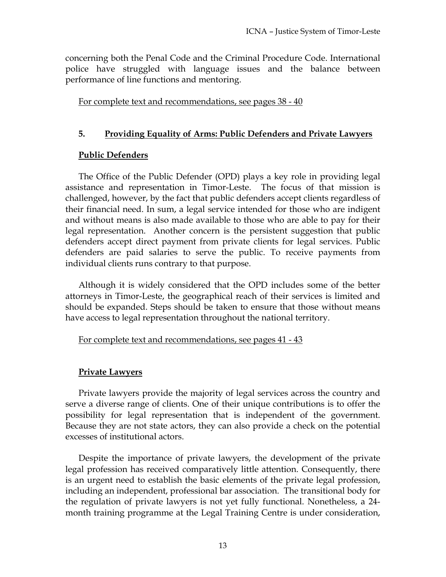concerning both the Penal Code and the Criminal Procedure Code. International police have struggled with language issues and the balance between performance of line functions and mentoring.

For complete text and recommendations, see pages 38 - 40

#### **5. Providing Equality of Arms: Public Defenders and Private Lawyers**

#### **Public Defenders**

The Office of the Public Defender (OPD) plays a key role in providing legal assistance and representation in Timor-Leste. The focus of that mission is challenged, however, by the fact that public defenders accept clients regardless of their financial need. In sum, a legal service intended for those who are indigent and without means is also made available to those who are able to pay for their legal representation. Another concern is the persistent suggestion that public defenders accept direct payment from private clients for legal services. Public defenders are paid salaries to serve the public. To receive payments from individual clients runs contrary to that purpose.

Although it is widely considered that the OPD includes some of the better attorneys in Timor-Leste, the geographical reach of their services is limited and should be expanded. Steps should be taken to ensure that those without means have access to legal representation throughout the national territory.

#### For complete text and recommendations, see pages 41 - 43

#### **Private Lawyers**

Private lawyers provide the majority of legal services across the country and serve a diverse range of clients. One of their unique contributions is to offer the possibility for legal representation that is independent of the government. Because they are not state actors, they can also provide a check on the potential excesses of institutional actors.

Despite the importance of private lawyers, the development of the private legal profession has received comparatively little attention. Consequently, there is an urgent need to establish the basic elements of the private legal profession, including an independent, professional bar association. The transitional body for the regulation of private lawyers is not yet fully functional. Nonetheless, a 24 month training programme at the Legal Training Centre is under consideration,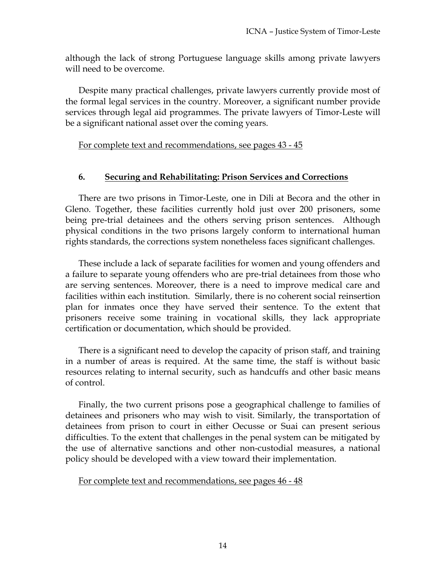although the lack of strong Portuguese language skills among private lawyers will need to be overcome.

Despite many practical challenges, private lawyers currently provide most of the formal legal services in the country. Moreover, a significant number provide services through legal aid programmes. The private lawyers of Timor-Leste will be a significant national asset over the coming years.

For complete text and recommendations, see pages 43 - 45

# **6. Securing and Rehabilitating: Prison Services and Corrections**

There are two prisons in Timor-Leste, one in Dili at Becora and the other in Gleno. Together, these facilities currently hold just over 200 prisoners, some being pre-trial detainees and the others serving prison sentences. Although physical conditions in the two prisons largely conform to international human rights standards, the corrections system nonetheless faces significant challenges.

These include a lack of separate facilities for women and young offenders and a failure to separate young offenders who are pre-trial detainees from those who are serving sentences. Moreover, there is a need to improve medical care and facilities within each institution. Similarly, there is no coherent social reinsertion plan for inmates once they have served their sentence. To the extent that prisoners receive some training in vocational skills, they lack appropriate certification or documentation, which should be provided.

There is a significant need to develop the capacity of prison staff, and training in a number of areas is required. At the same time, the staff is without basic resources relating to internal security, such as handcuffs and other basic means of control.

Finally, the two current prisons pose a geographical challenge to families of detainees and prisoners who may wish to visit. Similarly, the transportation of detainees from prison to court in either Oecusse or Suai can present serious difficulties. To the extent that challenges in the penal system can be mitigated by the use of alternative sanctions and other non-custodial measures, a national policy should be developed with a view toward their implementation.

#### For complete text and recommendations, see pages 46 - 48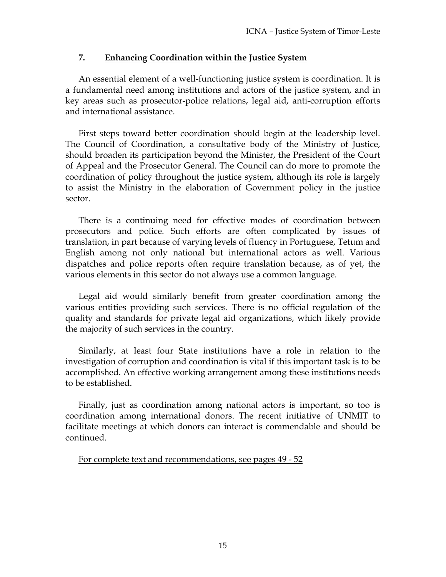# **7. Enhancing Coordination within the Justice System**

An essential element of a well-functioning justice system is coordination. It is a fundamental need among institutions and actors of the justice system, and in key areas such as prosecutor-police relations, legal aid, anti-corruption efforts and international assistance.

First steps toward better coordination should begin at the leadership level. The Council of Coordination, a consultative body of the Ministry of Justice, should broaden its participation beyond the Minister, the President of the Court of Appeal and the Prosecutor General. The Council can do more to promote the coordination of policy throughout the justice system, although its role is largely to assist the Ministry in the elaboration of Government policy in the justice sector.

There is a continuing need for effective modes of coordination between prosecutors and police. Such efforts are often complicated by issues of translation, in part because of varying levels of fluency in Portuguese, Tetum and English among not only national but international actors as well. Various dispatches and police reports often require translation because, as of yet, the various elements in this sector do not always use a common language.

Legal aid would similarly benefit from greater coordination among the various entities providing such services. There is no official regulation of the quality and standards for private legal aid organizations, which likely provide the majority of such services in the country.

Similarly, at least four State institutions have a role in relation to the investigation of corruption and coordination is vital if this important task is to be accomplished. An effective working arrangement among these institutions needs to be established.

Finally, just as coordination among national actors is important, so too is coordination among international donors. The recent initiative of UNMIT to facilitate meetings at which donors can interact is commendable and should be continued.

For complete text and recommendations, see pages 49 - 52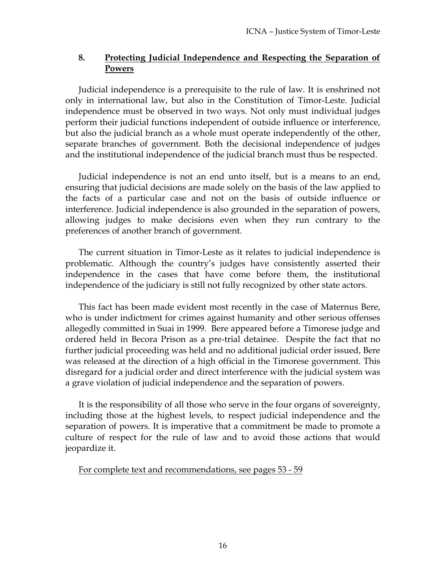# **8. Protecting Judicial Independence and Respecting the Separation of Powers**

Judicial independence is a prerequisite to the rule of law. It is enshrined not only in international law, but also in the Constitution of Timor-Leste. Judicial independence must be observed in two ways. Not only must individual judges perform their judicial functions independent of outside influence or interference, but also the judicial branch as a whole must operate independently of the other, separate branches of government. Both the decisional independence of judges and the institutional independence of the judicial branch must thus be respected.

Judicial independence is not an end unto itself, but is a means to an end, ensuring that judicial decisions are made solely on the basis of the law applied to the facts of a particular case and not on the basis of outside influence or interference. Judicial independence is also grounded in the separation of powers, allowing judges to make decisions even when they run contrary to the preferences of another branch of government.

The current situation in Timor-Leste as it relates to judicial independence is problematic. Although the country's judges have consistently asserted their independence in the cases that have come before them, the institutional independence of the judiciary is still not fully recognized by other state actors.

This fact has been made evident most recently in the case of Maternus Bere, who is under indictment for crimes against humanity and other serious offenses allegedly committed in Suai in 1999. Bere appeared before a Timorese judge and ordered held in Becora Prison as a pre-trial detainee. Despite the fact that no further judicial proceeding was held and no additional judicial order issued, Bere was released at the direction of a high official in the Timorese government. This disregard for a judicial order and direct interference with the judicial system was a grave violation of judicial independence and the separation of powers.

It is the responsibility of all those who serve in the four organs of sovereignty, including those at the highest levels, to respect judicial independence and the separation of powers. It is imperative that a commitment be made to promote a culture of respect for the rule of law and to avoid those actions that would jeopardize it.

For complete text and recommendations, see pages 53 - 59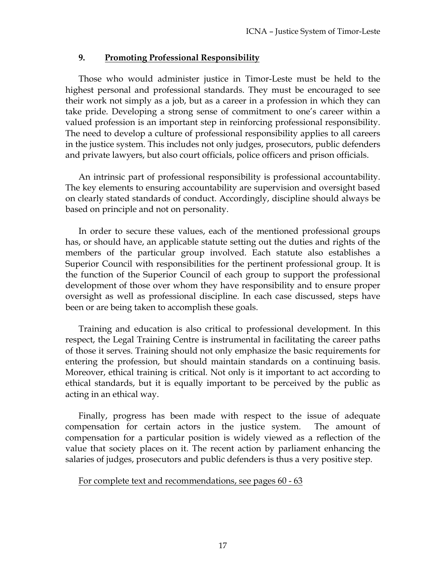#### **9. Promoting Professional Responsibility**

Those who would administer justice in Timor-Leste must be held to the highest personal and professional standards. They must be encouraged to see their work not simply as a job, but as a career in a profession in which they can take pride. Developing a strong sense of commitment to one's career within a valued profession is an important step in reinforcing professional responsibility. The need to develop a culture of professional responsibility applies to all careers in the justice system. This includes not only judges, prosecutors, public defenders and private lawyers, but also court officials, police officers and prison officials.

An intrinsic part of professional responsibility is professional accountability. The key elements to ensuring accountability are supervision and oversight based on clearly stated standards of conduct. Accordingly, discipline should always be based on principle and not on personality.

In order to secure these values, each of the mentioned professional groups has, or should have, an applicable statute setting out the duties and rights of the members of the particular group involved. Each statute also establishes a Superior Council with responsibilities for the pertinent professional group. It is the function of the Superior Council of each group to support the professional development of those over whom they have responsibility and to ensure proper oversight as well as professional discipline. In each case discussed, steps have been or are being taken to accomplish these goals.

Training and education is also critical to professional development. In this respect, the Legal Training Centre is instrumental in facilitating the career paths of those it serves. Training should not only emphasize the basic requirements for entering the profession, but should maintain standards on a continuing basis. Moreover, ethical training is critical. Not only is it important to act according to ethical standards, but it is equally important to be perceived by the public as acting in an ethical way.

Finally, progress has been made with respect to the issue of adequate compensation for certain actors in the justice system. The amount of compensation for a particular position is widely viewed as a reflection of the value that society places on it. The recent action by parliament enhancing the salaries of judges, prosecutors and public defenders is thus a very positive step.

#### For complete text and recommendations, see pages 60 - 63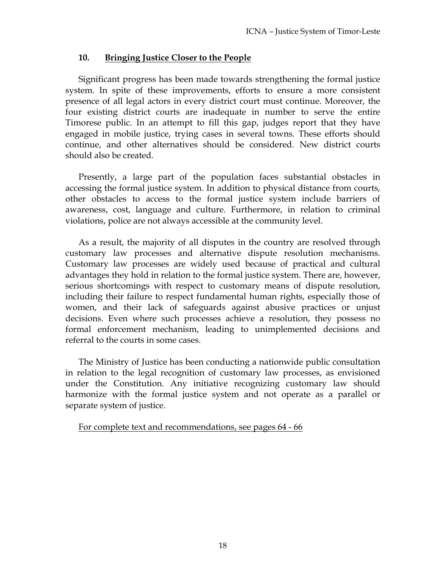# **10. Bringing Justice Closer to the People**

Significant progress has been made towards strengthening the formal justice system. In spite of these improvements, efforts to ensure a more consistent presence of all legal actors in every district court must continue. Moreover, the four existing district courts are inadequate in number to serve the entire Timorese public. In an attempt to fill this gap, judges report that they have engaged in mobile justice, trying cases in several towns. These efforts should continue, and other alternatives should be considered. New district courts should also be created.

Presently, a large part of the population faces substantial obstacles in accessing the formal justice system. In addition to physical distance from courts, other obstacles to access to the formal justice system include barriers of awareness, cost, language and culture. Furthermore, in relation to criminal violations, police are not always accessible at the community level.

As a result, the majority of all disputes in the country are resolved through customary law processes and alternative dispute resolution mechanisms. Customary law processes are widely used because of practical and cultural advantages they hold in relation to the formal justice system. There are, however, serious shortcomings with respect to customary means of dispute resolution, including their failure to respect fundamental human rights, especially those of women, and their lack of safeguards against abusive practices or unjust decisions. Even where such processes achieve a resolution, they possess no formal enforcement mechanism, leading to unimplemented decisions and referral to the courts in some cases.

The Ministry of Justice has been conducting a nationwide public consultation in relation to the legal recognition of customary law processes, as envisioned under the Constitution. Any initiative recognizing customary law should harmonize with the formal justice system and not operate as a parallel or separate system of justice.

For complete text and recommendations, see pages 64 - 66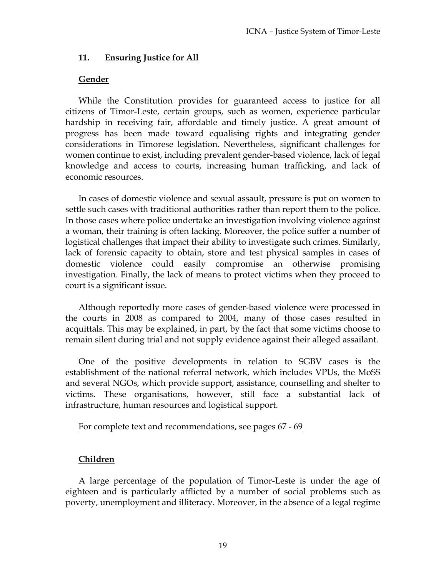#### **11. Ensuring Justice for All**

#### **Gender**

While the Constitution provides for guaranteed access to justice for all citizens of Timor-Leste, certain groups, such as women, experience particular hardship in receiving fair, affordable and timely justice. A great amount of progress has been made toward equalising rights and integrating gender considerations in Timorese legislation. Nevertheless, significant challenges for women continue to exist, including prevalent gender-based violence, lack of legal knowledge and access to courts, increasing human trafficking, and lack of economic resources.

In cases of domestic violence and sexual assault, pressure is put on women to settle such cases with traditional authorities rather than report them to the police. In those cases where police undertake an investigation involving violence against a woman, their training is often lacking. Moreover, the police suffer a number of logistical challenges that impact their ability to investigate such crimes. Similarly, lack of forensic capacity to obtain, store and test physical samples in cases of domestic violence could easily compromise an otherwise promising investigation. Finally, the lack of means to protect victims when they proceed to court is a significant issue.

Although reportedly more cases of gender-based violence were processed in the courts in 2008 as compared to 2004, many of those cases resulted in acquittals. This may be explained, in part, by the fact that some victims choose to remain silent during trial and not supply evidence against their alleged assailant.

One of the positive developments in relation to SGBV cases is the establishment of the national referral network, which includes VPUs, the MoSS and several NGOs, which provide support, assistance, counselling and shelter to victims. These organisations, however, still face a substantial lack of infrastructure, human resources and logistical support.

#### For complete text and recommendations, see pages 67 - 69

# **Children**

A large percentage of the population of Timor-Leste is under the age of eighteen and is particularly afflicted by a number of social problems such as poverty, unemployment and illiteracy. Moreover, in the absence of a legal regime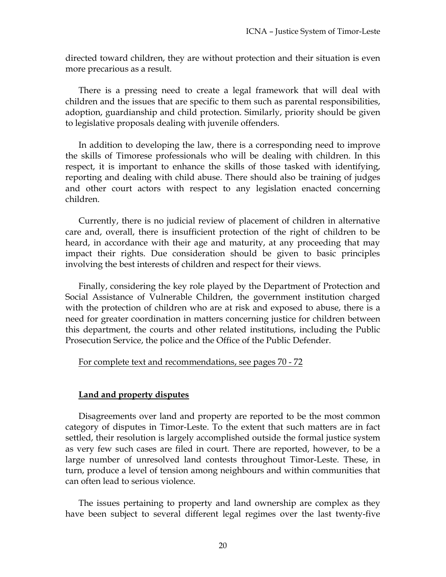directed toward children, they are without protection and their situation is even more precarious as a result.

There is a pressing need to create a legal framework that will deal with children and the issues that are specific to them such as parental responsibilities, adoption, guardianship and child protection. Similarly, priority should be given to legislative proposals dealing with juvenile offenders.

In addition to developing the law, there is a corresponding need to improve the skills of Timorese professionals who will be dealing with children. In this respect, it is important to enhance the skills of those tasked with identifying, reporting and dealing with child abuse. There should also be training of judges and other court actors with respect to any legislation enacted concerning children.

Currently, there is no judicial review of placement of children in alternative care and, overall, there is insufficient protection of the right of children to be heard, in accordance with their age and maturity, at any proceeding that may impact their rights. Due consideration should be given to basic principles involving the best interests of children and respect for their views.

Finally, considering the key role played by the Department of Protection and Social Assistance of Vulnerable Children, the government institution charged with the protection of children who are at risk and exposed to abuse, there is a need for greater coordination in matters concerning justice for children between this department, the courts and other related institutions, including the Public Prosecution Service, the police and the Office of the Public Defender.

#### For complete text and recommendations, see pages 70 - 72

#### **Land and property disputes**

Disagreements over land and property are reported to be the most common category of disputes in Timor-Leste. To the extent that such matters are in fact settled, their resolution is largely accomplished outside the formal justice system as very few such cases are filed in court. There are reported, however, to be a large number of unresolved land contests throughout Timor-Leste. These, in turn, produce a level of tension among neighbours and within communities that can often lead to serious violence.

The issues pertaining to property and land ownership are complex as they have been subject to several different legal regimes over the last twenty-five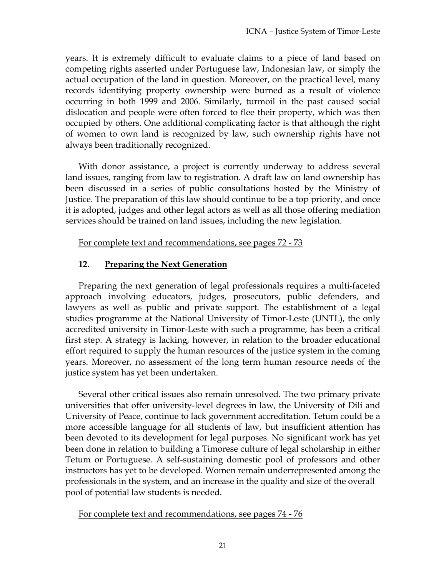years. It is extremely difficult to evaluate claims to a piece of land based on competing rights asserted under Portuguese law, Indonesian law, or simply the actual occupation of the land in question. Moreover, on the practical level, many records identifying property ownership were burned as a result of violence occurring in both 1999 and 2006. Similarly, turmoil in the past caused social dislocation and people were often forced to flee their property, which was then occupied by others. One additional complicating factor is that although the right of women to own land is recognized by law, such ownership rights have not always been traditionally recognized.

With donor assistance, a project is currently underway to address several land issues, ranging from law to registration. A draft law on land ownership has been discussed in a series of public consultations hosted by the Ministry of Justice. The preparation of this law should continue to be a top priority, and once it is adopted, judges and other legal actors as well as all those offering mediation services should be trained on land issues, including the new legislation.

For complete text and recommendations, see pages 72 - 73

# **12. Preparing the Next Generation**

Preparing the next generation of legal professionals requires a multi-faceted approach involving educators, judges, prosecutors, public defenders, and lawyers as well as public and private support. The establishment of a legal studies programme at the National University of Timor-Leste (UNTL), the only accredited university in Timor-Leste with such a programme, has been a critical first step. A strategy is lacking, however, in relation to the broader educational effort required to supply the human resources of the justice system in the coming years. Moreover, no assessment of the long term human resource needs of the justice system has yet been undertaken.

Several other critical issues also remain unresolved. The two primary private universities that offer university-level degrees in law, the University of Dili and University of Peace, continue to lack government accreditation. Tetum could be a more accessible language for all students of law, but insufficient attention has been devoted to its development for legal purposes. No significant work has yet been done in relation to building a Timorese culture of legal scholarship in either Tetum or Portuguese. A self-sustaining domestic pool of professors and other instructors has yet to be developed. Women remain underrepresented among the professionals in the system, and an increase in the quality and size of the overall pool of potential law students is needed.

For complete text and recommendations, see pages 74 - 76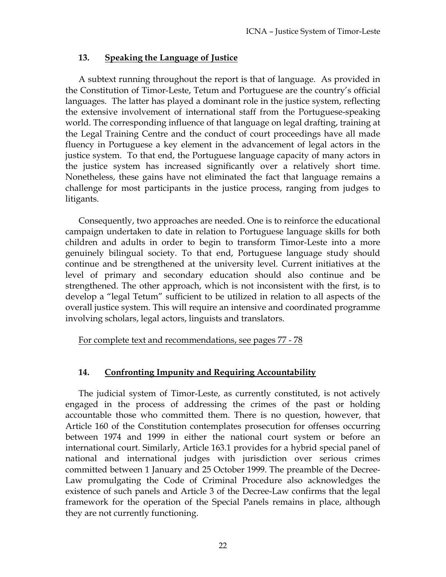# **13. Speaking the Language of Justice**

A subtext running throughout the report is that of language. As provided in the Constitution of Timor-Leste, Tetum and Portuguese are the country's official languages. The latter has played a dominant role in the justice system, reflecting the extensive involvement of international staff from the Portuguese-speaking world. The corresponding influence of that language on legal drafting, training at the Legal Training Centre and the conduct of court proceedings have all made fluency in Portuguese a key element in the advancement of legal actors in the justice system. To that end, the Portuguese language capacity of many actors in the justice system has increased significantly over a relatively short time. Nonetheless, these gains have not eliminated the fact that language remains a challenge for most participants in the justice process, ranging from judges to litigants.

Consequently, two approaches are needed. One is to reinforce the educational campaign undertaken to date in relation to Portuguese language skills for both children and adults in order to begin to transform Timor-Leste into a more genuinely bilingual society. To that end, Portuguese language study should continue and be strengthened at the university level. Current initiatives at the level of primary and secondary education should also continue and be strengthened. The other approach, which is not inconsistent with the first, is to develop a "legal Tetum" sufficient to be utilized in relation to all aspects of the overall justice system. This will require an intensive and coordinated programme involving scholars, legal actors, linguists and translators.

For complete text and recommendations, see pages 77 - 78

# **14. Confronting Impunity and Requiring Accountability**

The judicial system of Timor-Leste, as currently constituted, is not actively engaged in the process of addressing the crimes of the past or holding accountable those who committed them. There is no question, however, that Article 160 of the Constitution contemplates prosecution for offenses occurring between 1974 and 1999 in either the national court system or before an international court. Similarly, Article 163.1 provides for a hybrid special panel of national and international judges with jurisdiction over serious crimes committed between 1 January and 25 October 1999. The preamble of the Decree-Law promulgating the Code of Criminal Procedure also acknowledges the existence of such panels and Article 3 of the Decree-Law confirms that the legal framework for the operation of the Special Panels remains in place, although they are not currently functioning.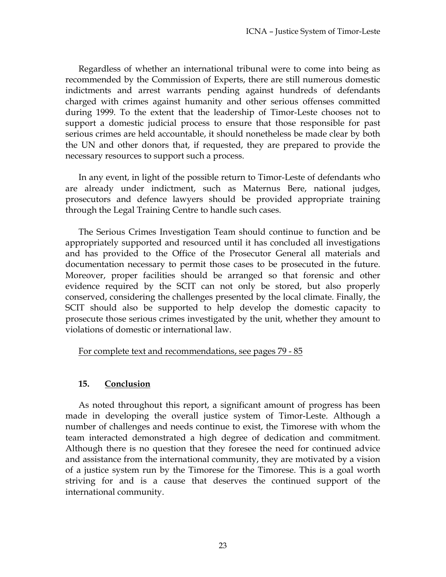Regardless of whether an international tribunal were to come into being as recommended by the Commission of Experts, there are still numerous domestic indictments and arrest warrants pending against hundreds of defendants charged with crimes against humanity and other serious offenses committed during 1999. To the extent that the leadership of Timor-Leste chooses not to support a domestic judicial process to ensure that those responsible for past serious crimes are held accountable, it should nonetheless be made clear by both the UN and other donors that, if requested, they are prepared to provide the necessary resources to support such a process.

In any event, in light of the possible return to Timor-Leste of defendants who are already under indictment, such as Maternus Bere, national judges, prosecutors and defence lawyers should be provided appropriate training through the Legal Training Centre to handle such cases.

The Serious Crimes Investigation Team should continue to function and be appropriately supported and resourced until it has concluded all investigations and has provided to the Office of the Prosecutor General all materials and documentation necessary to permit those cases to be prosecuted in the future. Moreover, proper facilities should be arranged so that forensic and other evidence required by the SCIT can not only be stored, but also properly conserved, considering the challenges presented by the local climate. Finally, the SCIT should also be supported to help develop the domestic capacity to prosecute those serious crimes investigated by the unit, whether they amount to violations of domestic or international law.

For complete text and recommendations, see pages 79 - 85

# **15. Conclusion**

As noted throughout this report, a significant amount of progress has been made in developing the overall justice system of Timor-Leste. Although a number of challenges and needs continue to exist, the Timorese with whom the team interacted demonstrated a high degree of dedication and commitment. Although there is no question that they foresee the need for continued advice and assistance from the international community, they are motivated by a vision of a justice system run by the Timorese for the Timorese. This is a goal worth striving for and is a cause that deserves the continued support of the international community.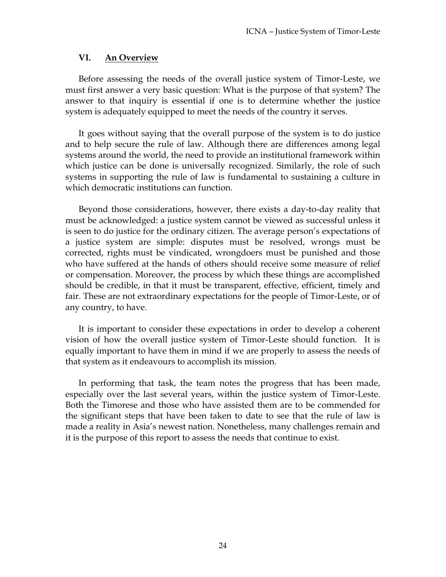#### **VI. An Overview**

Before assessing the needs of the overall justice system of Timor-Leste, we must first answer a very basic question: What is the purpose of that system? The answer to that inquiry is essential if one is to determine whether the justice system is adequately equipped to meet the needs of the country it serves.

It goes without saying that the overall purpose of the system is to do justice and to help secure the rule of law. Although there are differences among legal systems around the world, the need to provide an institutional framework within which justice can be done is universally recognized. Similarly, the role of such systems in supporting the rule of law is fundamental to sustaining a culture in which democratic institutions can function.

Beyond those considerations, however, there exists a day-to-day reality that must be acknowledged: a justice system cannot be viewed as successful unless it is seen to do justice for the ordinary citizen. The average person's expectations of a justice system are simple: disputes must be resolved, wrongs must be corrected, rights must be vindicated, wrongdoers must be punished and those who have suffered at the hands of others should receive some measure of relief or compensation. Moreover, the process by which these things are accomplished should be credible, in that it must be transparent, effective, efficient, timely and fair. These are not extraordinary expectations for the people of Timor-Leste, or of any country, to have.

It is important to consider these expectations in order to develop a coherent vision of how the overall justice system of Timor-Leste should function. It is equally important to have them in mind if we are properly to assess the needs of that system as it endeavours to accomplish its mission.

In performing that task, the team notes the progress that has been made, especially over the last several years, within the justice system of Timor-Leste. Both the Timorese and those who have assisted them are to be commended for the significant steps that have been taken to date to see that the rule of law is made a reality in Asia's newest nation. Nonetheless, many challenges remain and it is the purpose of this report to assess the needs that continue to exist.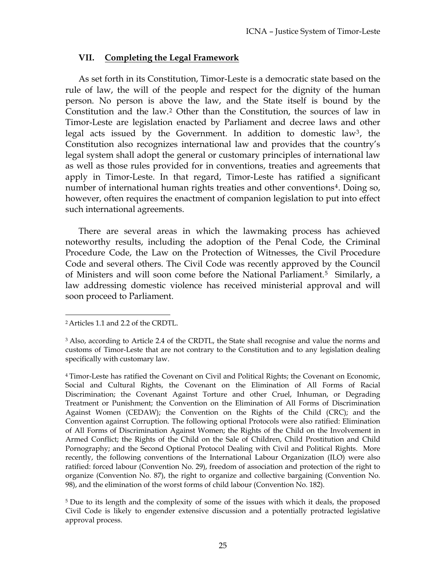#### **VII. Completing the Legal Framework**

As set forth in its Constitution, Timor-Leste is a democratic state based on the rule of law, the will of the people and respect for the dignity of the human person. No person is above the law, and the State itself is bound by the Constitution and the law.2 Other than the Constitution, the sources of law in Timor-Leste are legislation enacted by Parliament and decree laws and other legal acts issued by the Government. In addition to domestic law3, the Constitution also recognizes international law and provides that the country's legal system shall adopt the general or customary principles of international law as well as those rules provided for in conventions, treaties and agreements that apply in Timor-Leste. In that regard, Timor-Leste has ratified a significant number of international human rights treaties and other conventions<sup>4</sup>. Doing so, however, often requires the enactment of companion legislation to put into effect such international agreements.

There are several areas in which the lawmaking process has achieved noteworthy results, including the adoption of the Penal Code, the Criminal Procedure Code, the Law on the Protection of Witnesses, the Civil Procedure Code and several others. The Civil Code was recently approved by the Council of Ministers and will soon come before the National Parliament.<sup>5</sup> Similarly, a law addressing domestic violence has received ministerial approval and will soon proceed to Parliament.

 $\overline{a}$ 

<sup>2</sup>Articles 1.1 and 2.2 of the CRDTL.

<sup>3</sup> Also, according to Article 2.4 of the CRDTL, the State shall recognise and value the norms and customs of Timor-Leste that are not contrary to the Constitution and to any legislation dealing specifically with customary law.

<sup>4</sup> Timor-Leste has ratified the Covenant on Civil and Political Rights; the Covenant on Economic, Social and Cultural Rights, the Covenant on the Elimination of All Forms of Racial Discrimination; the Covenant Against Torture and other Cruel, Inhuman, or Degrading Treatment or Punishment; the Convention on the Elimination of All Forms of Discrimination Against Women (CEDAW); the Convention on the Rights of the Child (CRC); and the Convention against Corruption. The following optional Protocols were also ratified: Elimination of All Forms of Discrimination Against Women; the Rights of the Child on the Involvement in Armed Conflict; the Rights of the Child on the Sale of Children, Child Prostitution and Child Pornography; and the Second Optional Protocol Dealing with Civil and Political Rights. More recently, the following conventions of the International Labour Organization (ILO) were also ratified: forced labour (Convention No. 29), freedom of association and protection of the right to organize (Convention No. 87), the right to organize and collective bargaining (Convention No. 98), and the elimination of the worst forms of child labour (Convention No. 182).

<sup>&</sup>lt;sup>5</sup> Due to its length and the complexity of some of the issues with which it deals, the proposed Civil Code is likely to engender extensive discussion and a potentially protracted legislative approval process.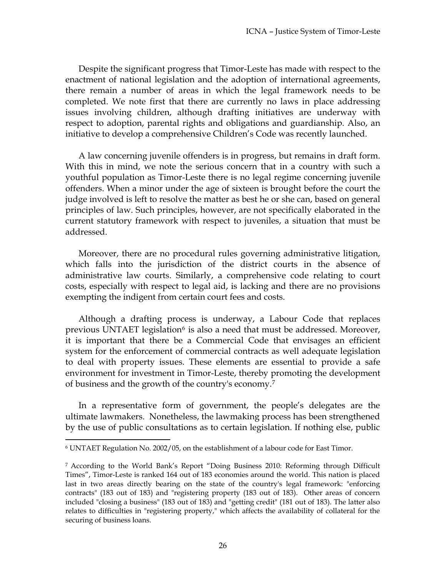Despite the significant progress that Timor-Leste has made with respect to the enactment of national legislation and the adoption of international agreements, there remain a number of areas in which the legal framework needs to be completed. We note first that there are currently no laws in place addressing issues involving children, although drafting initiatives are underway with respect to adoption, parental rights and obligations and guardianship. Also, an initiative to develop a comprehensive Children's Code was recently launched.

A law concerning juvenile offenders is in progress, but remains in draft form. With this in mind, we note the serious concern that in a country with such a youthful population as Timor-Leste there is no legal regime concerning juvenile offenders. When a minor under the age of sixteen is brought before the court the judge involved is left to resolve the matter as best he or she can, based on general principles of law. Such principles, however, are not specifically elaborated in the current statutory framework with respect to juveniles, a situation that must be addressed.

Moreover, there are no procedural rules governing administrative litigation, which falls into the jurisdiction of the district courts in the absence of administrative law courts. Similarly, a comprehensive code relating to court costs, especially with respect to legal aid, is lacking and there are no provisions exempting the indigent from certain court fees and costs.

Although a drafting process is underway, a Labour Code that replaces previous UNTAET legislation<sup>6</sup> is also a need that must be addressed. Moreover, it is important that there be a Commercial Code that envisages an efficient system for the enforcement of commercial contracts as well adequate legislation to deal with property issues. These elements are essential to provide a safe environment for investment in Timor-Leste, thereby promoting the development of business and the growth of the country's economy.7

In a representative form of government, the people's delegates are the ultimate lawmakers. Nonetheless, the lawmaking process has been strengthened by the use of public consultations as to certain legislation. If nothing else, public

 $\overline{a}$ 

<sup>6</sup> UNTAET Regulation No. 2002/05, on the establishment of a labour code for East Timor.

<sup>7</sup> According to the World Bank's Report "Doing Business 2010: Reforming through Difficult Times", Timor-Leste is ranked 164 out of 183 economies around the world. This nation is placed last in two areas directly bearing on the state of the country's legal framework: "enforcing contracts" (183 out of 183) and "registering property (183 out of 183). Other areas of concern included "closing a business" (183 out of 183) and "getting credit" (181 out of 183). The latter also relates to difficulties in "registering property," which affects the availability of collateral for the securing of business loans.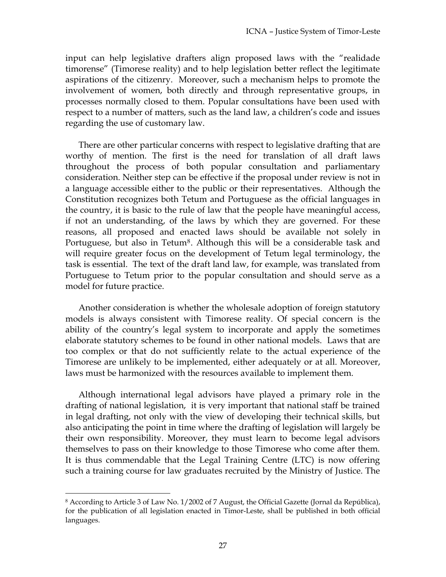input can help legislative drafters align proposed laws with the "realidade timorense" (Timorese reality) and to help legislation better reflect the legitimate aspirations of the citizenry. Moreover, such a mechanism helps to promote the involvement of women, both directly and through representative groups, in processes normally closed to them. Popular consultations have been used with respect to a number of matters, such as the land law, a children's code and issues regarding the use of customary law.

There are other particular concerns with respect to legislative drafting that are worthy of mention. The first is the need for translation of all draft laws throughout the process of both popular consultation and parliamentary consideration. Neither step can be effective if the proposal under review is not in a language accessible either to the public or their representatives. Although the Constitution recognizes both Tetum and Portuguese as the official languages in the country, it is basic to the rule of law that the people have meaningful access, if not an understanding, of the laws by which they are governed. For these reasons, all proposed and enacted laws should be available not solely in Portuguese, but also in Tetum<sup>8</sup>. Although this will be a considerable task and will require greater focus on the development of Tetum legal terminology, the task is essential. The text of the draft land law, for example, was translated from Portuguese to Tetum prior to the popular consultation and should serve as a model for future practice.

Another consideration is whether the wholesale adoption of foreign statutory models is always consistent with Timorese reality. Of special concern is the ability of the country's legal system to incorporate and apply the sometimes elaborate statutory schemes to be found in other national models. Laws that are too complex or that do not sufficiently relate to the actual experience of the Timorese are unlikely to be implemented, either adequately or at all. Moreover, laws must be harmonized with the resources available to implement them.

Although international legal advisors have played a primary role in the drafting of national legislation, it is very important that national staff be trained in legal drafting, not only with the view of developing their technical skills, but also anticipating the point in time where the drafting of legislation will largely be their own responsibility. Moreover, they must learn to become legal advisors themselves to pass on their knowledge to those Timorese who come after them. It is thus commendable that the Legal Training Centre (LTC) is now offering such a training course for law graduates recruited by the Ministry of Justice. The

 $\overline{a}$ 8 According to Article 3 of Law No. 1/2002 of 7 August, the Official Gazette (Jornal da República), for the publication of all legislation enacted in Timor-Leste, shall be published in both official languages.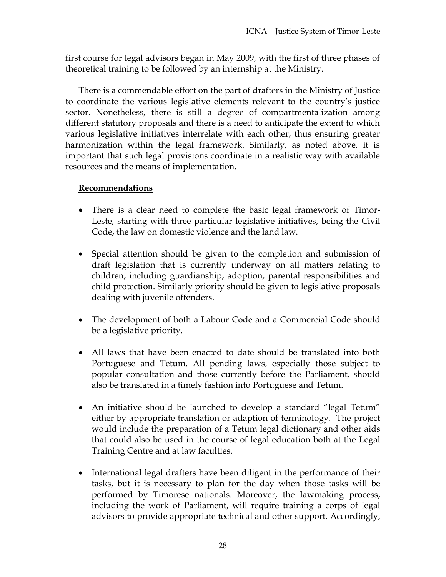first course for legal advisors began in May 2009, with the first of three phases of theoretical training to be followed by an internship at the Ministry.

There is a commendable effort on the part of drafters in the Ministry of Justice to coordinate the various legislative elements relevant to the country's justice sector. Nonetheless, there is still a degree of compartmentalization among different statutory proposals and there is a need to anticipate the extent to which various legislative initiatives interrelate with each other, thus ensuring greater harmonization within the legal framework. Similarly, as noted above, it is important that such legal provisions coordinate in a realistic way with available resources and the means of implementation.

# **Recommendations**

- There is a clear need to complete the basic legal framework of Timor-Leste, starting with three particular legislative initiatives, being the Civil Code, the law on domestic violence and the land law.
- Special attention should be given to the completion and submission of draft legislation that is currently underway on all matters relating to children, including guardianship, adoption, parental responsibilities and child protection. Similarly priority should be given to legislative proposals dealing with juvenile offenders.
- The development of both a Labour Code and a Commercial Code should be a legislative priority.
- All laws that have been enacted to date should be translated into both Portuguese and Tetum. All pending laws, especially those subject to popular consultation and those currently before the Parliament, should also be translated in a timely fashion into Portuguese and Tetum.
- An initiative should be launched to develop a standard "legal Tetum" either by appropriate translation or adaption of terminology. The project would include the preparation of a Tetum legal dictionary and other aids that could also be used in the course of legal education both at the Legal Training Centre and at law faculties.
- International legal drafters have been diligent in the performance of their tasks, but it is necessary to plan for the day when those tasks will be performed by Timorese nationals. Moreover, the lawmaking process, including the work of Parliament, will require training a corps of legal advisors to provide appropriate technical and other support. Accordingly,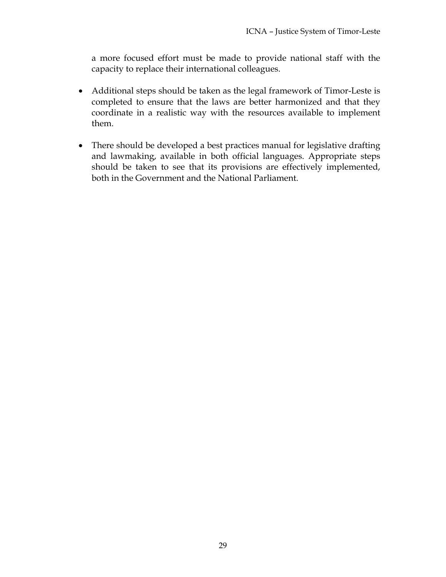a more focused effort must be made to provide national staff with the capacity to replace their international colleagues.

- Additional steps should be taken as the legal framework of Timor-Leste is completed to ensure that the laws are better harmonized and that they coordinate in a realistic way with the resources available to implement them.
- There should be developed a best practices manual for legislative drafting and lawmaking, available in both official languages. Appropriate steps should be taken to see that its provisions are effectively implemented, both in the Government and the National Parliament.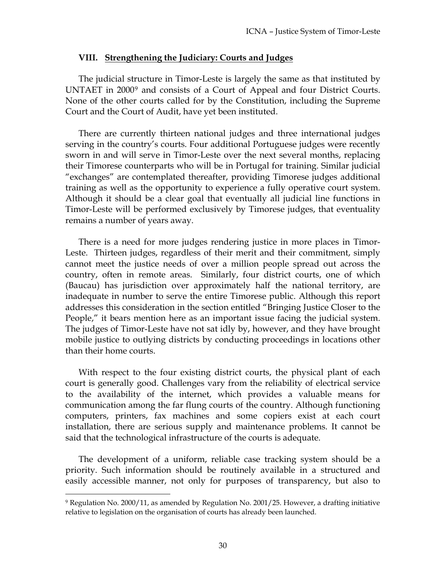#### **VIII. Strengthening the Judiciary: Courts and Judges**

The judicial structure in Timor-Leste is largely the same as that instituted by UNTAET in 2000<sup>9</sup> and consists of a Court of Appeal and four District Courts. None of the other courts called for by the Constitution, including the Supreme Court and the Court of Audit, have yet been instituted.

There are currently thirteen national judges and three international judges serving in the country's courts. Four additional Portuguese judges were recently sworn in and will serve in Timor-Leste over the next several months, replacing their Timorese counterparts who will be in Portugal for training. Similar judicial "exchanges" are contemplated thereafter, providing Timorese judges additional training as well as the opportunity to experience a fully operative court system. Although it should be a clear goal that eventually all judicial line functions in Timor-Leste will be performed exclusively by Timorese judges, that eventuality remains a number of years away.

There is a need for more judges rendering justice in more places in Timor-Leste. Thirteen judges, regardless of their merit and their commitment, simply cannot meet the justice needs of over a million people spread out across the country, often in remote areas. Similarly, four district courts, one of which (Baucau) has jurisdiction over approximately half the national territory, are inadequate in number to serve the entire Timorese public. Although this report addresses this consideration in the section entitled "Bringing Justice Closer to the People," it bears mention here as an important issue facing the judicial system. The judges of Timor-Leste have not sat idly by, however, and they have brought mobile justice to outlying districts by conducting proceedings in locations other than their home courts.

With respect to the four existing district courts, the physical plant of each court is generally good. Challenges vary from the reliability of electrical service to the availability of the internet, which provides a valuable means for communication among the far flung courts of the country. Although functioning computers, printers, fax machines and some copiers exist at each court installation, there are serious supply and maintenance problems. It cannot be said that the technological infrastructure of the courts is adequate.

The development of a uniform, reliable case tracking system should be a priority. Such information should be routinely available in a structured and easily accessible manner, not only for purposes of transparency, but also to

 $\overline{a}$ 

<sup>9</sup> Regulation No. 2000/11, as amended by Regulation No. 2001/25. However, a drafting initiative relative to legislation on the organisation of courts has already been launched.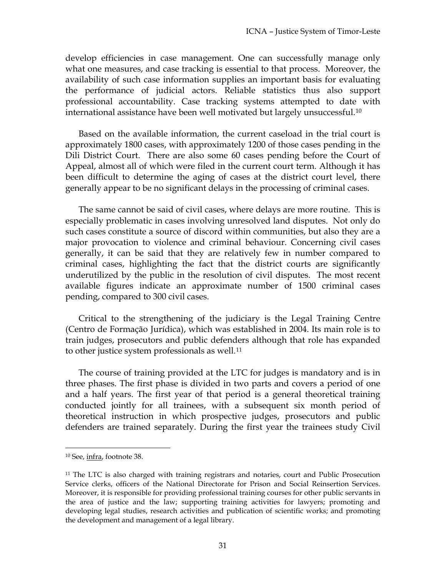develop efficiencies in case management. One can successfully manage only what one measures, and case tracking is essential to that process. Moreover, the availability of such case information supplies an important basis for evaluating the performance of judicial actors. Reliable statistics thus also support professional accountability. Case tracking systems attempted to date with international assistance have been well motivated but largely unsuccessful.10

Based on the available information, the current caseload in the trial court is approximately 1800 cases, with approximately 1200 of those cases pending in the Dili District Court. There are also some 60 cases pending before the Court of Appeal, almost all of which were filed in the current court term. Although it has been difficult to determine the aging of cases at the district court level, there generally appear to be no significant delays in the processing of criminal cases.

The same cannot be said of civil cases, where delays are more routine. This is especially problematic in cases involving unresolved land disputes. Not only do such cases constitute a source of discord within communities, but also they are a major provocation to violence and criminal behaviour. Concerning civil cases generally, it can be said that they are relatively few in number compared to criminal cases, highlighting the fact that the district courts are significantly underutilized by the public in the resolution of civil disputes. The most recent available figures indicate an approximate number of 1500 criminal cases pending, compared to 300 civil cases.

Critical to the strengthening of the judiciary is the Legal Training Centre (Centro de Formação Jurídica), which was established in 2004. Its main role is to train judges, prosecutors and public defenders although that role has expanded to other justice system professionals as well.11

The course of training provided at the LTC for judges is mandatory and is in three phases. The first phase is divided in two parts and covers a period of one and a half years. The first year of that period is a general theoretical training conducted jointly for all trainees, with a subsequent six month period of theoretical instruction in which prospective judges, prosecutors and public defenders are trained separately. During the first year the trainees study Civil

 $\overline{a}$ 

<sup>10</sup> See, infra, footnote 38.

<sup>&</sup>lt;sup>11</sup> The LTC is also charged with training registrars and notaries, court and Public Prosecution Service clerks, officers of the National Directorate for Prison and Social Reinsertion Services. Moreover, it is responsible for providing professional training courses for other public servants in the area of justice and the law; supporting training activities for lawyers; promoting and developing legal studies, research activities and publication of scientific works; and promoting the development and management of a legal library.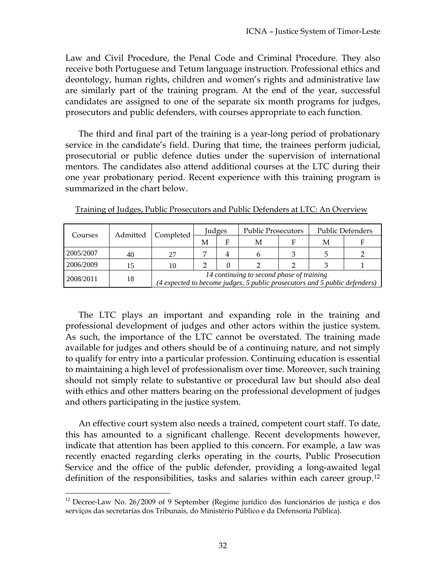Law and Civil Procedure, the Penal Code and Criminal Procedure. They also receive both Portuguese and Tetum language instruction. Professional ethics and deontology, human rights, children and women's rights and administrative law are similarly part of the training program. At the end of the year, successful candidates are assigned to one of the separate six month programs for judges, prosecutors and public defenders, with courses appropriate to each function.

The third and final part of the training is a year-long period of probationary service in the candidate's field. During that time, the trainees perform judicial, prosecutorial or public defence duties under the supervision of international mentors. The candidates also attend additional courses at the LTC during their one year probationary period. Recent experience with this training program is summarized in the chart below.

| Courses   | Admitted | Completed                                                                                                               | Judges |   | <b>Public Prosecutors</b> |  | <b>Public Defenders</b> |  |
|-----------|----------|-------------------------------------------------------------------------------------------------------------------------|--------|---|---------------------------|--|-------------------------|--|
|           |          |                                                                                                                         | M      | F | М                         |  | М                       |  |
| 2005/2007 | 40       | 27                                                                                                                      |        | 4 |                           |  |                         |  |
| 2006/2009 |          | 10                                                                                                                      |        |   |                           |  |                         |  |
| 2008/2011 | 18       | 14 continuing to second phase of training<br>(4 expected to become judges, 5 public prosecutors and 5 public defenders) |        |   |                           |  |                         |  |

Training of Judges, Public Prosecutors and Public Defenders at LTC: An Overview

The LTC plays an important and expanding role in the training and professional development of judges and other actors within the justice system. As such, the importance of the LTC cannot be overstated. The training made available for judges and others should be of a continuing nature, and not simply to qualify for entry into a particular profession. Continuing education is essential to maintaining a high level of professionalism over time. Moreover, such training should not simply relate to substantive or procedural law but should also deal with ethics and other matters bearing on the professional development of judges and others participating in the justice system.

An effective court system also needs a trained, competent court staff. To date, this has amounted to a significant challenge. Recent developments however, indicate that attention has been applied to this concern. For example, a law was recently enacted regarding clerks operating in the courts, Public Prosecution Service and the office of the public defender, providing a long-awaited legal definition of the responsibilities, tasks and salaries within each career group.12

 $\overline{a}$ <sup>12</sup> Decree-Law No. 26/2009 of 9 September (Regime jurídico dos funcionários de justiça e dos serviços das secretarias dos Tribunais, do Ministério Público e da Defensoria Pública).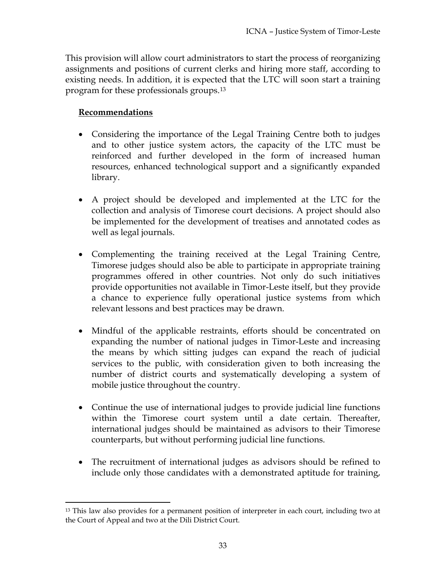This provision will allow court administrators to start the process of reorganizing assignments and positions of current clerks and hiring more staff, according to existing needs. In addition, it is expected that the LTC will soon start a training program for these professionals groups.13

# **Recommendations**

 $\overline{a}$ 

- Considering the importance of the Legal Training Centre both to judges and to other justice system actors, the capacity of the LTC must be reinforced and further developed in the form of increased human resources, enhanced technological support and a significantly expanded library.
- A project should be developed and implemented at the LTC for the collection and analysis of Timorese court decisions. A project should also be implemented for the development of treatises and annotated codes as well as legal journals.
- Complementing the training received at the Legal Training Centre, Timorese judges should also be able to participate in appropriate training programmes offered in other countries. Not only do such initiatives provide opportunities not available in Timor-Leste itself, but they provide a chance to experience fully operational justice systems from which relevant lessons and best practices may be drawn.
- Mindful of the applicable restraints, efforts should be concentrated on expanding the number of national judges in Timor-Leste and increasing the means by which sitting judges can expand the reach of judicial services to the public, with consideration given to both increasing the number of district courts and systematically developing a system of mobile justice throughout the country.
- Continue the use of international judges to provide judicial line functions within the Timorese court system until a date certain. Thereafter, international judges should be maintained as advisors to their Timorese counterparts, but without performing judicial line functions.
- The recruitment of international judges as advisors should be refined to include only those candidates with a demonstrated aptitude for training,

<sup>&</sup>lt;sup>13</sup> This law also provides for a permanent position of interpreter in each court, including two at the Court of Appeal and two at the Dili District Court.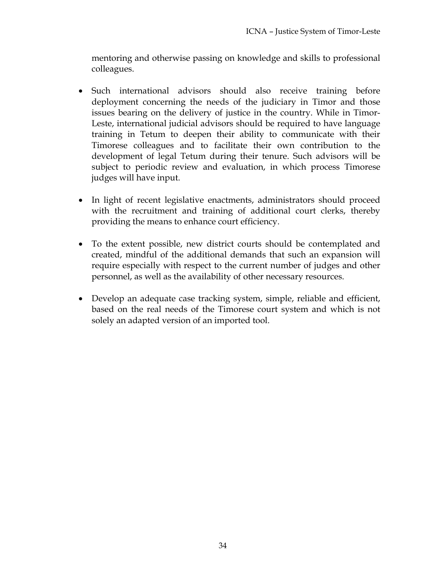mentoring and otherwise passing on knowledge and skills to professional colleagues.

- Such international advisors should also receive training before deployment concerning the needs of the judiciary in Timor and those issues bearing on the delivery of justice in the country. While in Timor-Leste, international judicial advisors should be required to have language training in Tetum to deepen their ability to communicate with their Timorese colleagues and to facilitate their own contribution to the development of legal Tetum during their tenure. Such advisors will be subject to periodic review and evaluation, in which process Timorese judges will have input.
- In light of recent legislative enactments, administrators should proceed with the recruitment and training of additional court clerks, thereby providing the means to enhance court efficiency.
- To the extent possible, new district courts should be contemplated and created, mindful of the additional demands that such an expansion will require especially with respect to the current number of judges and other personnel, as well as the availability of other necessary resources.
- Develop an adequate case tracking system, simple, reliable and efficient, based on the real needs of the Timorese court system and which is not solely an adapted version of an imported tool.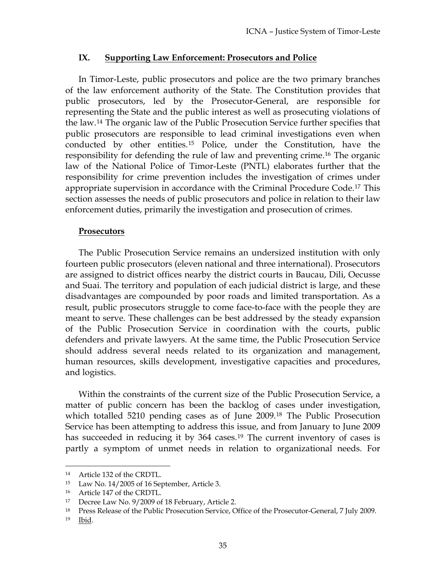#### **IX. Supporting Law Enforcement: Prosecutors and Police**

In Timor-Leste, public prosecutors and police are the two primary branches of the law enforcement authority of the State. The Constitution provides that public prosecutors, led by the Prosecutor-General, are responsible for representing the State and the public interest as well as prosecuting violations of the law.14 The organic law of the Public Prosecution Service further specifies that public prosecutors are responsible to lead criminal investigations even when conducted by other entities.15 Police, under the Constitution, have the responsibility for defending the rule of law and preventing crime.16 The organic law of the National Police of Timor-Leste (PNTL) elaborates further that the responsibility for crime prevention includes the investigation of crimes under appropriate supervision in accordance with the Criminal Procedure Code.17 This section assesses the needs of public prosecutors and police in relation to their law enforcement duties, primarily the investigation and prosecution of crimes.

#### **Prosecutors**

The Public Prosecution Service remains an undersized institution with only fourteen public prosecutors (eleven national and three international). Prosecutors are assigned to district offices nearby the district courts in Baucau, Dili, Oecusse and Suai. The territory and population of each judicial district is large, and these disadvantages are compounded by poor roads and limited transportation. As a result, public prosecutors struggle to come face-to-face with the people they are meant to serve. These challenges can be best addressed by the steady expansion of the Public Prosecution Service in coordination with the courts, public defenders and private lawyers. At the same time, the Public Prosecution Service should address several needs related to its organization and management, human resources, skills development, investigative capacities and procedures, and logistics.

Within the constraints of the current size of the Public Prosecution Service, a matter of public concern has been the backlog of cases under investigation, which totalled 5210 pending cases as of June 2009.<sup>18</sup> The Public Prosecution Service has been attempting to address this issue, and from January to June 2009 has succeeded in reducing it by 364 cases.<sup>19</sup> The current inventory of cases is partly a symptom of unmet needs in relation to organizational needs. For

 $\overline{a}$ 

<sup>14</sup> Article 132 of the CRDTL.

<sup>15</sup> Law No. 14/2005 of 16 September, Article 3.

<sup>16</sup> Article 147 of the CRDTL.

<sup>17</sup> Decree Law No. 9/2009 of 18 February, Article 2.

<sup>&</sup>lt;sup>18</sup> Press Release of the Public Prosecution Service, Office of the Prosecutor-General, 7 July 2009.

<sup>19</sup> Ibid.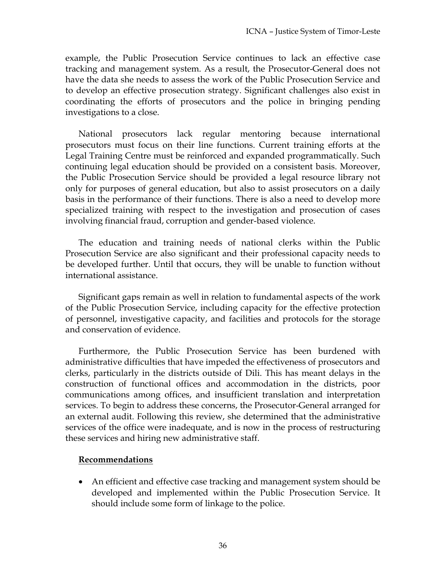example, the Public Prosecution Service continues to lack an effective case tracking and management system. As a result, the Prosecutor-General does not have the data she needs to assess the work of the Public Prosecution Service and to develop an effective prosecution strategy. Significant challenges also exist in coordinating the efforts of prosecutors and the police in bringing pending investigations to a close.

National prosecutors lack regular mentoring because international prosecutors must focus on their line functions. Current training efforts at the Legal Training Centre must be reinforced and expanded programmatically. Such continuing legal education should be provided on a consistent basis. Moreover, the Public Prosecution Service should be provided a legal resource library not only for purposes of general education, but also to assist prosecutors on a daily basis in the performance of their functions. There is also a need to develop more specialized training with respect to the investigation and prosecution of cases involving financial fraud, corruption and gender-based violence.

The education and training needs of national clerks within the Public Prosecution Service are also significant and their professional capacity needs to be developed further. Until that occurs, they will be unable to function without international assistance.

Significant gaps remain as well in relation to fundamental aspects of the work of the Public Prosecution Service, including capacity for the effective protection of personnel, investigative capacity, and facilities and protocols for the storage and conservation of evidence.

Furthermore, the Public Prosecution Service has been burdened with administrative difficulties that have impeded the effectiveness of prosecutors and clerks, particularly in the districts outside of Dili. This has meant delays in the construction of functional offices and accommodation in the districts, poor communications among offices, and insufficient translation and interpretation services. To begin to address these concerns, the Prosecutor-General arranged for an external audit. Following this review, she determined that the administrative services of the office were inadequate, and is now in the process of restructuring these services and hiring new administrative staff.

#### **Recommendations**

 An efficient and effective case tracking and management system should be developed and implemented within the Public Prosecution Service. It should include some form of linkage to the police.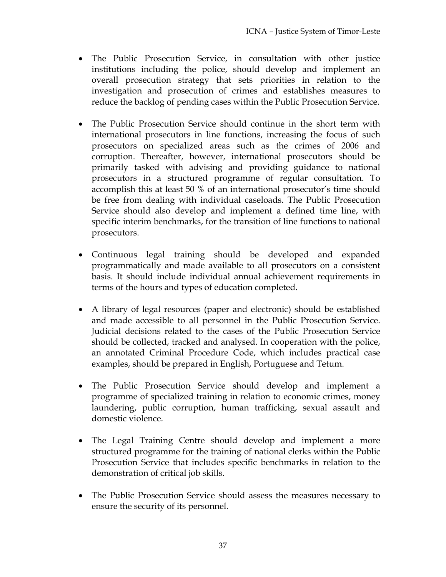- The Public Prosecution Service, in consultation with other justice institutions including the police, should develop and implement an overall prosecution strategy that sets priorities in relation to the investigation and prosecution of crimes and establishes measures to reduce the backlog of pending cases within the Public Prosecution Service.
- The Public Prosecution Service should continue in the short term with international prosecutors in line functions, increasing the focus of such prosecutors on specialized areas such as the crimes of 2006 and corruption. Thereafter, however, international prosecutors should be primarily tasked with advising and providing guidance to national prosecutors in a structured programme of regular consultation. To accomplish this at least 50 % of an international prosecutor's time should be free from dealing with individual caseloads. The Public Prosecution Service should also develop and implement a defined time line, with specific interim benchmarks, for the transition of line functions to national prosecutors.
- Continuous legal training should be developed and expanded programmatically and made available to all prosecutors on a consistent basis. It should include individual annual achievement requirements in terms of the hours and types of education completed.
- A library of legal resources (paper and electronic) should be established and made accessible to all personnel in the Public Prosecution Service. Judicial decisions related to the cases of the Public Prosecution Service should be collected, tracked and analysed. In cooperation with the police, an annotated Criminal Procedure Code, which includes practical case examples, should be prepared in English, Portuguese and Tetum.
- The Public Prosecution Service should develop and implement a programme of specialized training in relation to economic crimes, money laundering, public corruption, human trafficking, sexual assault and domestic violence.
- The Legal Training Centre should develop and implement a more structured programme for the training of national clerks within the Public Prosecution Service that includes specific benchmarks in relation to the demonstration of critical job skills.
- The Public Prosecution Service should assess the measures necessary to ensure the security of its personnel.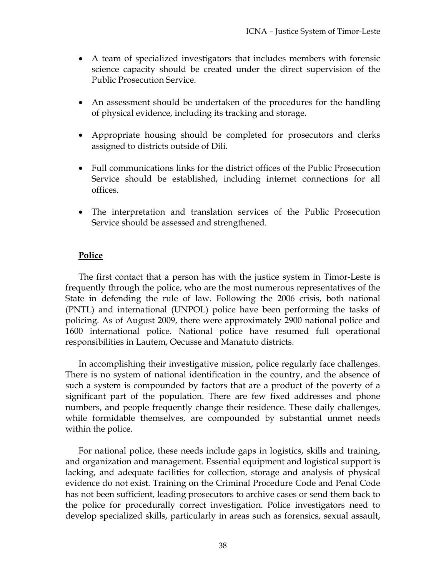- A team of specialized investigators that includes members with forensic science capacity should be created under the direct supervision of the Public Prosecution Service.
- An assessment should be undertaken of the procedures for the handling of physical evidence, including its tracking and storage.
- Appropriate housing should be completed for prosecutors and clerks assigned to districts outside of Dili.
- Full communications links for the district offices of the Public Prosecution Service should be established, including internet connections for all offices.
- The interpretation and translation services of the Public Prosecution Service should be assessed and strengthened.

### **Police**

The first contact that a person has with the justice system in Timor-Leste is frequently through the police, who are the most numerous representatives of the State in defending the rule of law. Following the 2006 crisis, both national (PNTL) and international (UNPOL) police have been performing the tasks of policing. As of August 2009, there were approximately 2900 national police and 1600 international police. National police have resumed full operational responsibilities in Lautem, Oecusse and Manatuto districts.

In accomplishing their investigative mission, police regularly face challenges. There is no system of national identification in the country, and the absence of such a system is compounded by factors that are a product of the poverty of a significant part of the population. There are few fixed addresses and phone numbers, and people frequently change their residence. These daily challenges, while formidable themselves, are compounded by substantial unmet needs within the police.

For national police, these needs include gaps in logistics, skills and training, and organization and management. Essential equipment and logistical support is lacking, and adequate facilities for collection, storage and analysis of physical evidence do not exist. Training on the Criminal Procedure Code and Penal Code has not been sufficient, leading prosecutors to archive cases or send them back to the police for procedurally correct investigation. Police investigators need to develop specialized skills, particularly in areas such as forensics, sexual assault,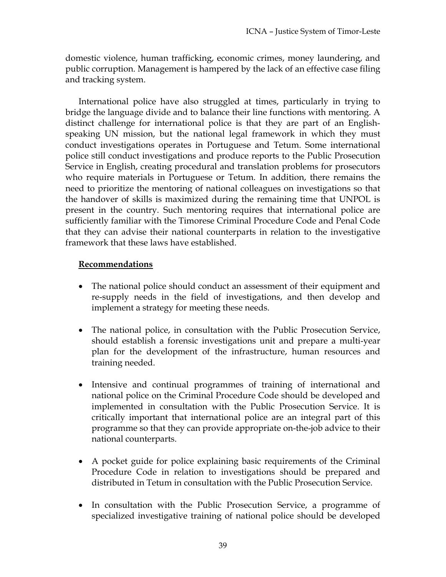domestic violence, human trafficking, economic crimes, money laundering, and public corruption. Management is hampered by the lack of an effective case filing and tracking system.

International police have also struggled at times, particularly in trying to bridge the language divide and to balance their line functions with mentoring. A distinct challenge for international police is that they are part of an Englishspeaking UN mission, but the national legal framework in which they must conduct investigations operates in Portuguese and Tetum. Some international police still conduct investigations and produce reports to the Public Prosecution Service in English, creating procedural and translation problems for prosecutors who require materials in Portuguese or Tetum. In addition, there remains the need to prioritize the mentoring of national colleagues on investigations so that the handover of skills is maximized during the remaining time that UNPOL is present in the country. Such mentoring requires that international police are sufficiently familiar with the Timorese Criminal Procedure Code and Penal Code that they can advise their national counterparts in relation to the investigative framework that these laws have established.

- The national police should conduct an assessment of their equipment and re-supply needs in the field of investigations, and then develop and implement a strategy for meeting these needs.
- The national police, in consultation with the Public Prosecution Service, should establish a forensic investigations unit and prepare a multi-year plan for the development of the infrastructure, human resources and training needed.
- Intensive and continual programmes of training of international and national police on the Criminal Procedure Code should be developed and implemented in consultation with the Public Prosecution Service. It is critically important that international police are an integral part of this programme so that they can provide appropriate on-the-job advice to their national counterparts.
- A pocket guide for police explaining basic requirements of the Criminal Procedure Code in relation to investigations should be prepared and distributed in Tetum in consultation with the Public Prosecution Service.
- In consultation with the Public Prosecution Service, a programme of specialized investigative training of national police should be developed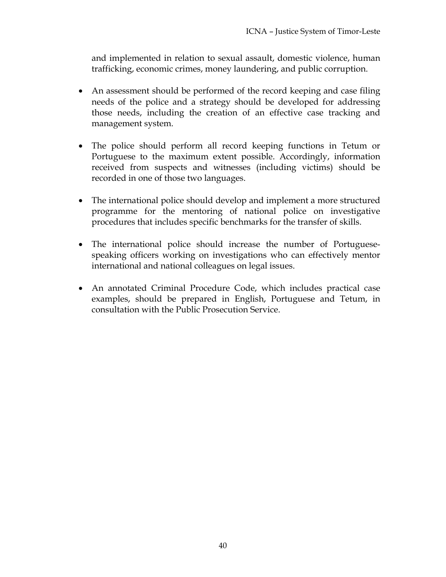and implemented in relation to sexual assault, domestic violence, human trafficking, economic crimes, money laundering, and public corruption.

- An assessment should be performed of the record keeping and case filing needs of the police and a strategy should be developed for addressing those needs, including the creation of an effective case tracking and management system.
- The police should perform all record keeping functions in Tetum or Portuguese to the maximum extent possible. Accordingly, information received from suspects and witnesses (including victims) should be recorded in one of those two languages.
- The international police should develop and implement a more structured programme for the mentoring of national police on investigative procedures that includes specific benchmarks for the transfer of skills.
- The international police should increase the number of Portuguesespeaking officers working on investigations who can effectively mentor international and national colleagues on legal issues.
- An annotated Criminal Procedure Code, which includes practical case examples, should be prepared in English, Portuguese and Tetum, in consultation with the Public Prosecution Service.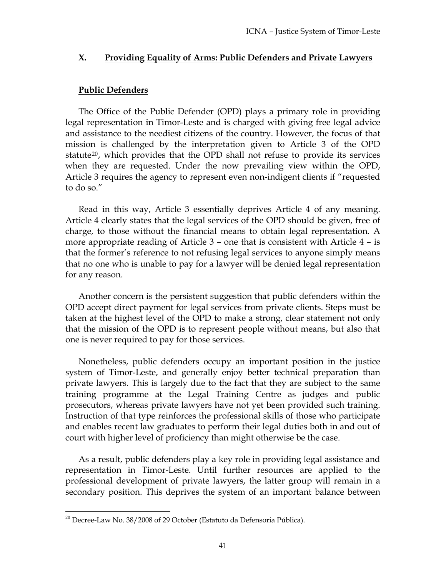#### **X. Providing Equality of Arms: Public Defenders and Private Lawyers**

### **Public Defenders**

The Office of the Public Defender (OPD) plays a primary role in providing legal representation in Timor-Leste and is charged with giving free legal advice and assistance to the neediest citizens of the country. However, the focus of that mission is challenged by the interpretation given to Article 3 of the OPD statute<sup>20</sup>, which provides that the OPD shall not refuse to provide its services when they are requested. Under the now prevailing view within the OPD, Article 3 requires the agency to represent even non-indigent clients if "requested to do so."

that no one who is unable to pay for a lawyer will be denied legal representation for any reason. Read in this way, Article 3 essentially deprives Article 4 of any meaning. Article 4 clearly states that the legal services of the OPD should be given, free of charge, to those without the financial means to obtain legal representation. A more appropriate reading of Article 3 – one that is consistent with Article 4 – is that the former's reference to not refusing legal services to anyone simply means

that the mission of the OPD is to represent people without means, but also that one is never required to pay for those services. Another concern is the persistent suggestion that public defenders within the OPD accept direct payment for legal services from private clients. Steps must be taken at the highest level of the OPD to make a strong, clear statement not only

and enables recent law graduates to perform their legal duties both in and out of court with higher level of proficiency than might otherwise be the case. Nonetheless, public defenders occupy an important position in the justice system of Timor-Leste, and generally enjoy better technical preparation than private lawyers. This is largely due to the fact that they are subject to the same training programme at the Legal Training Centre as judges and public prosecutors, whereas private lawyers have not yet been provided such training. Instruction of that type reinforces the professional skills of those who participate

secondary position. This deprives the system of an important balance between As a result, public defenders play a key role in providing legal assistance and representation in Timor-Leste. Until further resources are applied to the professional development of private lawyers, the latter group will remain in a

 $^{20}$  Decree-Law No. 38/2008 of 29 October (Estatuto da Defensoria Pública).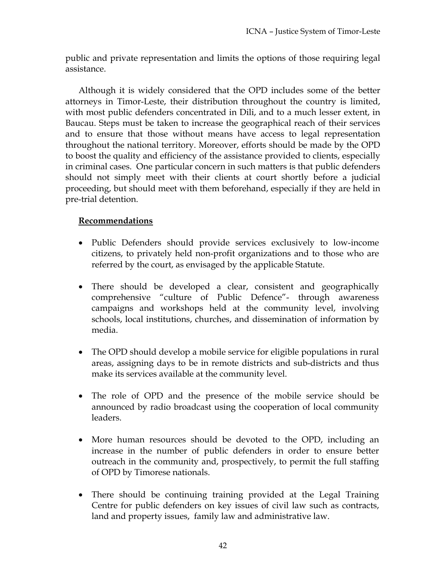public and private representation and limits the options of those requiring legal assistance.

Although it is widely considered that the OPD includes some of the better attorneys in Timor-Leste, their distribution throughout the country is limited, with most public defenders concentrated in Dili, and to a much lesser extent, in Baucau. Steps must be taken to increase the geographical reach of their services and to ensure that those without means have access to legal representation throughout the national territory. Moreover, efforts should be made by the OPD to boost the quality and efficiency of the assistance provided to clients, especially in criminal cases. One particular concern in such matters is that public defenders should not simply meet with their clients at court shortly before a judicial proceeding, but should meet with them beforehand, especially if they are held in pre-trial detention.

- Public Defenders should provide services exclusively to low-income citizens, to privately held non-profit organizations and to those who are referred by the court, as envisaged by the applicable Statute.
- There should be developed a clear, consistent and geographically comprehensive "culture of Public Defence"- through awareness campaigns and workshops held at the community level, involving schools, local institutions, churches, and dissemination of information by media.
- The OPD should develop a mobile service for eligible populations in rural areas, assigning days to be in remote districts and sub-districts and thus make its services available at the community level.
- The role of OPD and the presence of the mobile service should be announced by radio broadcast using the cooperation of local community leaders.
- More human resources should be devoted to the OPD, including an increase in the number of public defenders in order to ensure better outreach in the community and, prospectively, to permit the full staffing of OPD by Timorese nationals.
- There should be continuing training provided at the Legal Training Centre for public defenders on key issues of civil law such as contracts, land and property issues, family law and administrative law.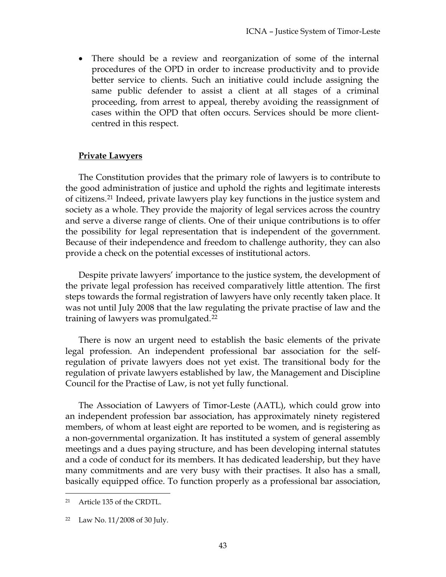There should be a review and reorganization of some of the internal procedures of the OPD in order to increase productivity and to provide better service to clients. Such an initiative could include assigning the same public defender to assist a client at all stages of a criminal proceeding, from arrest to appeal, thereby avoiding the reassignment of cases within the OPD that often occurs. Services should be more clientcentred in this respect.

### **Private Lawyers**

The Constitution provides that the primary role of lawyers is to contribute to the good administration of justice and uphold the rights and legitimate interests of citizens.21 Indeed, private lawyers play key functions in the justice system and society as a whole. They provide the majority of legal services across the country and serve a diverse range of clients. One of their unique contributions is to offer the possibility for legal representation that is independent of the government. Because of their independence and freedom to challenge authority, they can also provide a check on the potential excesses of institutional actors.

Despite private lawyers' importance to the justice system, the development of the private legal profession has received comparatively little attention. The first steps towards the formal registration of lawyers have only recently taken place. It was not until July 2008 that the law regulating the private practise of law and the training of lawyers was promulgated.22

There is now an urgent need to establish the basic elements of the private legal profession. An independent professional bar association for the selfregulation of private lawyers does not yet exist. The transitional body for the regulation of private lawyers established by law, the Management and Discipline Council for the Practise of Law, is not yet fully functional.

The Association of Lawyers of Timor-Leste (AATL), which could grow into an independent profession bar association, has approximately ninety registered members, of whom at least eight are reported to be women, and is registering as a non-governmental organization. It has instituted a system of general assembly meetings and a dues paying structure, and has been developing internal statutes and a code of conduct for its members. It has dedicated leadership, but they have many commitments and are very busy with their practises. It also has a small, basically equipped office. To function properly as a professional bar association,

 $\overline{a}$ 21 Article 135 of the CRDTL.

<sup>22</sup> Law No. 11/2008 of 30 July.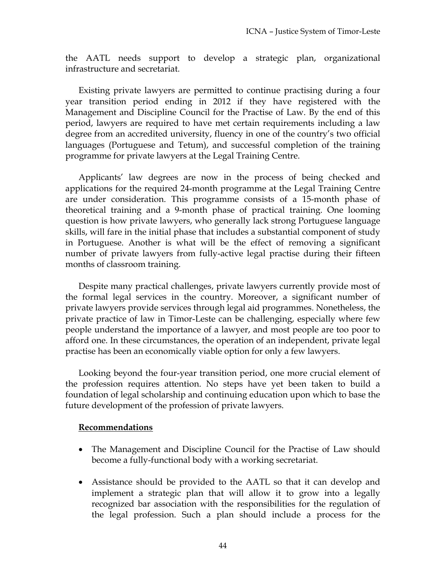the AATL needs support to develop a strategic plan, organizational infrastructure and secretariat.

Existing private lawyers are permitted to continue practising during a four year transition period ending in 2012 if they have registered with the Management and Discipline Council for the Practise of Law. By the end of this period, lawyers are required to have met certain requirements including a law degree from an accredited university, fluency in one of the country's two official languages (Portuguese and Tetum), and successful completion of the training programme for private lawyers at the Legal Training Centre.

Applicants' law degrees are now in the process of being checked and applications for the required 24-month programme at the Legal Training Centre are under consideration. This programme consists of a 15-month phase of theoretical training and a 9-month phase of practical training. One looming question is how private lawyers, who generally lack strong Portuguese language skills, will fare in the initial phase that includes a substantial component of study in Portuguese. Another is what will be the effect of removing a significant number of private lawyers from fully-active legal practise during their fifteen months of classroom training.

Despite many practical challenges, private lawyers currently provide most of the formal legal services in the country. Moreover, a significant number of private lawyers provide services through legal aid programmes. Nonetheless, the private practice of law in Timor-Leste can be challenging, especially where few people understand the importance of a lawyer, and most people are too poor to afford one. In these circumstances, the operation of an independent, private legal practise has been an economically viable option for only a few lawyers.

Looking beyond the four-year transition period, one more crucial element of the profession requires attention. No steps have yet been taken to build a foundation of legal scholarship and continuing education upon which to base the future development of the profession of private lawyers.

- The Management and Discipline Council for the Practise of Law should become a fully-functional body with a working secretariat.
- Assistance should be provided to the AATL so that it can develop and implement a strategic plan that will allow it to grow into a legally recognized bar association with the responsibilities for the regulation of the legal profession. Such a plan should include a process for the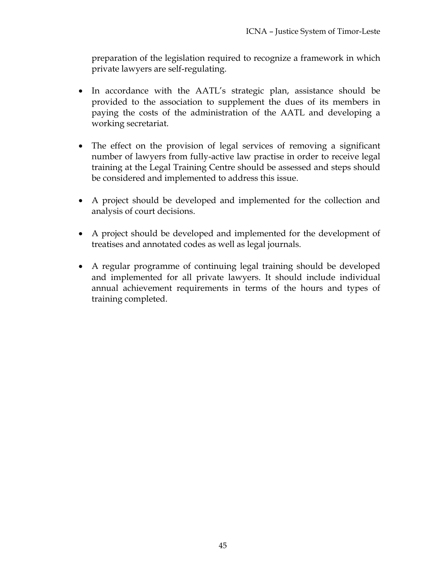preparation of the legislation required to recognize a framework in which private lawyers are self-regulating.

- In accordance with the AATL's strategic plan, assistance should be provided to the association to supplement the dues of its members in paying the costs of the administration of the AATL and developing a working secretariat.
- The effect on the provision of legal services of removing a significant number of lawyers from fully-active law practise in order to receive legal training at the Legal Training Centre should be assessed and steps should be considered and implemented to address this issue.
- A project should be developed and implemented for the collection and analysis of court decisions.
- A project should be developed and implemented for the development of treatises and annotated codes as well as legal journals.
- A regular programme of continuing legal training should be developed and implemented for all private lawyers. It should include individual annual achievement requirements in terms of the hours and types of training completed.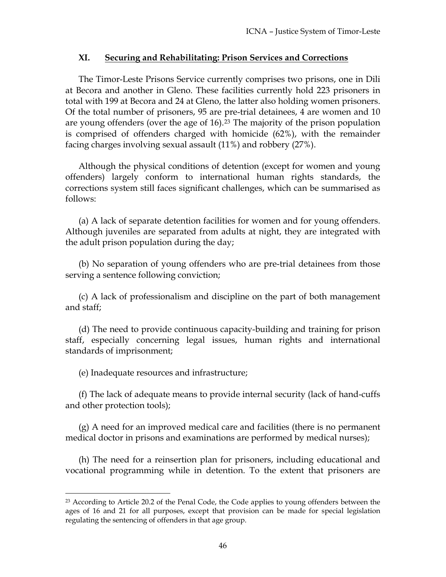### **XI. Securing and Rehabilitating: Prison Services and Corrections**

The Timor-Leste Prisons Service currently comprises two prisons, one in Dili at Becora and another in Gleno. These facilities currently hold 223 prisoners in total with 199 at Becora and 24 at Gleno, the latter also holding women prisoners. Of the total number of prisoners, 95 are pre-trial detainees, 4 are women and 10 are young offenders (over the age of  $16$ ).<sup>23</sup> The majority of the prison population is comprised of offenders charged with homicide (62%), with the remainder facing charges involving sexual assault (11%) and robbery (27%).

Although the physical conditions of detention (except for women and young offenders) largely conform to international human rights standards, the corrections system still faces significant challenges, which can be summarised as follows:

(a) A lack of separate detention facilities for women and for young offenders. Although juveniles are separated from adults at night, they are integrated with the adult prison population during the day;

(b) No separation of young offenders who are pre-trial detainees from those serving a sentence following conviction;

(c) A lack of professionalism and discipline on the part of both management and staff;

(d) The need to provide continuous capacity-building and training for prison staff, especially concerning legal issues, human rights and international standards of imprisonment;

(e) Inadequate resources and infrastructure;

 $\overline{a}$ 

(f) The lack of adequate means to provide internal security (lack of hand-cuffs and other protection tools);

(g) A need for an improved medical care and facilities (there is no permanent medical doctor in prisons and examinations are performed by medical nurses);

(h) The need for a reinsertion plan for prisoners, including educational and vocational programming while in detention. To the extent that prisoners are

 $23$  According to Article 20.2 of the Penal Code, the Code applies to young offenders between the ages of 16 and 21 for all purposes, except that provision can be made for special legislation regulating the sentencing of offenders in that age group.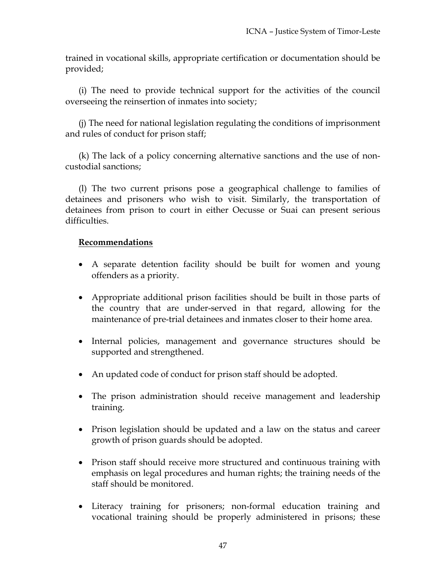trained in vocational skills, appropriate certification or documentation should be provided;

(i) The need to provide technical support for the activities of the council overseeing the reinsertion of inmates into society;

(j) The need for national legislation regulating the conditions of imprisonment and rules of conduct for prison staff;

(k) The lack of a policy concerning alternative sanctions and the use of noncustodial sanctions;

(l) The two current prisons pose a geographical challenge to families of detainees and prisoners who wish to visit. Similarly, the transportation of detainees from prison to court in either Oecusse or Suai can present serious difficulties.

- A separate detention facility should be built for women and young offenders as a priority.
- Appropriate additional prison facilities should be built in those parts of the country that are under-served in that regard, allowing for the maintenance of pre-trial detainees and inmates closer to their home area.
- Internal policies, management and governance structures should be supported and strengthened.
- An updated code of conduct for prison staff should be adopted.
- The prison administration should receive management and leadership training.
- Prison legislation should be updated and a law on the status and career growth of prison guards should be adopted.
- Prison staff should receive more structured and continuous training with emphasis on legal procedures and human rights; the training needs of the staff should be monitored.
- Literacy training for prisoners; non-formal education training and vocational training should be properly administered in prisons; these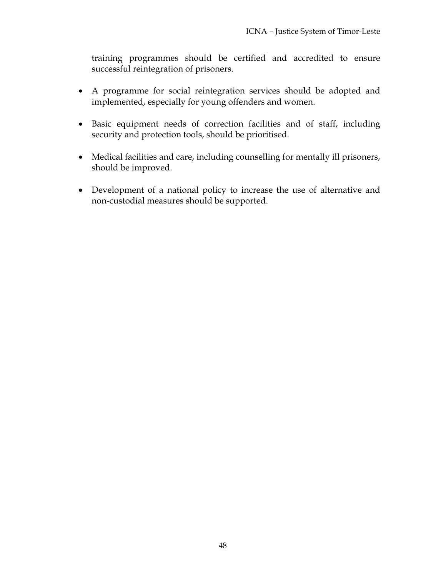training programmes should be certified and accredited to ensure successful reintegration of prisoners.

- A programme for social reintegration services should be adopted and implemented, especially for young offenders and women.
- Basic equipment needs of correction facilities and of staff, including security and protection tools, should be prioritised.
- Medical facilities and care, including counselling for mentally ill prisoners, should be improved.
- Development of a national policy to increase the use of alternative and non-custodial measures should be supported.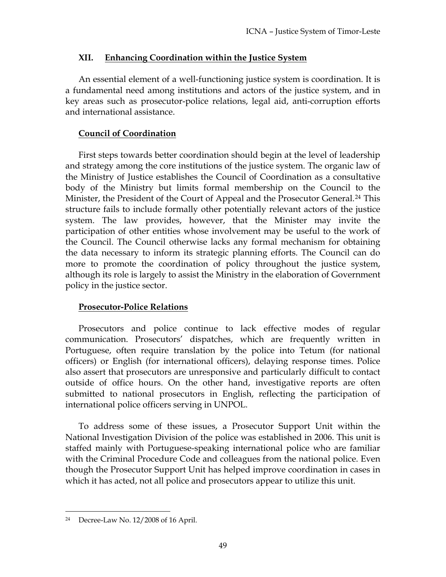### **XII. Enhancing Coordination within the Justice System**

An essential element of a well-functioning justice system is coordination. It is a fundamental need among institutions and actors of the justice system, and in key areas such as prosecutor-police relations, legal aid, anti-corruption efforts and international assistance.

## **Council of Coordination**

First steps towards better coordination should begin at the level of leadership and strategy among the core institutions of the justice system. The organic law of the Ministry of Justice establishes the Council of Coordination as a consultative body of the Ministry but limits formal membership on the Council to the Minister, the President of the Court of Appeal and the Prosecutor General.<sup>24</sup> This structure fails to include formally other potentially relevant actors of the justice system. The law provides, however, that the Minister may invite the participation of other entities whose involvement may be useful to the work of the Council. The Council otherwise lacks any formal mechanism for obtaining the data necessary to inform its strategic planning efforts. The Council can do more to promote the coordination of policy throughout the justice system, although its role is largely to assist the Ministry in the elaboration of Government policy in the justice sector.

## **Prosecutor-Police Relations**

Prosecutors and police continue to lack effective modes of regular communication. Prosecutors' dispatches, which are frequently written in Portuguese, often require translation by the police into Tetum (for national officers) or English (for international officers), delaying response times. Police also assert that prosecutors are unresponsive and particularly difficult to contact outside of office hours. On the other hand, investigative reports are often submitted to national prosecutors in English, reflecting the participation of international police officers serving in UNPOL.

To address some of these issues, a Prosecutor Support Unit within the National Investigation Division of the police was established in 2006. This unit is staffed mainly with Portuguese-speaking international police who are familiar with the Criminal Procedure Code and colleagues from the national police. Even though the Prosecutor Support Unit has helped improve coordination in cases in which it has acted, not all police and prosecutors appear to utilize this unit.

<sup>24</sup> Decree-Law No. 12/2008 of 16 April.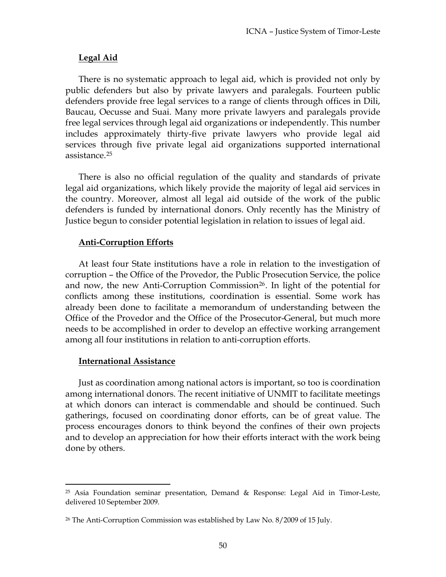### **Legal Aid**

There is no systematic approach to legal aid, which is provided not only by public defenders but also by private lawyers and paralegals. Fourteen public defenders provide free legal services to a range of clients through offices in Dili, Baucau, Oecusse and Suai. Many more private lawyers and paralegals provide free legal services through legal aid organizations or independently. This number includes approximately thirty-five private lawyers who provide legal aid services through five private legal aid organizations supported international assistance.25

There is also no official regulation of the quality and standards of private legal aid organizations, which likely provide the majority of legal aid services in the country. Moreover, almost all legal aid outside of the work of the public defenders is funded by international donors. Only recently has the Ministry of Justice begun to consider potential legislation in relation to issues of legal aid.

### **Anti-Corruption Efforts**

At least four State institutions have a role in relation to the investigation of corruption – the Office of the Provedor, the Public Prosecution Service, the police and now, the new Anti-Corruption Commission<sup>26</sup>. In light of the potential for conflicts among these institutions, coordination is essential. Some work has already been done to facilitate a memorandum of understanding between the Office of the Provedor and the Office of the Prosecutor-General, but much more needs to be accomplished in order to develop an effective working arrangement among all four institutions in relation to anti-corruption efforts.

### **International Assistance**

 $\overline{a}$ 

Just as coordination among national actors is important, so too is coordination among international donors. The recent initiative of UNMIT to facilitate meetings at which donors can interact is commendable and should be continued. Such gatherings, focused on coordinating donor efforts, can be of great value. The process encourages donors to think beyond the confines of their own projects and to develop an appreciation for how their efforts interact with the work being done by others.

 $25$  Asia Foundation seminar presentation, Demand & Response: Legal Aid in Timor-Leste, delivered 10 September 2009.

<sup>26</sup> The Anti-Corruption Commission was established by Law No. 8/2009 of 15 July.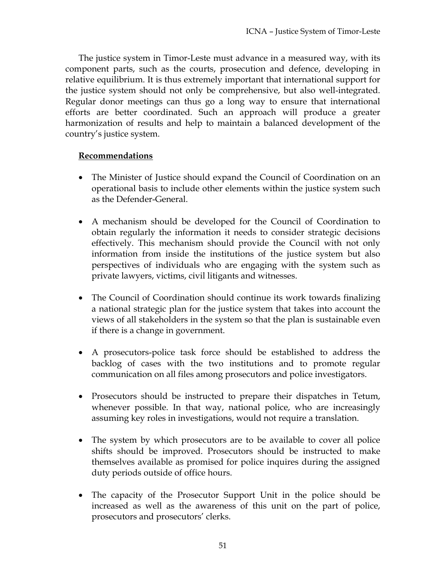The justice system in Timor-Leste must advance in a measured way, with its component parts, such as the courts, prosecution and defence, developing in relative equilibrium. It is thus extremely important that international support for the justice system should not only be comprehensive, but also well-integrated. Regular donor meetings can thus go a long way to ensure that international efforts are better coordinated. Such an approach will produce a greater harmonization of results and help to maintain a balanced development of the country's justice system.

- The Minister of Justice should expand the Council of Coordination on an operational basis to include other elements within the justice system such as the Defender-General.
- A mechanism should be developed for the Council of Coordination to obtain regularly the information it needs to consider strategic decisions effectively. This mechanism should provide the Council with not only information from inside the institutions of the justice system but also perspectives of individuals who are engaging with the system such as private lawyers, victims, civil litigants and witnesses.
- The Council of Coordination should continue its work towards finalizing a national strategic plan for the justice system that takes into account the views of all stakeholders in the system so that the plan is sustainable even if there is a change in government.
- A prosecutors-police task force should be established to address the backlog of cases with the two institutions and to promote regular communication on all files among prosecutors and police investigators.
- Prosecutors should be instructed to prepare their dispatches in Tetum, whenever possible. In that way, national police, who are increasingly assuming key roles in investigations, would not require a translation.
- The system by which prosecutors are to be available to cover all police shifts should be improved. Prosecutors should be instructed to make themselves available as promised for police inquires during the assigned duty periods outside of office hours.
- The capacity of the Prosecutor Support Unit in the police should be increased as well as the awareness of this unit on the part of police, prosecutors and prosecutors' clerks.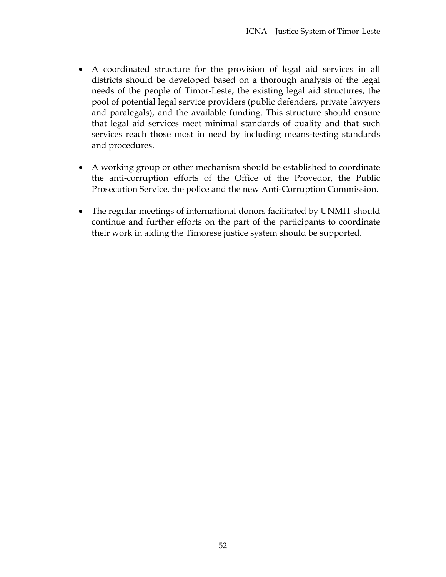- A coordinated structure for the provision of legal aid services in all districts should be developed based on a thorough analysis of the legal needs of the people of Timor-Leste, the existing legal aid structures, the pool of potential legal service providers (public defenders, private lawyers and paralegals), and the available funding. This structure should ensure that legal aid services meet minimal standards of quality and that such services reach those most in need by including means-testing standards and procedures.
- A working group or other mechanism should be established to coordinate the anti-corruption efforts of the Office of the Provedor, the Public Prosecution Service, the police and the new Anti-Corruption Commission.
- The regular meetings of international donors facilitated by UNMIT should continue and further efforts on the part of the participants to coordinate their work in aiding the Timorese justice system should be supported.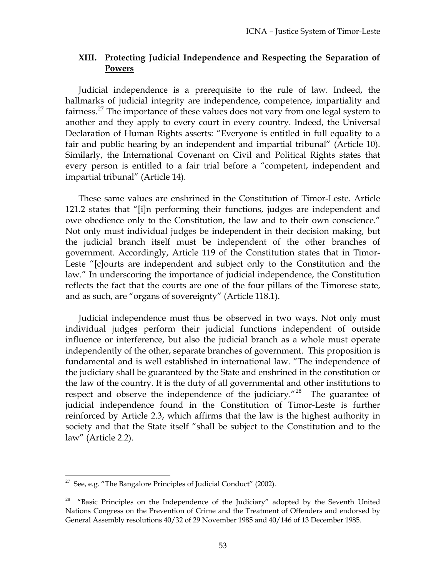### **XIII. Protecting Judicial Independence and Respecting the Separation of Powers**

Judicial independence is a prerequisite to the rule of law. Indeed, the hallmarks of judicial integrity are independence, competence, impartiality and fairness.<sup>27</sup> The importance of these values does not vary from one legal system to another and they apply to every court in every country. Indeed, the Universal Declaration of Human Rights asserts: "Everyone is entitled in full equality to a fair and public hearing by an independent and impartial tribunal" (Article 10). Similarly, the International Covenant on Civil and Political Rights states that every person is entitled to a fair trial before a "competent, independent and impartial tribunal" (Article 14).

These same values are enshrined in the Constitution of Timor-Leste. Article 121.2 states that "[i]n performing their functions, judges are independent and owe obedience only to the Constitution, the law and to their own conscience." Not only must individual judges be independent in their decision making, but the judicial branch itself must be independent of the other branches of government. Accordingly, Article 119 of the Constitution states that in Timor-Leste "[c]ourts are independent and subject only to the Constitution and the law." In underscoring the importance of judicial independence, the Constitution reflects the fact that the courts are one of the four pillars of the Timorese state, and as such, are "organs of sovereignty" (Article 118.1).

Judicial independence must thus be observed in two ways. Not only must individual judges perform their judicial functions independent of outside influence or interference, but also the judicial branch as a whole must operate independently of the other, separate branches of government. This proposition is fundamental and is well established in international law. "The independence of the judiciary shall be guaranteed by the State and enshrined in the constitution or the law of the country. It is the duty of all governmental and other institutions to respect and observe the independence of the judiciary."<sup>28</sup> The guarantee of judicial independence found in the Constitution of Timor-Leste is further reinforced by Article 2.3, which affirms that the law is the highest authority in society and that the State itself "shall be subject to the Constitution and to the law" (Article 2.2).

<sup>&</sup>lt;sup>27</sup> See, e.g. "The Bangalore Principles of Judicial Conduct" (2002).

 $28$  "Basic Principles on the Independence of the Judiciary" adopted by the Seventh United Nations Congress on the Prevention of Crime and the Treatment of Offenders and endorsed by General Assembly resolutions 40/32 of 29 November 1985 and 40/146 of 13 December 1985.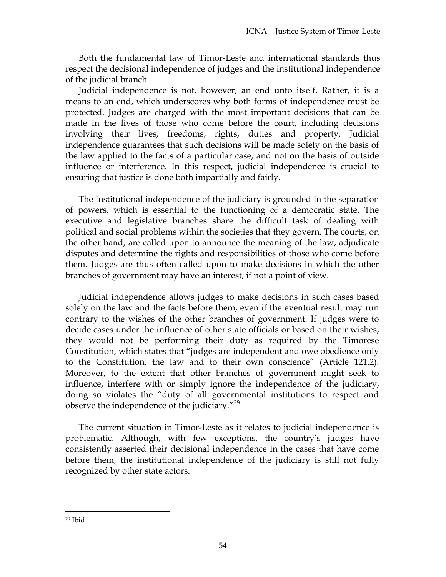Both the fundamental law of Timor-Leste and international standards thus respect the decisional independence of judges and the institutional independence of the judicial branch.

Judicial independence is not, however, an end unto itself. Rather, it is a means to an end, which underscores why both forms of independence must be protected. Judges are charged with the most important decisions that can be made in the lives of those who come before the court, including decisions involving their lives, freedoms, rights, duties and property. Judicial independence guarantees that such decisions will be made solely on the basis of the law applied to the facts of a particular case, and not on the basis of outside influence or interference. In this respect, judicial independence is crucial to ensuring that justice is done both impartially and fairly.

The institutional independence of the judiciary is grounded in the separation of powers, which is essential to the functioning of a democratic state. The executive and legislative branches share the difficult task of dealing with political and social problems within the societies that they govern. The courts, on the other hand, are called upon to announce the meaning of the law, adjudicate disputes and determine the rights and responsibilities of those who come before them. Judges are thus often called upon to make decisions in which the other branches of government may have an interest, if not a point of view.

Judicial independence allows judges to make decisions in such cases based solely on the law and the facts before them, even if the eventual result may run contrary to the wishes of the other branches of government. If judges were to decide cases under the influence of other state officials or based on their wishes, they would not be performing their duty as required by the Timorese Constitution, which states that "judges are independent and owe obedience only to the Constitution, the law and to their own conscience" (Article 121.2). Moreover, to the extent that other branches of government might seek to influence, interfere with or simply ignore the independence of the judiciary, doing so violates the "duty of all governmental institutions to respect and observe the independence of the judiciary."<sup>29</sup>

The current situation in Timor-Leste as it relates to judicial independence is problematic. Although, with few exceptions, the country's judges have consistently asserted their decisional independence in the cases that have come before them, the institutional independence of the judiciary is still not fully recognized by other state actors.

<sup>29</sup> Ibid.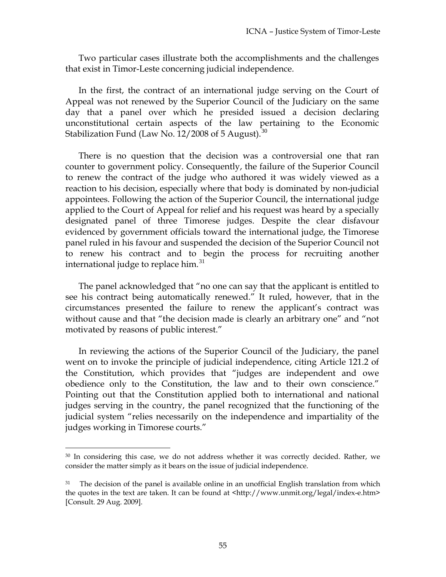Two particular cases illustrate both the accomplishments and the challenges that exist in Timor-Leste concerning judicial independence.

In the first, the contract of an international judge serving on the Court of Appeal was not renewed by the Superior Council of the Judiciary on the same day that a panel over which he presided issued a decision declaring unconstitutional certain aspects of the law pertaining to the Economic Stabilization Fund (Law No. 12/2008 of 5 August).  $30$ 

There is no question that the decision was a controversial one that ran counter to government policy. Consequently, the failure of the Superior Council to renew the contract of the judge who authored it was widely viewed as a reaction to his decision, especially where that body is dominated by non-judicial appointees. Following the action of the Superior Council, the international judge applied to the Court of Appeal for relief and his request was heard by a specially designated panel of three Timorese judges. Despite the clear disfavour evidenced by government officials toward the international judge, the Timorese panel ruled in his favour and suspended the decision of the Superior Council not to renew his contract and to begin the process for recruiting another international judge to replace him.<sup>31</sup>

The panel acknowledged that "no one can say that the applicant is entitled to see his contract being automatically renewed." It ruled, however, that in the circumstances presented the failure to renew the applicant's contract was without cause and that "the decision made is clearly an arbitrary one" and "not motivated by reasons of public interest."

In reviewing the actions of the Superior Council of the Judiciary, the panel went on to invoke the principle of judicial independence, citing Article 121.2 of the Constitution, which provides that "judges are independent and owe obedience only to the Constitution, the law and to their own conscience." Pointing out that the Constitution applied both to international and national judges serving in the country, the panel recognized that the functioning of the judicial system "relies necessarily on the independence and impartiality of the judges working in Timorese courts."

<sup>30</sup> In considering this case, we do not address whether it was correctly decided. Rather, we consider the matter simply as it bears on the issue of judicial independence.

<sup>&</sup>lt;sup>31</sup> The decision of the panel is available online in an unofficial English translation from which the quotes in the text are taken. It can be found at <http://www.unmit.org/legal/index-e.htm> [Consult. 29 Aug. 2009].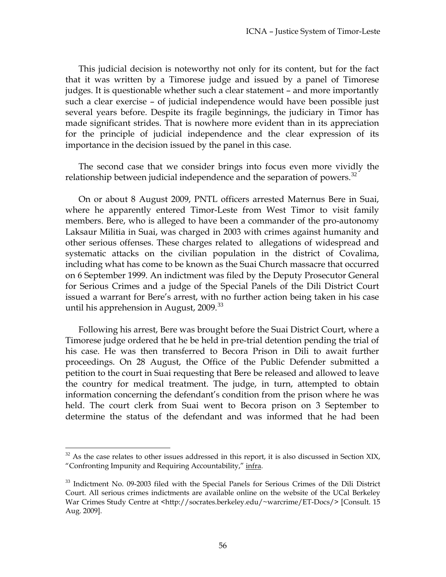This judicial decision is noteworthy not only for its content, but for the fact that it was written by a Timorese judge and issued by a panel of Timorese judges. It is questionable whether such a clear statement – and more importantly such a clear exercise – of judicial independence would have been possible just several years before. Despite its fragile beginnings, the judiciary in Timor has made significant strides. That is nowhere more evident than in its appreciation for the principle of judicial independence and the clear expression of its importance in the decision issued by the panel in this case.

The second case that we consider brings into focus even more vividly the relationship between judicial independence and the separation of powers.<sup>32</sup>

On or about 8 August 2009, PNTL officers arrested Maternus Bere in Suai, where he apparently entered Timor-Leste from West Timor to visit family members. Bere, who is alleged to have been a commander of the pro-autonomy Laksaur Militia in Suai, was charged in 2003 with crimes against humanity and other serious offenses. These charges related to allegations of widespread and systematic attacks on the civilian population in the district of Covalima, including what has come to be known as the Suai Church massacre that occurred on 6 September 1999. An indictment was filed by the Deputy Prosecutor General for Serious Crimes and a judge of the Special Panels of the Dili District Court issued a warrant for Bere's arrest, with no further action being taken in his case until his apprehension in August,  $2009.^{33}$ 

Following his arrest, Bere was brought before the Suai District Court, where a Timorese judge ordered that he be held in pre-trial detention pending the trial of his case. He was then transferred to Becora Prison in Dili to await further proceedings. On 28 August, the Office of the Public Defender submitted a petition to the court in Suai requesting that Bere be released and allowed to leave the country for medical treatment. The judge, in turn, attempted to obtain information concerning the defendant's condition from the prison where he was held. The court clerk from Suai went to Becora prison on 3 September to determine the status of the defendant and was informed that he had been

 $32$  As the case relates to other issues addressed in this report, it is also discussed in Section XIX, "Confronting Impunity and Requiring Accountability," infra.

<sup>&</sup>lt;sup>33</sup> Indictment No. 09-2003 filed with the Special Panels for Serious Crimes of the Dili District Court. All serious crimes indictments are available online on the website of the UCal Berkeley War Crimes Study Centre at <http://socrates.berkeley.edu/~warcrime/ET-Docs/> [Consult. 15 Aug. 2009].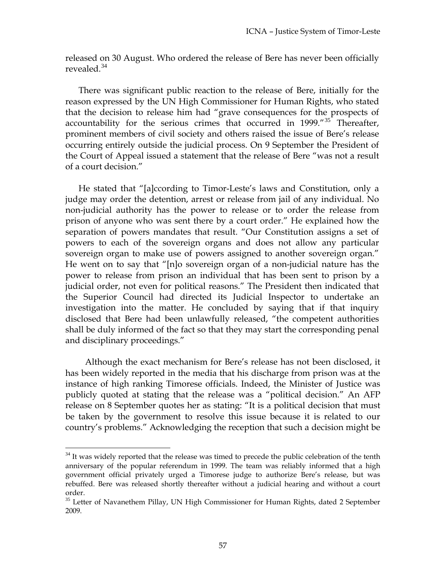released on 30 August. Who ordered the release of Bere has never been officially revealed.<sup>34</sup>

There was significant public reaction to the release of Bere, initially for the reason expressed by the UN High Commissioner for Human Rights, who stated that the decision to release him had "grave consequences for the prospects of accountability for the serious crimes that occurred in 1999."<sup>35</sup> Thereafter, prominent members of civil society and others raised the issue of Bere's release occurring entirely outside the judicial process. On 9 September the President of the Court of Appeal issued a statement that the release of Bere "was not a result of a court decision."

He stated that "[a]ccording to Timor-Leste's laws and Constitution, only a judge may order the detention, arrest or release from jail of any individual. No non-judicial authority has the power to release or to order the release from prison of anyone who was sent there by a court order." He explained how the separation of powers mandates that result. "Our Constitution assigns a set of powers to each of the sovereign organs and does not allow any particular sovereign organ to make use of powers assigned to another sovereign organ." He went on to say that "[n]o sovereign organ of a non-judicial nature has the power to release from prison an individual that has been sent to prison by a judicial order, not even for political reasons." The President then indicated that the Superior Council had directed its Judicial Inspector to undertake an investigation into the matter. He concluded by saying that if that inquiry disclosed that Bere had been unlawfully released, "the competent authorities shall be duly informed of the fact so that they may start the corresponding penal and disciplinary proceedings."

Although the exact mechanism for Bere's release has not been disclosed, it has been widely reported in the media that his discharge from prison was at the instance of high ranking Timorese officials. Indeed, the Minister of Justice was publicly quoted at stating that the release was a "political decision." An AFP release on 8 September quotes her as stating: "It is a political decision that must be taken by the government to resolve this issue because it is related to our country's problems." Acknowledging the reception that such a decision might be

 $34$  It was widely reported that the release was timed to precede the public celebration of the tenth anniversary of the popular referendum in 1999. The team was reliably informed that a high government official privately urged a Timorese judge to authorize Bere's release, but was rebuffed. Bere was released shortly thereafter without a judicial hearing and without a court order.

<sup>&</sup>lt;sup>35</sup> Letter of Navanethem Pillay, UN High Commissioner for Human Rights, dated 2 September 2009.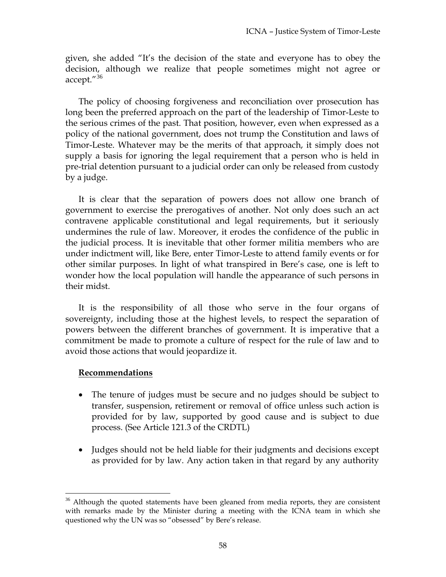given, she added "It's the decision of the state and everyone has to obey the decision, although we realize that people sometimes might not agree or accept."<sup>36</sup>

pre-trial detention pursuant to a judicial order can only be released from custody by a judge. The policy of choosing forgiveness and reconciliation over prosecution has long been the preferred approach on the part of the leadership of Timor-Leste to the serious crimes of the past. That position, however, even when expressed as a policy of the national government, does not trump the Constitution and laws of Timor-Leste. Whatever may be the merits of that approach, it simply does not supply a basis for ignoring the legal requirement that a person who is held in

wonder how the local population will handle the appearance of such persons in their midst. It is clear that the separation of powers does not allow one branch of government to exercise the prerogatives of another. Not only does such an act contravene applicable constitutional and legal requirements, but it seriously undermines the rule of law. Moreover, it erodes the confidence of the public in the judicial process. It is inevitable that other former militia members who are under indictment will, like Bere, enter Timor-Leste to attend family events or for other similar purposes. In light of what transpired in Bere's case, one is left to

commitment be made to promote a culture of respect for the rule of law and to avoid those actions that would jeopardize it. It is the responsibility of all those who serve in the four organs of sovereignty, including those at the highest levels, to respect the separation of powers between the different branches of government. It is imperative that a

### **ecommendations R**

- provided for by law, supported by good cause and is subject to due process. (See Article 121.3 of the CRDTL) The tenure of judges must be secure and no judges should be subject to transfer, suspension, retirement or removal of office unless such action is
- Judges should not be held liable for their judgments and decisions except as provided for by law. Any action taken in that regard by any authority

<sup>&</sup>lt;sup>36</sup> Although the quoted statements have been gleaned from media reports, they are consistent with remarks made by the Minister during a meeting with the ICNA team in which she questioned why the UN was so "obsessed" by Bere's release.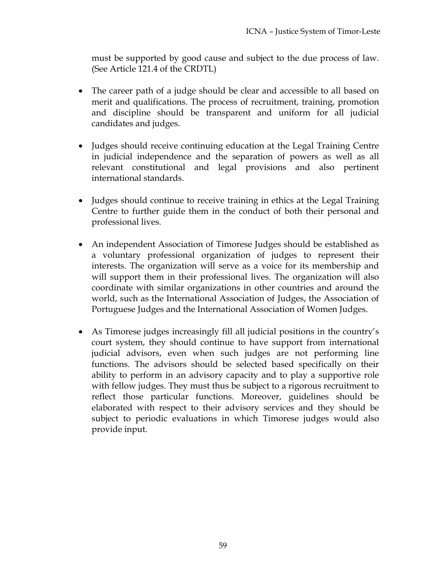must be supported by good cause and subject to the due process of law. (See Article 121.4 of the CRDTL)

- merit and qualifications. The process of recruitment, training, promotion and discipline should be transparent and uniform for all judicial The career path of a judge should be clear and accessible to all based on candidates and judges.
- in judicial independence and the separation of powers as well as all relevant constitutional and legal provisions and also pertinent Judges should receive continuing education at the Legal Training Centre international standards.
- Judges should continue to receive training in ethics at the Legal Training Centre to further guide them in the conduct of both their personal and professional lives.
- coordinate with similar organizations in other countries and around the world, such as the International Association of Judges, the Association of An independent Association of Timorese Judges should be established as a voluntary professional organization of judges to represent their interests. The organization will serve as a voice for its membership and will support them in their professional lives. The organization will also Portuguese Judges and the International Association of Women Judges.
- elaborated with respect to their advisory services and they should be subject to periodic evaluations in which Timorese judges would also provide input. As Timorese judges increasingly fill all judicial positions in the country's court system, they should continue to have support from international judicial advisors, even when such judges are not performing line functions. The advisors should be selected based specifically on their ability to perform in an advisory capacity and to play a supportive role with fellow judges. They must thus be subject to a rigorous recruitment to reflect those particular functions. Moreover, guidelines should be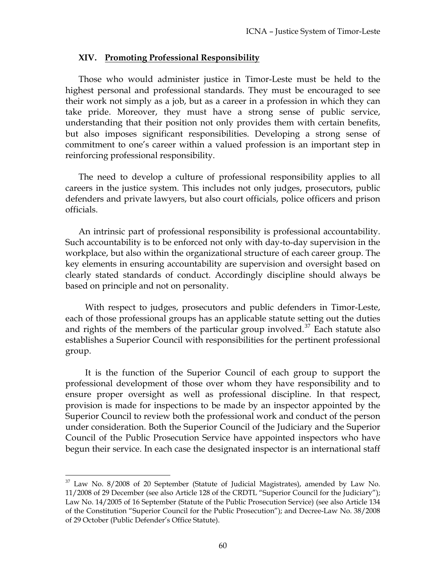#### **XIV. Promoting Professional Responsibility**

Those who would administer justice in Timor-Leste must be held to the highest personal and professional standards. They must be encouraged to see their work not simply as a job, but as a career in a profession in which they can take pride. Moreover, they must have a strong sense of public service, understanding that their position not only provides them with certain benefits, but also imposes significant responsibilities. Developing a strong sense of commitment to one's career within a valued profession is an important step in reinforcing professional responsibility.

The need to develop a culture of professional responsibility applies to all careers in the justice system. This includes not only judges, prosecutors, public defenders and private lawyers, but also court officials, police officers and prison officials.

An intrinsic part of professional responsibility is professional accountability. Such accountability is to be enforced not only with day-to-day supervision in the workplace, but also within the organizational structure of each career group. The key elements in ensuring accountability are supervision and oversight based on clearly stated standards of conduct. Accordingly discipline should always be based on principle and not on personality.

With respect to judges, prosecutors and public defenders in Timor-Leste, each of those professional groups has an applicable statute setting out the duties and rights of the members of the particular group involved.<sup>37</sup> Each statute also establishes a Superior Council with responsibilities for the pertinent professional group.

It is the function of the Superior Council of each group to support the professional development of those over whom they have responsibility and to ensure proper oversight as well as professional discipline. In that respect, provision is made for inspections to be made by an inspector appointed by the Superior Council to review both the professional work and conduct of the person under consideration. Both the Superior Council of the Judiciary and the Superior Council of the Public Prosecution Service have appointed inspectors who have begun their service. In each case the designated inspector is an international staff

 $37$  Law No.  $8/2008$  of 20 September (Statute of Judicial Magistrates), amended by Law No. 11/2008 of 29 December (see also Article 128 of the CRDTL "Superior Council for the Judiciary"); Law No. 14/2005 of 16 September (Statute of the Public Prosecution Service) (see also Article 134 of the Constitution "Superior Council for the Public Prosecution"); and Decree-Law No. 38/2008 of 29 October (Public Defender's Office Statute).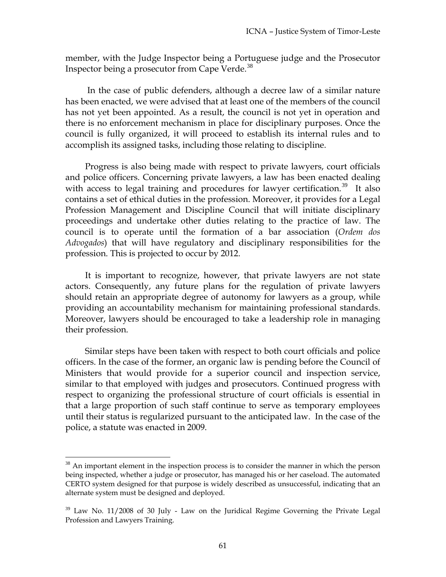member, with the Judge Inspector being a Portuguese judge and the Prosecutor Inspector being a prosecutor from Cape Verde.<sup>38</sup>

 In the case of public defenders, although a decree law of a similar nature has been enacted, we were advised that at least one of the members of the council has not yet been appointed. As a result, the council is not yet in operation and there is no enforcement mechanism in place for disciplinary purposes. Once the council is fully organized, it will proceed to establish its internal rules and to accomplish its assigned tasks, including those relating to discipline.

Progress is also being made with respect to private lawyers, court officials and police officers. Concerning private lawyers, a law has been enacted dealing with access to legal training and procedures for lawyer certification.<sup>39</sup> It also contains a set of ethical duties in the profession. Moreover, it provides for a Legal Profession Management and Discipline Council that will initiate disciplinary proceedings and undertake other duties relating to the practice of law. The council is to operate until the formation of a bar association (*Ordem dos Advogados*) that will have regulatory and disciplinary responsibilities for the profession. This is projected to occur by 2012.

It is important to recognize, however, that private lawyers are not state actors. Consequently, any future plans for the regulation of private lawyers should retain an appropriate degree of autonomy for lawyers as a group, while providing an accountability mechanism for maintaining professional standards. Moreover, lawyers should be encouraged to take a leadership role in managing their profession.

Similar steps have been taken with respect to both court officials and police officers. In the case of the former, an organic law is pending before the Council of Ministers that would provide for a superior council and inspection service, similar to that employed with judges and prosecutors. Continued progress with respect to organizing the professional structure of court officials is essential in that a large proportion of such staff continue to serve as temporary employees until their status is regularized pursuant to the anticipated law. In the case of the police, a statute was enacted in 2009.

 $38$  An important element in the inspection process is to consider the manner in which the person being inspected, whether a judge or prosecutor, has managed his or her caseload. The automated CERTO system designed for that purpose is widely described as unsuccessful, indicating that an alternate system must be designed and deployed.

<sup>&</sup>lt;sup>39</sup> Law No. 11/2008 of 30 July - Law on the Juridical Regime Governing the Private Legal Profession and Lawyers Training.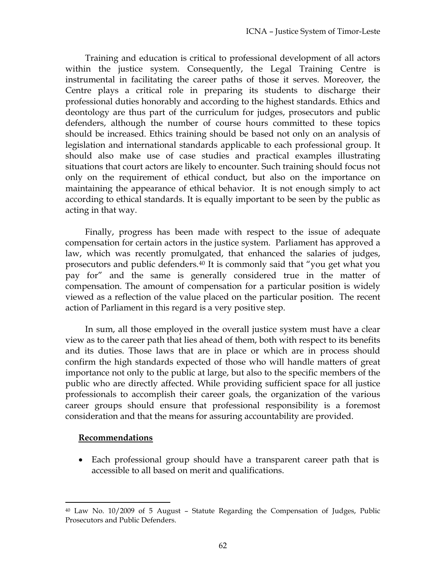Training and education is critical to professional development of all actors within the justice system. Consequently, the Legal Training Centre is instrumental in facilitating the career paths of those it serves. Moreover, the Centre plays a critical role in preparing its students to discharge their professional duties honorably and according to the highest standards. Ethics and deontology are thus part of the curriculum for judges, prosecutors and public defenders, although the number of course hours committed to these topics should be increased. Ethics training should be based not only on an analysis of legislation and international standards applicable to each professional group. It should also make use of case studies and practical examples illustrating situations that court actors are likely to encounter. Such training should focus not only on the requirement of ethical conduct, but also on the importance on maintaining the appearance of ethical behavior. It is not enough simply to act according to ethical standards. It is equally important to be seen by the public as acting in that way.

Finally, progress has been made with respect to the issue of adequate compensation for certain actors in the justice system. Parliament has approved a law, which was recently promulgated, that enhanced the salaries of judges, prosecutors and public defenders.40 It is commonly said that "you get what you pay for" and the same is generally considered true in the matter of compensation. The amount of compensation for a particular position is widely viewed as a reflection of the value placed on the particular position. The recent action of Parliament in this regard is a very positive step.

In sum, all those employed in the overall justice system must have a clear view as to the career path that lies ahead of them, both with respect to its benefits and its duties. Those laws that are in place or which are in process should confirm the high standards expected of those who will handle matters of great importance not only to the public at large, but also to the specific members of the public who are directly affected. While providing sufficient space for all justice professionals to accomplish their career goals, the organization of the various career groups should ensure that professional responsibility is a foremost consideration and that the means for assuring accountability are provided.

#### **Recommendations**

 $\overline{a}$ 

• Each professional group should have a transparent career path that is accessible to all based on merit and qualifications.

<sup>40</sup> Law No. 10/2009 of 5 August – Statute Regarding the Compensation of Judges, Public Prosecutors and Public Defenders.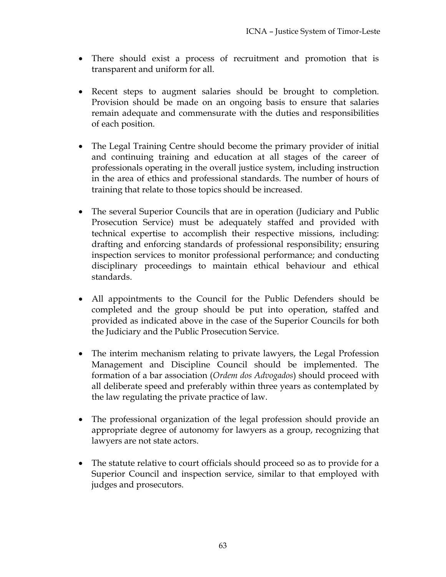- There should exist a process of recruitment and promotion that is transparent and uniform for all.
- Recent steps to augment salaries should be brought to completion. Provision should be made on an ongoing basis to ensure that salaries remain adequate and commensurate with the duties and responsibilities of each position.
- The Legal Training Centre should become the primary provider of initial and continuing training and education at all stages of the career of professionals operating in the overall justice system, including instruction in the area of ethics and professional standards. The number of hours of training that relate to those topics should be increased.
- The several Superior Councils that are in operation (Judiciary and Public Prosecution Service) must be adequately staffed and provided with technical expertise to accomplish their respective missions, including: drafting and enforcing standards of professional responsibility; ensuring inspection services to monitor professional performance; and conducting disciplinary proceedings to maintain ethical behaviour and ethical standards.
- All appointments to the Council for the Public Defenders should be completed and the group should be put into operation, staffed and provided as indicated above in the case of the Superior Councils for both the Judiciary and the Public Prosecution Service.
- The interim mechanism relating to private lawyers, the Legal Profession Management and Discipline Council should be implemented. The formation of a bar association (*Ordem dos Advogados*) should proceed with all deliberate speed and preferably within three years as contemplated by the law regulating the private practice of law.
- The professional organization of the legal profession should provide an appropriate degree of autonomy for lawyers as a group, recognizing that lawyers are not state actors.
- The statute relative to court officials should proceed so as to provide for a Superior Council and inspection service, similar to that employed with judges and prosecutors.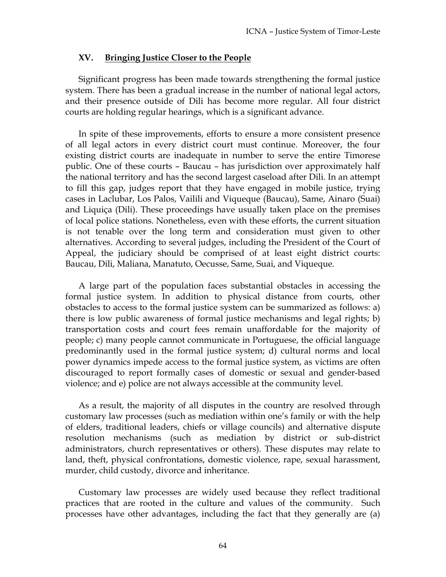### **XV. Bringing Justice Closer to the People**

Significant progress has been made towards strengthening the formal justice system. There has been a gradual increase in the number of national legal actors, and their presence outside of Dili has become more regular. All four district courts are holding regular hearings, which is a significant advance.

In spite of these improvements, efforts to ensure a more consistent presence of all legal actors in every district court must continue. Moreover, the four existing district courts are inadequate in number to serve the entire Timorese public. One of these courts – Baucau – has jurisdiction over approximately half the national territory and has the second largest caseload after Dili. In an attempt to fill this gap, judges report that they have engaged in mobile justice, trying cases in Laclubar, Los Palos, Vailili and Viqueque (Baucau), Same, Ainaro (Suai) and Liquiça (Dili). These proceedings have usually taken place on the premises of local police stations. Nonetheless, even with these efforts, the current situation is not tenable over the long term and consideration must given to other alternatives. According to several judges, including the President of the Court of Appeal, the judiciary should be comprised of at least eight district courts: Baucau, Dili, Maliana, Manatuto, Oecusse, Same, Suai, and Viqueque.

A large part of the population faces substantial obstacles in accessing the formal justice system. In addition to physical distance from courts, other obstacles to access to the formal justice system can be summarized as follows: a) there is low public awareness of formal justice mechanisms and legal rights; b) transportation costs and court fees remain unaffordable for the majority of people; c) many people cannot communicate in Portuguese, the official language predominantly used in the formal justice system; d) cultural norms and local power dynamics impede access to the formal justice system, as victims are often discouraged to report formally cases of domestic or sexual and gender-based violence; and e) police are not always accessible at the community level.

As a result, the majority of all disputes in the country are resolved through customary law processes (such as mediation within one's family or with the help of elders, traditional leaders, chiefs or village councils) and alternative dispute resolution mechanisms (such as mediation by district or sub-district administrators, church representatives or others). These disputes may relate to land, theft, physical confrontations, domestic violence, rape, sexual harassment, murder, child custody, divorce and inheritance.

Customary law processes are widely used because they reflect traditional practices that are rooted in the culture and values of the community. Such processes have other advantages, including the fact that they generally are (a)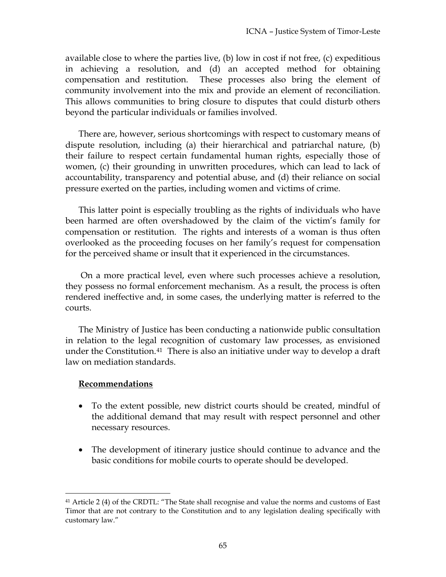available close to where the parties live, (b) low in cost if not free, (c) expeditious in achieving a resolution, and (d) an accepted method for obtaining compensation and restitution. These processes also bring the element of community involvement into the mix and provide an element of reconciliation. This allows communities to bring closure to disputes that could disturb others beyond the particular individuals or families involved.

There are, however, serious shortcomings with respect to customary means of dispute resolution, including (a) their hierarchical and patriarchal nature, (b) their failure to respect certain fundamental human rights, especially those of women, (c) their grounding in unwritten procedures, which can lead to lack of accountability, transparency and potential abuse, and (d) their reliance on social pressure exerted on the parties, including women and victims of crime.

This latter point is especially troubling as the rights of individuals who have been harmed are often overshadowed by the claim of the victim's family for compensation or restitution. The rights and interests of a woman is thus often overlooked as the proceeding focuses on her family's request for compensation for the perceived shame or insult that it experienced in the circumstances.

 On a more practical level, even where such processes achieve a resolution, they possess no formal enforcement mechanism. As a result, the process is often rendered ineffective and, in some cases, the underlying matter is referred to the courts.

The Ministry of Justice has been conducting a nationwide public consultation in relation to the legal recognition of customary law processes, as envisioned under the Constitution.<sup>41</sup> There is also an initiative under way to develop a draft law on mediation standards.

### **Recommendations**

- To the extent possible, new district courts should be created, mindful of the additional demand that may result with respect personnel and other necessary resources.
- The development of itinerary justice should continue to advance and the basic conditions for mobile courts to operate should be developed.

<sup>41</sup> Article 2 (4) of the CRDTL: "The State shall recognise and value the norms and customs of East Timor that are not contrary to the Constitution and to any legislation dealing specifically with customary law."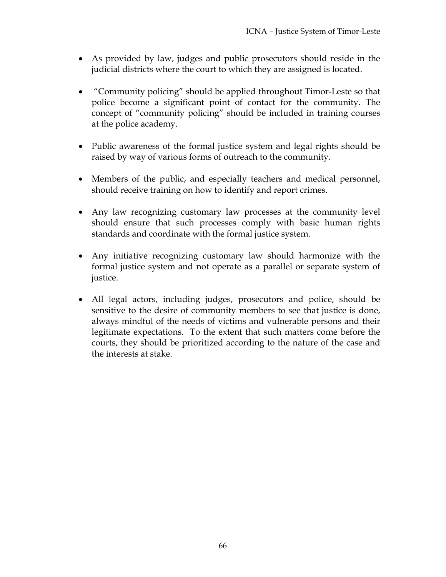- As provided by law, judges and public prosecutors should reside in the judicial districts where the court to which they are assigned is located.
- "Community policing" should be applied throughout Timor-Leste so that police become a significant point of contact for the community. The concept of "community policing" should be included in training courses at the police academy.
- Public awareness of the formal justice system and legal rights should be raised by way of various forms of outreach to the community.
- Members of the public, and especially teachers and medical personnel, should receive training on how to identify and report crimes.
- Any law recognizing customary law processes at the community level should ensure that such processes comply with basic human rights standards and coordinate with the formal justice system.
- Any initiative recognizing customary law should harmonize with the formal justice system and not operate as a parallel or separate system of justice.
- All legal actors, including judges, prosecutors and police, should be sensitive to the desire of community members to see that justice is done, always mindful of the needs of victims and vulnerable persons and their legitimate expectations. To the extent that such matters come before the courts, they should be prioritized according to the nature of the case and the interests at stake.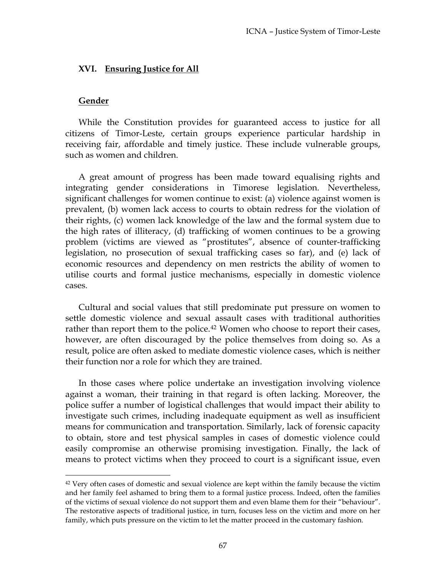#### **XVI. Ensuring Justice for All**

#### **Gender**

 $\overline{a}$ 

While the Constitution provides for guaranteed access to justice for all citizens of Timor-Leste, certain groups experience particular hardship in receiving fair, affordable and timely justice. These include vulnerable groups, such as women and children.

A great amount of progress has been made toward equalising rights and integrating gender considerations in Timorese legislation. Nevertheless, significant challenges for women continue to exist: (a) violence against women is prevalent, (b) women lack access to courts to obtain redress for the violation of their rights, (c) women lack knowledge of the law and the formal system due to the high rates of illiteracy, (d) trafficking of women continues to be a growing problem (victims are viewed as "prostitutes", absence of counter-trafficking legislation, no prosecution of sexual trafficking cases so far), and (e) lack of economic resources and dependency on men restricts the ability of women to utilise courts and formal justice mechanisms, especially in domestic violence cases.

Cultural and social values that still predominate put pressure on women to settle domestic violence and sexual assault cases with traditional authorities rather than report them to the police.<sup>42</sup> Women who choose to report their cases, however, are often discouraged by the police themselves from doing so. As a result, police are often asked to mediate domestic violence cases, which is neither their function nor a role for which they are trained.

In those cases where police undertake an investigation involving violence against a woman, their training in that regard is often lacking. Moreover, the police suffer a number of logistical challenges that would impact their ability to investigate such crimes, including inadequate equipment as well as insufficient means for communication and transportation. Similarly, lack of forensic capacity to obtain, store and test physical samples in cases of domestic violence could easily compromise an otherwise promising investigation. Finally, the lack of means to protect victims when they proceed to court is a significant issue, even

<sup>&</sup>lt;sup>42</sup> Very often cases of domestic and sexual violence are kept within the family because the victim and her family feel ashamed to bring them to a formal justice process. Indeed, often the families of the victims of sexual violence do not support them and even blame them for their "behaviour". The restorative aspects of traditional justice, in turn, focuses less on the victim and more on her family, which puts pressure on the victim to let the matter proceed in the customary fashion.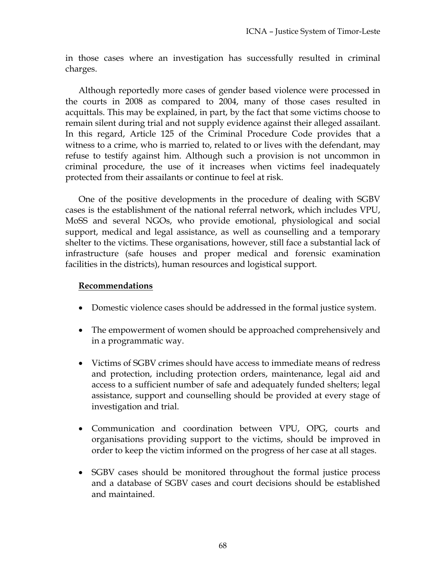in those cases where an investigation has successfully resulted in criminal charges.

Although reportedly more cases of gender based violence were processed in the courts in 2008 as compared to 2004, many of those cases resulted in acquittals. This may be explained, in part, by the fact that some victims choose to remain silent during trial and not supply evidence against their alleged assailant. In this regard, Article 125 of the Criminal Procedure Code provides that a witness to a crime, who is married to, related to or lives with the defendant, may refuse to testify against him. Although such a provision is not uncommon in criminal procedure, the use of it increases when victims feel inadequately protected from their assailants or continue to feel at risk.

One of the positive developments in the procedure of dealing with SGBV cases is the establishment of the national referral network, which includes VPU, MoSS and several NGOs, who provide emotional, physiological and social support, medical and legal assistance, as well as counselling and a temporary shelter to the victims. These organisations, however, still face a substantial lack of infrastructure (safe houses and proper medical and forensic examination facilities in the districts), human resources and logistical support.

- Domestic violence cases should be addressed in the formal justice system.
- The empowerment of women should be approached comprehensively and in a programmatic way.
- Victims of SGBV crimes should have access to immediate means of redress and protection, including protection orders, maintenance, legal aid and access to a sufficient number of safe and adequately funded shelters; legal assistance, support and counselling should be provided at every stage of investigation and trial.
- Communication and coordination between VPU, OPG, courts and organisations providing support to the victims, should be improved in order to keep the victim informed on the progress of her case at all stages.
- SGBV cases should be monitored throughout the formal justice process and a database of SGBV cases and court decisions should be established and maintained.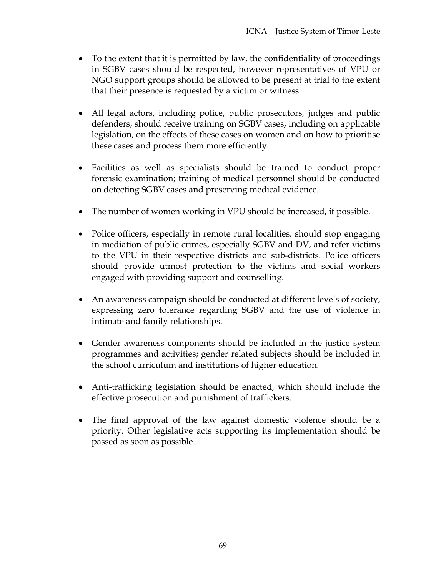- To the extent that it is permitted by law, the confidentiality of proceedings in SGBV cases should be respected, however representatives of VPU or NGO support groups should be allowed to be present at trial to the extent that their presence is requested by a victim or witness.
- All legal actors, including police, public prosecutors, judges and public defenders, should receive training on SGBV cases, including on applicable legislation, on the effects of these cases on women and on how to prioritise these cases and process them more efficiently.
- Facilities as well as specialists should be trained to conduct proper forensic examination; training of medical personnel should be conducted on detecting SGBV cases and preserving medical evidence.
- The number of women working in VPU should be increased, if possible.
- Police officers, especially in remote rural localities, should stop engaging in mediation of public crimes, especially SGBV and DV, and refer victims to the VPU in their respective districts and sub-districts. Police officers should provide utmost protection to the victims and social workers engaged with providing support and counselling.
- An awareness campaign should be conducted at different levels of society, expressing zero tolerance regarding SGBV and the use of violence in intimate and family relationships.
- Gender awareness components should be included in the justice system programmes and activities; gender related subjects should be included in the school curriculum and institutions of higher education.
- Anti-trafficking legislation should be enacted, which should include the effective prosecution and punishment of traffickers.
- The final approval of the law against domestic violence should be a priority. Other legislative acts supporting its implementation should be passed as soon as possible.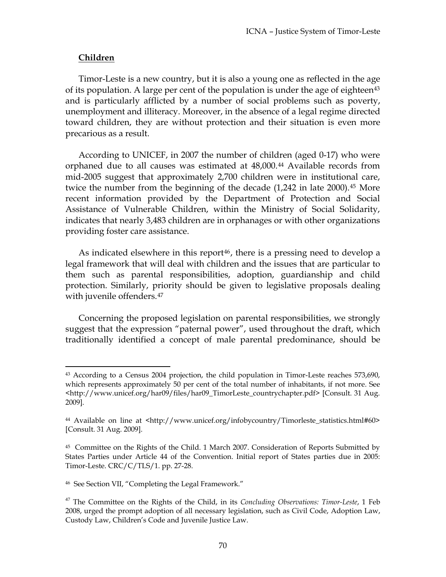### **Children**

 $\overline{a}$ 

Timor-Leste is a new country, but it is also a young one as reflected in the age of its population. A large per cent of the population is under the age of eighteen $43$ and is particularly afflicted by a number of social problems such as poverty, unemployment and illiteracy. Moreover, in the absence of a legal regime directed toward children, they are without protection and their situation is even more precarious as a result.

According to UNICEF, in 2007 the number of children (aged 0-17) who were orphaned due to all causes was estimated at 48,000.<sup>44</sup> Available records from mid-2005 suggest that approximately 2,700 children were in institutional care, twice the number from the beginning of the decade (1,242 in late 2000).<sup>45</sup> More recent information provided by the Department of Protection and Social Assistance of Vulnerable Children, within the Ministry of Social Solidarity, indicates that nearly 3,483 children are in orphanages or with other organizations providing foster care assistance.

As indicated elsewhere in this report<sup>46</sup>, there is a pressing need to develop a legal framework that will deal with children and the issues that are particular to them such as parental responsibilities, adoption, guardianship and child protection. Similarly, priority should be given to legislative proposals dealing with juvenile offenders.<sup>47</sup>

Concerning the proposed legislation on parental responsibilities, we strongly suggest that the expression "paternal power", used throughout the draft, which traditionally identified a concept of male parental predominance, should be

<sup>&</sup>lt;sup>43</sup> According to a Census 2004 projection, the child population in Timor-Leste reaches 573,690, which represents approximately 50 per cent of the total number of inhabitants, if not more. See <http://www.unicef.org/har09/files/har09\_TimorLeste\_countrychapter.pdf> [Consult. 31 Aug. 2009].

<sup>44</sup> Available on line at <http://www.unicef.org/infobycountry/Timorleste\_statistics.html#60> [Consult. 31 Aug. 2009].

<sup>45</sup> Committee on the Rights of the Child. 1 March 2007. Consideration of Reports Submitted by States Parties under Article 44 of the Convention. Initial report of States parties due in 2005: Timor-Leste. CRC/C/TLS/1. pp. 27-28.

<sup>46</sup> See Section VII, "Completing the Legal Framework."

<sup>47</sup> The Committee on the Rights of the Child, in its *Concluding Observations: Timor-Leste*, 1 Feb 2008, urged the prompt adoption of all necessary legislation, such as Civil Code, Adoption Law, Custody Law, Children's Code and Juvenile Justice Law.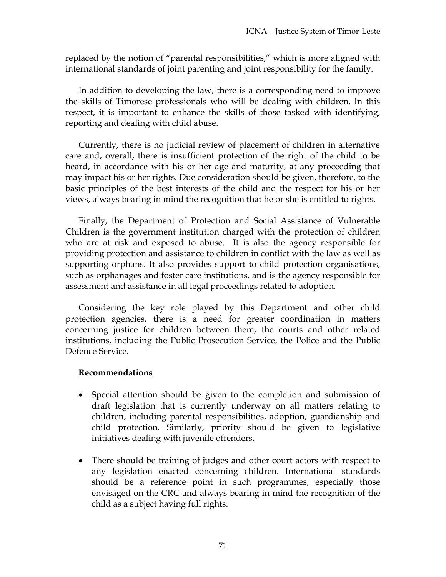replaced by the notion of "parental responsibilities," which is more aligned with international standards of joint parenting and joint responsibility for the family.

In addition to developing the law, there is a corresponding need to improve the skills of Timorese professionals who will be dealing with children. In this respect, it is important to enhance the skills of those tasked with identifying, reporting and dealing with child abuse.

Currently, there is no judicial review of placement of children in alternative care and, overall, there is insufficient protection of the right of the child to be heard, in accordance with his or her age and maturity, at any proceeding that may impact his or her rights. Due consideration should be given, therefore, to the basic principles of the best interests of the child and the respect for his or her views, always bearing in mind the recognition that he or she is entitled to rights.

Finally, the Department of Protection and Social Assistance of Vulnerable Children is the government institution charged with the protection of children who are at risk and exposed to abuse. It is also the agency responsible for providing protection and assistance to children in conflict with the law as well as supporting orphans. It also provides support to child protection organisations, such as orphanages and foster care institutions, and is the agency responsible for assessment and assistance in all legal proceedings related to adoption.

Considering the key role played by this Department and other child protection agencies, there is a need for greater coordination in matters concerning justice for children between them, the courts and other related institutions, including the Public Prosecution Service, the Police and the Public Defence Service.

- Special attention should be given to the completion and submission of draft legislation that is currently underway on all matters relating to children, including parental responsibilities, adoption, guardianship and child protection. Similarly, priority should be given to legislative initiatives dealing with juvenile offenders.
- There should be training of judges and other court actors with respect to any legislation enacted concerning children. International standards should be a reference point in such programmes, especially those envisaged on the CRC and always bearing in mind the recognition of the child as a subject having full rights.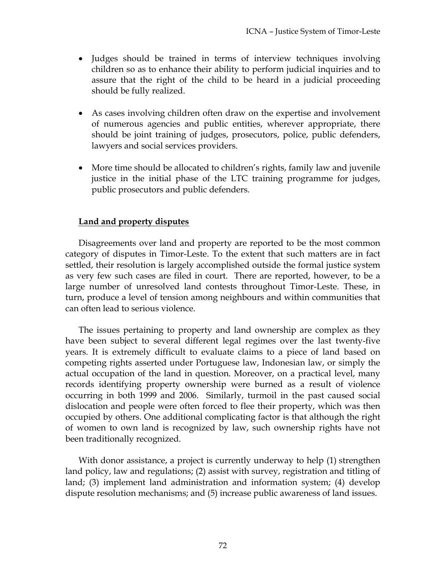- Judges should be trained in terms of interview techniques involving children so as to enhance their ability to perform judicial inquiries and to assure that the right of the child to be heard in a judicial proceeding should be fully realized.
- As cases involving children often draw on the expertise and involvement of numerous agencies and public entities, wherever appropriate, there should be joint training of judges, prosecutors, police, public defenders, lawyers and social services providers.
- More time should be allocated to children's rights, family law and juvenile justice in the initial phase of the LTC training programme for judges, public prosecutors and public defenders.

# **Land and property disputes**

Disagreements over land and property are reported to be the most common category of disputes in Timor-Leste. To the extent that such matters are in fact settled, their resolution is largely accomplished outside the formal justice system as very few such cases are filed in court. There are reported, however, to be a large number of unresolved land contests throughout Timor-Leste. These, in turn, produce a level of tension among neighbours and within communities that can often lead to serious violence.

The issues pertaining to property and land ownership are complex as they have been subject to several different legal regimes over the last twenty-five years. It is extremely difficult to evaluate claims to a piece of land based on competing rights asserted under Portuguese law, Indonesian law, or simply the actual occupation of the land in question. Moreover, on a practical level, many records identifying property ownership were burned as a result of violence occurring in both 1999 and 2006. Similarly, turmoil in the past caused social dislocation and people were often forced to flee their property, which was then occupied by others. One additional complicating factor is that although the right of women to own land is recognized by law, such ownership rights have not been traditionally recognized.

With donor assistance, a project is currently underway to help (1) strengthen land policy, law and regulations; (2) assist with survey, registration and titling of land; (3) implement land administration and information system; (4) develop dispute resolution mechanisms; and (5) increase public awareness of land issues.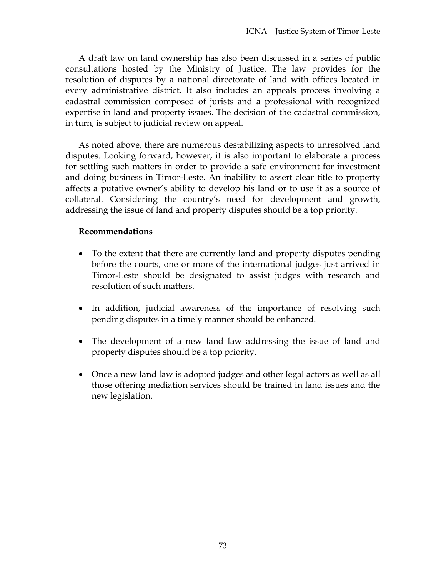A draft law on land ownership has also been discussed in a series of public consultations hosted by the Ministry of Justice. The law provides for the resolution of disputes by a national directorate of land with offices located in every administrative district. It also includes an appeals process involving a cadastral commission composed of jurists and a professional with recognized expertise in land and property issues. The decision of the cadastral commission, in turn, is subject to judicial review on appeal.

As noted above, there are numerous destabilizing aspects to unresolved land disputes. Looking forward, however, it is also important to elaborate a process for settling such matters in order to provide a safe environment for investment and doing business in Timor-Leste. An inability to assert clear title to property affects a putative owner's ability to develop his land or to use it as a source of collateral. Considering the country's need for development and growth, addressing the issue of land and property disputes should be a top priority.

## **Recommendations**

- To the extent that there are currently land and property disputes pending before the courts, one or more of the international judges just arrived in Timor-Leste should be designated to assist judges with research and resolution of such matters.
- In addition, judicial awareness of the importance of resolving such pending disputes in a timely manner should be enhanced.
- The development of a new land law addressing the issue of land and property disputes should be a top priority.
- Once a new land law is adopted judges and other legal actors as well as all those offering mediation services should be trained in land issues and the new legislation.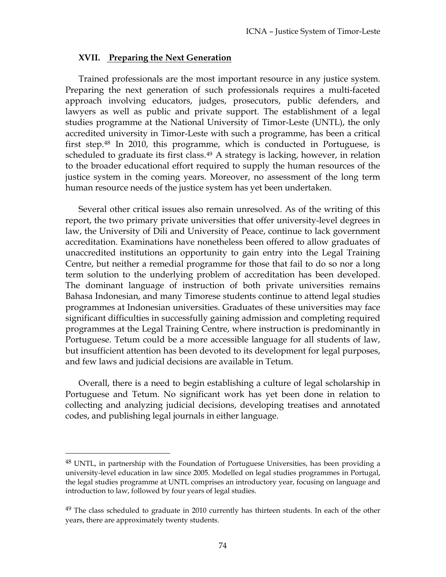#### **XVII. Preparing the Next Generation**

Trained professionals are the most important resource in any justice system. Preparing the next generation of such professionals requires a multi-faceted approach involving educators, judges, prosecutors, public defenders, and lawyers as well as public and private support. The establishment of a legal studies programme at the National University of Timor-Leste (UNTL), the only accredited university in Timor-Leste with such a programme, has been a critical first step.48 In 2010, this programme, which is conducted in Portuguese, is scheduled to graduate its first class.<sup>49</sup> A strategy is lacking, however, in relation to the broader educational effort required to supply the human resources of the justice system in the coming years. Moreover, no assessment of the long term human resource needs of the justice system has yet been undertaken.

Several other critical issues also remain unresolved. As of the writing of this report, the two primary private universities that offer university-level degrees in law, the University of Dili and University of Peace, continue to lack government accreditation. Examinations have nonetheless been offered to allow graduates of unaccredited institutions an opportunity to gain entry into the Legal Training Centre, but neither a remedial programme for those that fail to do so nor a long term solution to the underlying problem of accreditation has been developed. The dominant language of instruction of both private universities remains Bahasa Indonesian, and many Timorese students continue to attend legal studies programmes at Indonesian universities. Graduates of these universities may face significant difficulties in successfully gaining admission and completing required programmes at the Legal Training Centre, where instruction is predominantly in Portuguese. Tetum could be a more accessible language for all students of law, but insufficient attention has been devoted to its development for legal purposes, and few laws and judicial decisions are available in Tetum.

Overall, there is a need to begin establishing a culture of legal scholarship in Portuguese and Tetum. No significant work has yet been done in relation to collecting and analyzing judicial decisions, developing treatises and annotated codes, and publishing legal journals in either language.

 $\overline{a}$ 

 $48$  UNTL, in partnership with the Foundation of Portuguese Universities, has been providing a university-level education in law since 2005. Modelled on legal studies programmes in Portugal, the legal studies programme at UNTL comprises an introductory year, focusing on language and introduction to law, followed by four years of legal studies.

 $49$  The class scheduled to graduate in 2010 currently has thirteen students. In each of the other years, there are approximately twenty students.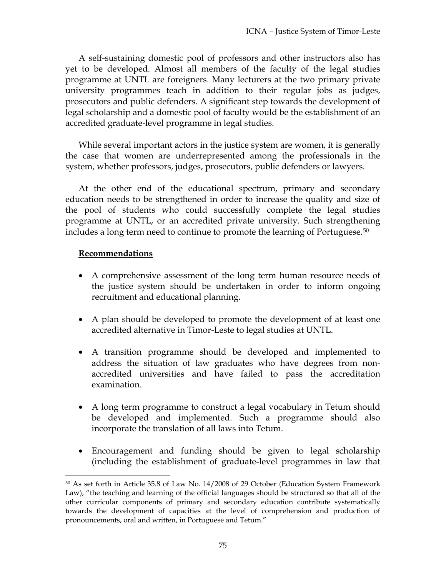A self-sustaining domestic pool of professors and other instructors also has yet to be developed. Almost all members of the faculty of the legal studies programme at UNTL are foreigners. Many lecturers at the two primary private university programmes teach in addition to their regular jobs as judges, prosecutors and public defenders. A significant step towards the development of legal scholarship and a domestic pool of faculty would be the establishment of an accredited graduate-level programme in legal studies.

While several important actors in the justice system are women, it is generally the case that women are underrepresented among the professionals in the system, whether professors, judges, prosecutors, public defenders or lawyers.

At the other end of the educational spectrum, primary and secondary education needs to be strengthened in order to increase the quality and size of the pool of students who could successfully complete the legal studies programme at UNTL, or an accredited private university. Such strengthening includes a long term need to continue to promote the learning of Portuguese.50

## **Recommendations**

 $\overline{a}$ 

- A comprehensive assessment of the long term human resource needs of the justice system should be undertaken in order to inform ongoing recruitment and educational planning.
- A plan should be developed to promote the development of at least one accredited alternative in Timor-Leste to legal studies at UNTL.
- A transition programme should be developed and implemented to address the situation of law graduates who have degrees from nonaccredited universities and have failed to pass the accreditation examination.
- A long term programme to construct a legal vocabulary in Tetum should be developed and implemented. Such a programme should also incorporate the translation of all laws into Tetum.
- Encouragement and funding should be given to legal scholarship (including the establishment of graduate-level programmes in law that

<sup>50</sup> As set forth in Article 35.8 of Law No. 14/2008 of 29 October (Education System Framework Law), "the teaching and learning of the official languages should be structured so that all of the other curricular components of primary and secondary education contribute systematically towards the development of capacities at the level of comprehension and production of pronouncements, oral and written, in Portuguese and Tetum."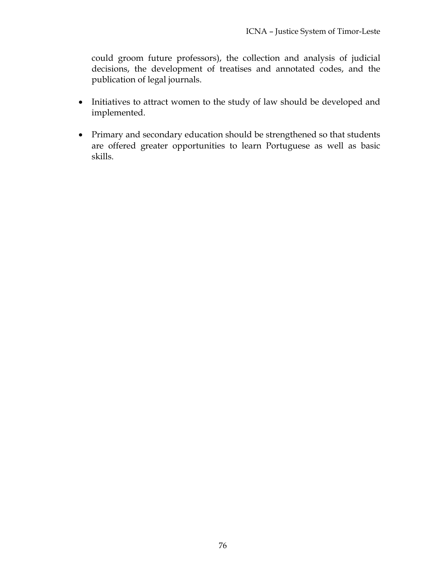could groom future professors), the collection and analysis of judicial decisions, the development of treatises and annotated codes, and the publication of legal journals.

- Initiatives to attract women to the study of law should be developed and implemented.
- Primary and secondary education should be strengthened so that students are offered greater opportunities to learn Portuguese as well as basic skills.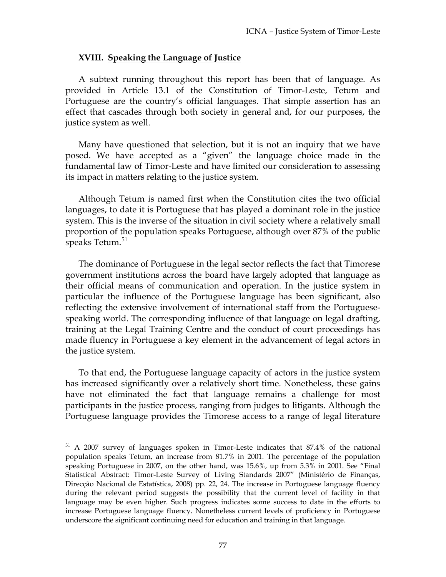#### **XVIII. Speaking the Language of Justice**

A subtext running throughout this report has been that of language. As provided in Article 13.1 of the Constitution of Timor-Leste, Tetum and Portuguese are the country's official languages. That simple assertion has an effect that cascades through both society in general and, for our purposes, the justice system as well.

Many have questioned that selection, but it is not an inquiry that we have posed. We have accepted as a "given" the language choice made in the fundamental law of Timor-Leste and have limited our consideration to assessing its impact in matters relating to the justice system.

Although Tetum is named first when the Constitution cites the two official languages, to date it is Portuguese that has played a dominant role in the justice system. This is the inverse of the situation in civil society where a relatively small proportion of the population speaks Portuguese, although over 87% of the public speaks Tetum.<sup>51</sup>

The dominance of Portuguese in the legal sector reflects the fact that Timorese government institutions across the board have largely adopted that language as their official means of communication and operation. In the justice system in particular the influence of the Portuguese language has been significant, also reflecting the extensive involvement of international staff from the Portuguesespeaking world. The corresponding influence of that language on legal drafting, training at the Legal Training Centre and the conduct of court proceedings has made fluency in Portuguese a key element in the advancement of legal actors in the justice system.

To that end, the Portuguese language capacity of actors in the justice system has increased significantly over a relatively short time. Nonetheless, these gains have not eliminated the fact that language remains a challenge for most participants in the justice process, ranging from judges to litigants. Although the Portuguese language provides the Timorese access to a range of legal literature

 $\overline{a}$ 

<sup>51</sup> A 2007 survey of languages spoken in Timor-Leste indicates that 87.4% of the national population speaks Tetum, an increase from 81.7% in 2001. The percentage of the population speaking Portuguese in 2007, on the other hand, was 15.6%, up from 5.3% in 2001. See "Final Statistical Abstract: Timor-Leste Survey of Living Standards 2007" (Ministério de Finanças, Direcção Nacional de Estatística, 2008) pp. 22, 24. The increase in Portuguese language fluency during the relevant period suggests the possibility that the current level of facility in that language may be even higher. Such progress indicates some success to date in the efforts to increase Portuguese language fluency. Nonetheless current levels of proficiency in Portuguese underscore the significant continuing need for education and training in that language.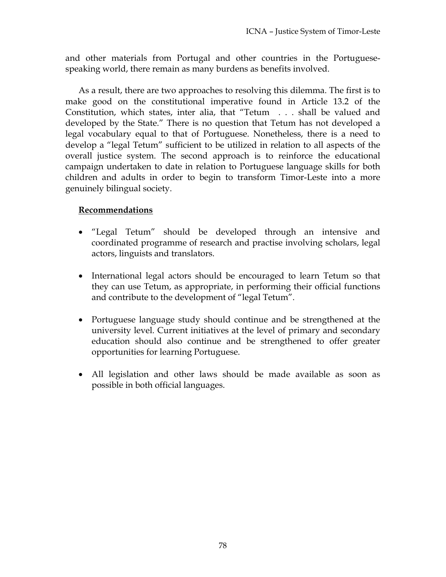and other materials from Portugal and other countries in the Portuguesespeaking world, there remain as many burdens as benefits involved.

As a result, there are two approaches to resolving this dilemma. The first is to make good on the constitutional imperative found in Article 13.2 of the Constitution, which states, inter alia, that "Tetum . . . shall be valued and developed by the State." There is no question that Tetum has not developed a legal vocabulary equal to that of Portuguese. Nonetheless, there is a need to develop a "legal Tetum" sufficient to be utilized in relation to all aspects of the overall justice system. The second approach is to reinforce the educational campaign undertaken to date in relation to Portuguese language skills for both children and adults in order to begin to transform Timor-Leste into a more genuinely bilingual society.

# **Recommendations**

- "Legal Tetum" should be developed through an intensive and coordinated programme of research and practise involving scholars, legal actors, linguists and translators.
- International legal actors should be encouraged to learn Tetum so that they can use Tetum, as appropriate, in performing their official functions and contribute to the development of "legal Tetum".
- Portuguese language study should continue and be strengthened at the university level. Current initiatives at the level of primary and secondary education should also continue and be strengthened to offer greater opportunities for learning Portuguese.
- All legislation and other laws should be made available as soon as possible in both official languages.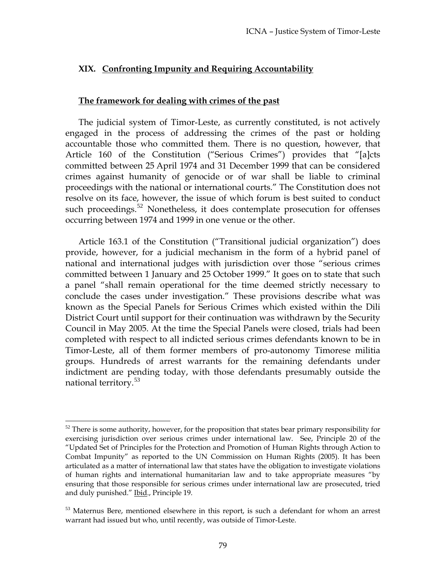# **XIX. Confronting Impunity and Requiring Accountability**

#### **The framework for dealing with crimes of the past**

The judicial system of Timor-Leste, as currently constituted, is not actively engaged in the process of addressing the crimes of the past or holding accountable those who committed them. There is no question, however, that Article 160 of the Constitution ("Serious Crimes") provides that "[a]cts committed between 25 April 1974 and 31 December 1999 that can be considered crimes against humanity of genocide or of war shall be liable to criminal proceedings with the national or international courts." The Constitution does not resolve on its face, however, the issue of which forum is best suited to conduct such proceedings.<sup>52</sup> Nonetheless, it does contemplate prosecution for offenses occurring between 1974 and 1999 in one venue or the other.

Article 163.1 of the Constitution ("Transitional judicial organization") does provide, however, for a judicial mechanism in the form of a hybrid panel of national and international judges with jurisdiction over those "serious crimes committed between 1 January and 25 October 1999." It goes on to state that such a panel "shall remain operational for the time deemed strictly necessary to conclude the cases under investigation." These provisions describe what was known as the Special Panels for Serious Crimes which existed within the Dili District Court until support for their continuation was withdrawn by the Security Council in May 2005. At the time the Special Panels were closed, trials had been completed with respect to all indicted serious crimes defendants known to be in Timor-Leste, all of them former members of pro-autonomy Timorese militia groups. Hundreds of arrest warrants for the remaining defendants under indictment are pending today, with those defendants presumably outside the national territory.<sup>53</sup>

 $\overline{a}$ 

 $52$  There is some authority, however, for the proposition that states bear primary responsibility for exercising jurisdiction over serious crimes under international law. See, Principle 20 of the "Updated Set of Principles for the Protection and Promotion of Human Rights through Action to Combat Impunity" as reported to the UN Commission on Human Rights (2005). It has been articulated as a matter of international law that states have the obligation to investigate violations of human rights and international humanitarian law and to take appropriate measures "by ensuring that those responsible for serious crimes under international law are prosecuted, tried and duly punished." Ibid., Principle 19.

<sup>&</sup>lt;sup>53</sup> Maternus Bere, mentioned elsewhere in this report, is such a defendant for whom an arrest warrant had issued but who, until recently, was outside of Timor-Leste.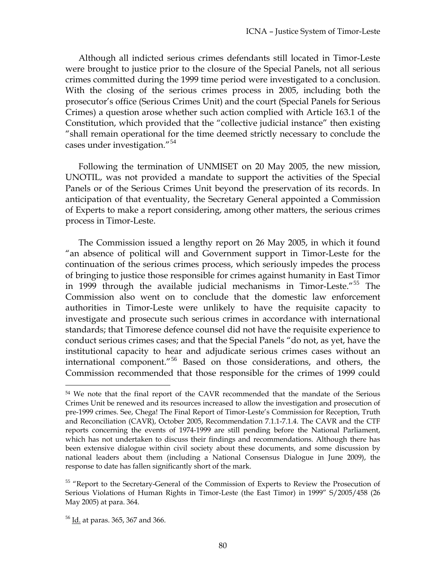Although all indicted serious crimes defendants still located in Timor-Leste were brought to justice prior to the closure of the Special Panels, not all serious crimes committed during the 1999 time period were investigated to a conclusion. With the closing of the serious crimes process in 2005, including both the prosecutor's office (Serious Crimes Unit) and the court (Special Panels for Serious Crimes) a question arose whether such action complied with Article 163.1 of the Constitution, which provided that the "collective judicial instance" then existing "shall remain operational for the time deemed strictly necessary to conclude the cases under investigation."<sup>54</sup>

Following the termination of UNMISET on 20 May 2005, the new mission, UNOTIL, was not provided a mandate to support the activities of the Special Panels or of the Serious Crimes Unit beyond the preservation of its records. In anticipation of that eventuality, the Secretary General appointed a Commission of Experts to make a report considering, among other matters, the serious crimes process in Timor-Leste.

The Commission issued a lengthy report on 26 May 2005, in which it found "an absence of political will and Government support in Timor-Leste for the continuation of the serious crimes process, which seriously impedes the process of bringing to justice those responsible for crimes against humanity in East Timor in 1999 through the available judicial mechanisms in Timor-Leste."<sup>55</sup> The Commission also went on to conclude that the domestic law enforcement authorities in Timor-Leste were unlikely to have the requisite capacity to investigate and prosecute such serious crimes in accordance with international standards; that Timorese defence counsel did not have the requisite experience to conduct serious crimes cases; and that the Special Panels "do not, as yet, have the institutional capacity to hear and adjudicate serious crimes cases without an international component."<sup>56</sup> Based on those considerations, and others, the Commission recommended that those responsible for the crimes of 1999 could

 $\overline{a}$ 

<sup>&</sup>lt;sup>54</sup> We note that the final report of the CAVR recommended that the mandate of the Serious Crimes Unit be renewed and its resources increased to allow the investigation and prosecution of pre-1999 crimes. See, Chega! The Final Report of Timor-Leste's Commission for Reception, Truth and Reconciliation (CAVR), October 2005, Recommendation 7.1.1-7.1.4. The CAVR and the CTF reports concerning the events of 1974-1999 are still pending before the National Parliament, which has not undertaken to discuss their findings and recommendations. Although there has been extensive dialogue within civil society about these documents, and some discussion by national leaders about them (including a National Consensus Dialogue in June 2009), the response to date has fallen significantly short of the mark.

<sup>&</sup>lt;sup>55</sup> "Report to the Secretary-General of the Commission of Experts to Review the Prosecution of Serious Violations of Human Rights in Timor-Leste (the East Timor) in 1999" S/2005/458 (26 May 2005) at para. 364.

<sup>56</sup> Id. at paras. 365, 367 and 366.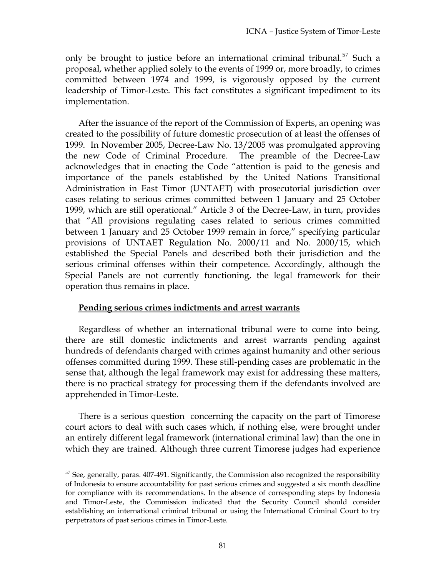only be brought to justice before an international criminal tribunal.<sup>57</sup> Such a proposal, whether applied solely to the events of 1999 or, more broadly, to crimes committed between 1974 and 1999, is vigorously opposed by the current leadership of Timor-Leste. This fact constitutes a significant impediment to its implementation.

After the issuance of the report of the Commission of Experts, an opening was created to the possibility of future domestic prosecution of at least the offenses of 1999. In November 2005, Decree-Law No. 13/2005 was promulgated approving the new Code of Criminal Procedure. The preamble of the Decree-Law acknowledges that in enacting the Code "attention is paid to the genesis and importance of the panels established by the United Nations Transitional Administration in East Timor (UNTAET) with prosecutorial jurisdiction over cases relating to serious crimes committed between 1 January and 25 October 1999, which are still operational." Article 3 of the Decree-Law, in turn, provides that "All provisions regulating cases related to serious crimes committed between 1 January and 25 October 1999 remain in force," specifying particular provisions of UNTAET Regulation No. 2000/11 and No. 2000/15, which established the Special Panels and described both their jurisdiction and the serious criminal offenses within their competence. Accordingly, although the Special Panels are not currently functioning, the legal framework for their operation thus remains in place.

#### **Pending serious crimes indictments and arrest warrants**

 $\overline{a}$ 

Regardless of whether an international tribunal were to come into being, there are still domestic indictments and arrest warrants pending against hundreds of defendants charged with crimes against humanity and other serious offenses committed during 1999. These still-pending cases are problematic in the sense that, although the legal framework may exist for addressing these matters, there is no practical strategy for processing them if the defendants involved are apprehended in Timor-Leste.

There is a serious question concerning the capacity on the part of Timorese court actors to deal with such cases which, if nothing else, were brought under an entirely different legal framework (international criminal law) than the one in which they are trained. Although three current Timorese judges had experience

 $57$  See, generally, paras. 407-491. Significantly, the Commission also recognized the responsibility of Indonesia to ensure accountability for past serious crimes and suggested a six month deadline for compliance with its recommendations. In the absence of corresponding steps by Indonesia and Timor-Leste, the Commission indicated that the Security Council should consider establishing an international criminal tribunal or using the International Criminal Court to try perpetrators of past serious crimes in Timor-Leste.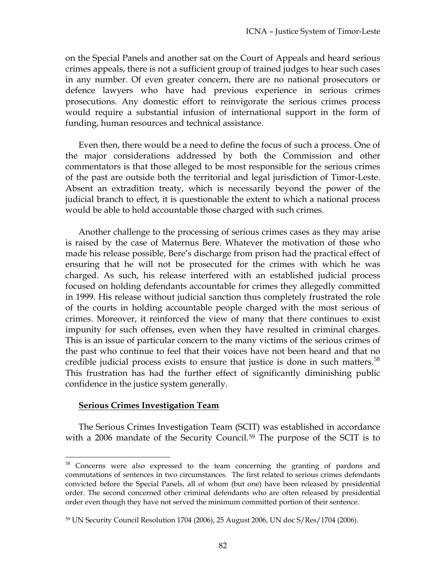on the Special Panels and another sat on the Court of Appeals and heard serious crimes appeals, there is not a sufficient group of trained judges to hear such cases in any number. Of even greater concern, there are no national prosecutors or defence lawyers who have had previous experience in serious crimes prosecutions. Any domestic effort to reinvigorate the serious crimes process would require a substantial infusion of international support in the form of funding, human resources and technical assistance.

Even then, there would be a need to define the focus of such a process. One of the major considerations addressed by both the Commission and other commentators is that those alleged to be most responsible for the serious crimes of the past are outside both the territorial and legal jurisdiction of Timor-Leste. Absent an extradition treaty, which is necessarily beyond the power of the judicial branch to effect, it is questionable the extent to which a national process would be able to hold accountable those charged with such crimes.

Another challenge to the processing of serious crimes cases as they may arise is raised by the case of Maternus Bere. Whatever the motivation of those who made his release possible, Bere's discharge from prison had the practical effect of ensuring that he will not be prosecuted for the crimes with which he was charged. As such, his release interfered with an established judicial process focused on holding defendants accountable for crimes they allegedly committed in 1999. His release without judicial sanction thus completely frustrated the role of the courts in holding accountable people charged with the most serious of crimes. Moreover, it reinforced the view of many that there continues to exist impunity for such offenses, even when they have resulted in criminal charges. This is an issue of particular concern to the many victims of the serious crimes of the past who continue to feel that their voices have not been heard and that no credible judicial process exists to ensure that justice is done in such matters. $58$ This frustration has had the further effect of significantly diminishing public confidence in the justice system generally.

## **Serious Crimes Investigation Team**

 $\overline{a}$ 

The Serious Crimes Investigation Team (SCIT) was established in accordance with a 2006 mandate of the Security Council.<sup>59</sup> The purpose of the SCIT is to

<sup>58</sup> Concerns were also expressed to the team concerning the granting of pardons and commutations of sentences in two circumstances. The first related to serious crimes defendants convicted before the Special Panels, all of whom (but one) have been released by presidential order. The second concerned other criminal defendants who are often released by presidential order even though they have not served the minimum committed portion of their sentence.

<sup>59</sup> UN Security Council Resolution 1704 (2006), 25 August 2006, UN doc S/Res/1704 (2006).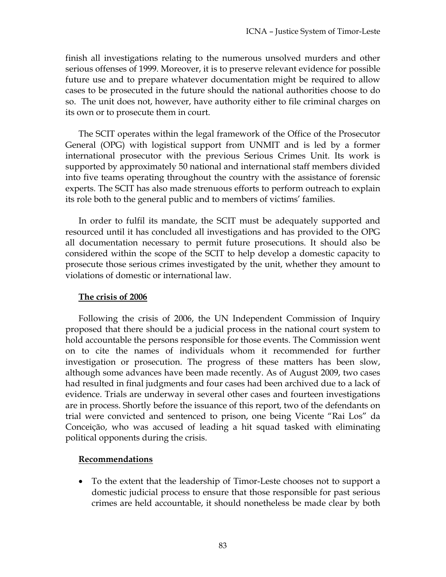finish all investigations relating to the numerous unsolved murders and other serious offenses of 1999. Moreover, it is to preserve relevant evidence for possible future use and to prepare whatever documentation might be required to allow cases to be prosecuted in the future should the national authorities choose to do so. The unit does not, however, have authority either to file criminal charges on its own or to prosecute them in court.

The SCIT operates within the legal framework of the Office of the Prosecutor General (OPG) with logistical support from UNMIT and is led by a former international prosecutor with the previous Serious Crimes Unit. Its work is supported by approximately 50 national and international staff members divided into five teams operating throughout the country with the assistance of forensic experts. The SCIT has also made strenuous efforts to perform outreach to explain its role both to the general public and to members of victims' families.

In order to fulfil its mandate, the SCIT must be adequately supported and resourced until it has concluded all investigations and has provided to the OPG all documentation necessary to permit future prosecutions. It should also be considered within the scope of the SCIT to help develop a domestic capacity to prosecute those serious crimes investigated by the unit, whether they amount to violations of domestic or international law.

# **The crisis of 2006**

Following the crisis of 2006, the UN Independent Commission of Inquiry proposed that there should be a judicial process in the national court system to hold accountable the persons responsible for those events. The Commission went on to cite the names of individuals whom it recommended for further investigation or prosecution. The progress of these matters has been slow, although some advances have been made recently. As of August 2009, two cases had resulted in final judgments and four cases had been archived due to a lack of evidence. Trials are underway in several other cases and fourteen investigations are in process. Shortly before the issuance of this report, two of the defendants on trial were convicted and sentenced to prison, one being Vicente "Rai Los" da Conceição, who was accused of leading a hit squad tasked with eliminating political opponents during the crisis.

# **Recommendations**

 To the extent that the leadership of Timor-Leste chooses not to support a domestic judicial process to ensure that those responsible for past serious crimes are held accountable, it should nonetheless be made clear by both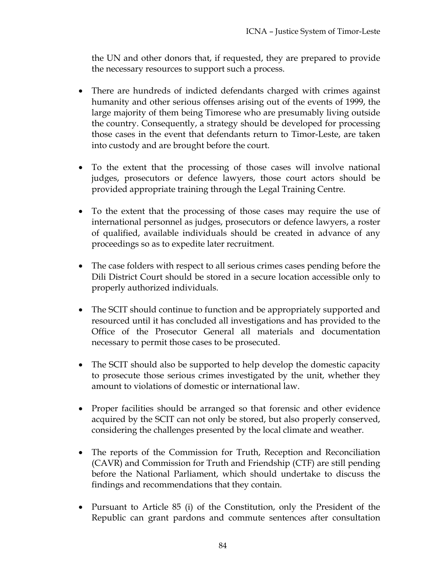the UN and other donors that, if requested, they are prepared to provide the necessary resources to support such a process.

- There are hundreds of indicted defendants charged with crimes against humanity and other serious offenses arising out of the events of 1999, the large majority of them being Timorese who are presumably living outside the country. Consequently, a strategy should be developed for processing those cases in the event that defendants return to Timor-Leste, are taken into custody and are brought before the court.
- To the extent that the processing of those cases will involve national judges, prosecutors or defence lawyers, those court actors should be provided appropriate training through the Legal Training Centre.
- To the extent that the processing of those cases may require the use of international personnel as judges, prosecutors or defence lawyers, a roster of qualified, available individuals should be created in advance of any proceedings so as to expedite later recruitment.
- The case folders with respect to all serious crimes cases pending before the Dili District Court should be stored in a secure location accessible only to properly authorized individuals.
- The SCIT should continue to function and be appropriately supported and resourced until it has concluded all investigations and has provided to the Office of the Prosecutor General all materials and documentation necessary to permit those cases to be prosecuted.
- The SCIT should also be supported to help develop the domestic capacity to prosecute those serious crimes investigated by the unit, whether they amount to violations of domestic or international law.
- Proper facilities should be arranged so that forensic and other evidence acquired by the SCIT can not only be stored, but also properly conserved, considering the challenges presented by the local climate and weather.
- The reports of the Commission for Truth, Reception and Reconciliation (CAVR) and Commission for Truth and Friendship (CTF) are still pending before the National Parliament, which should undertake to discuss the findings and recommendations that they contain.
- Pursuant to Article 85 (i) of the Constitution, only the President of the Republic can grant pardons and commute sentences after consultation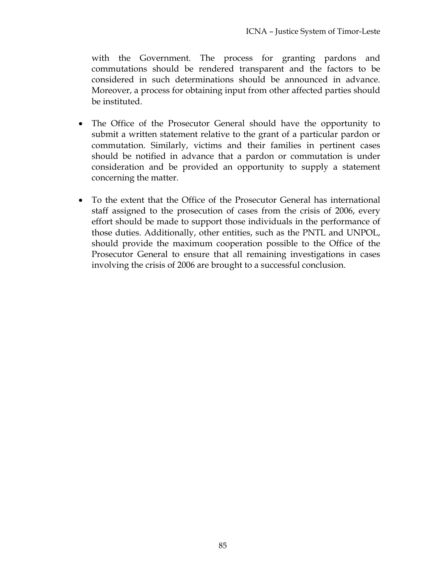with the Government. The process for granting pardons and commutations should be rendered transparent and the factors to be considered in such determinations should be announced in advance. Moreover, a process for obtaining input from other affected parties should be instituted.

- The Office of the Prosecutor General should have the opportunity to submit a written statement relative to the grant of a particular pardon or commutation. Similarly, victims and their families in pertinent cases should be notified in advance that a pardon or commutation is under consideration and be provided an opportunity to supply a statement concerning the matter.
- To the extent that the Office of the Prosecutor General has international staff assigned to the prosecution of cases from the crisis of 2006, every effort should be made to support those individuals in the performance of those duties. Additionally, other entities, such as the PNTL and UNPOL, should provide the maximum cooperation possible to the Office of the Prosecutor General to ensure that all remaining investigations in cases involving the crisis of 2006 are brought to a successful conclusion.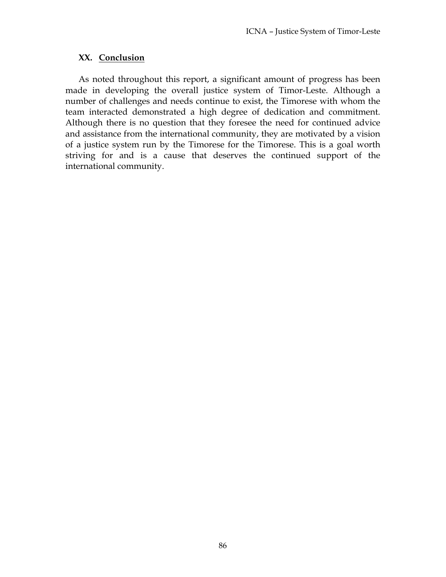#### **XX. Conclusion**

As noted throughout this report, a significant amount of progress has been made in developing the overall justice system of Timor-Leste. Although a number of challenges and needs continue to exist, the Timorese with whom the team interacted demonstrated a high degree of dedication and commitment. Although there is no question that they foresee the need for continued advice and assistance from the international community, they are motivated by a vision of a justice system run by the Timorese for the Timorese. This is a goal worth striving for and is a cause that deserves the continued support of the international community.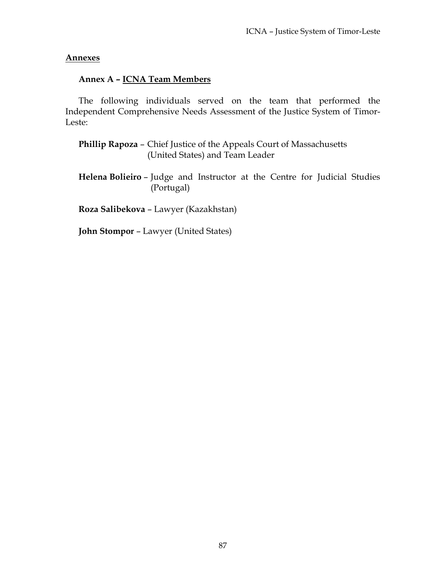#### **Annexes**

#### **Annex A – ICNA Team Members**

The following individuals served on the team that performed the Independent Comprehensive Needs Assessment of the Justice System of Timor-Leste:

**Phillip Rapoza** – Chief Justice of the Appeals Court of Massachusetts (United States) and Team Leader

**Helena Bolieiro** – Judge and Instructor at the Centre for Judicial Studies (Portugal)

**Roza Salibekova** – Lawyer (Kazakhstan)

**John Stompor** – Lawyer (United States)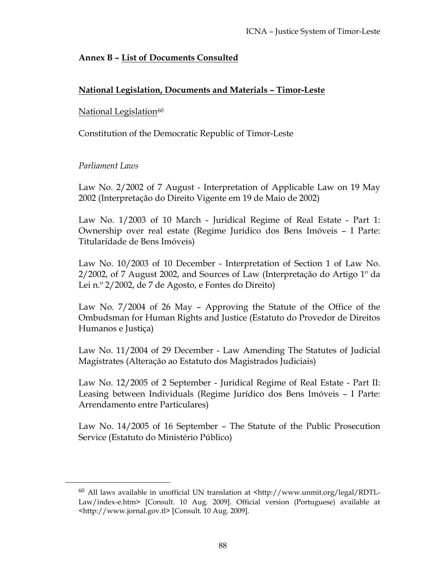# **Annex B – List of Documents Consulted**

# **National Legislation, Documents and Materials – Timor-Leste**

# National Legislation<sup>60</sup>

Constitution of the Democratic Republic of Timor-Leste

# *Parliament Laws*

 $\overline{a}$ 

Law No. 2/2002 of 7 August - Interpretation of Applicable Law on 19 May 2002 (Interpretação do Direito Vigente em 19 de Maio de 2002)

Law No. 1/2003 of 10 March - Juridical Regime of Real Estate - Part 1: Ownership over real estate (Regime Jurídico dos Bens Imóveis – I Parte: Titularidade de Bens Imóveis)

Law No. 10/2003 of 10 December - Interpretation of Section 1 of Law No. 2/2002, of 7 August 2002, and Sources of Law (Interpretação do Artigo 1º da Lei n.º 2/2002, de 7 de Agosto, e Fontes do Direito)

Law No. 7/2004 of 26 May – Approving the Statute of the Office of the Ombudsman for Human Rights and Justice (Estatuto do Provedor de Direitos Humanos e Justiça)

Law No. 11/2004 of 29 December - Law Amending The Statutes of Judicial Magistrates (Alteração ao Estatuto dos Magistrados Judiciais)

Law No. 12/2005 of 2 September - Juridical Regime of Real Estate - Part II: Leasing between Individuals (Regime Jurídico dos Bens Imóveis – I Parte: Arrendamento entre Particulares)

Law No. 14/2005 of 16 September – The Statute of the Public Prosecution Service (Estatuto do Ministério Público)

<sup>60</sup> All laws available in unofficial UN translation at <http://www.unmit.org/legal/RDTL-Law/index-e.htm> [Consult. 10 Aug. 2009]. Official version (Portuguese) available at <http://www.jornal.gov.tl> [Consult. 10 Aug. 2009].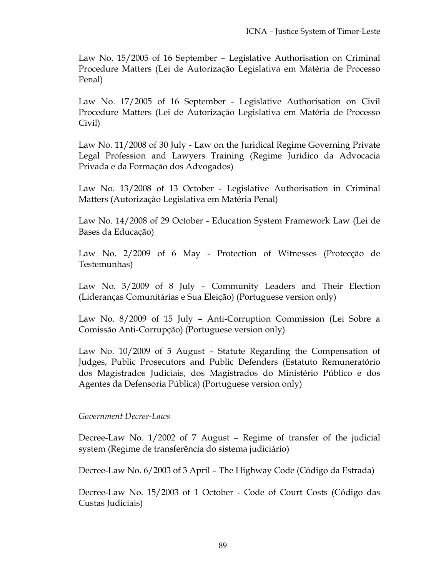Law No. 15/2005 of 16 September – Legislative Authorisation on Criminal Procedure Matters (Lei de Autorização Legislativa em Matéria de Processo Penal)

Law No. 17/2005 of 16 September - Legislative Authorisation on Civil Procedure Matters (Lei de Autorização Legislativa em Matéria de Processo Civil)

Law No. 11/2008 of 30 July - Law on the Juridical Regime Governing Private Legal Profession and Lawyers Training (Regime Jurídico da Advocacia Privada e da Formação dos Advogados)

Law No. 13/2008 of 13 October - Legislative Authorisation in Criminal Matters (Autorização Legislativa em Matéria Penal)

Law No. 14/2008 of 29 October - Education System Framework Law (Lei de Bases da Educação)

Law No. 2/2009 of 6 May - Protection of Witnesses (Protecção de Testemunhas)

Law No. 3/2009 of 8 July – Community Leaders and Their Election (Lideranças Comunitárias e Sua Eleição) (Portuguese version only)

Law No. 8/2009 of 15 July – Anti-Corruption Commission (Lei Sobre a Comissão Anti-Corrupção) (Portuguese version only)

Law No. 10/2009 of 5 August – Statute Regarding the Compensation of Judges, Public Prosecutors and Public Defenders (Estatuto Remuneratório dos Magistrados Judiciais, dos Magistrados do Ministério Público e dos Agentes da Defensoria Pública) (Portuguese version only)

## *Government Decree-Laws*

Decree-Law No. 1/2002 of 7 August – Regime of transfer of the judicial system (Regime de transferência do sistema judiciário)

Decree-Law No. 6/2003 of 3 April – The Highway Code (Código da Estrada)

Decree-Law No. 15/2003 of 1 October - Code of Court Costs (Código das Custas Judiciais)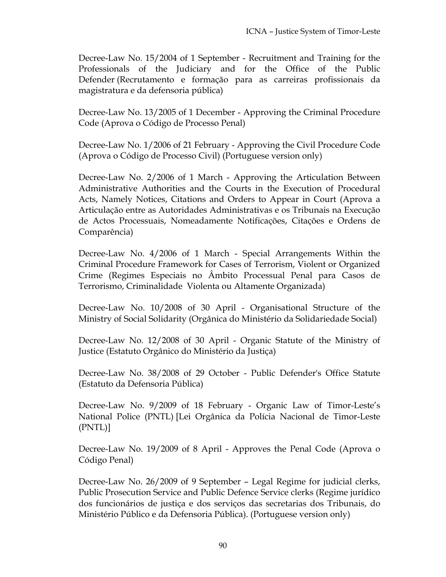Decree-Law No. 15/2004 of 1 September - Recruitment and Training for the Professionals of the Judiciary and for the Office of the Public Defender (Recrutamento e formação para as carreiras profissionais da magistratura e da defensoria pública)

Decree-Law No. 13/2005 of 1 December - Approving the Criminal Procedure Code (Aprova o Código de Processo Penal)

Decree-Law No. 1/2006 of 21 February - Approving the Civil Procedure Code (Aprova o Código de Processo Civil) (Portuguese version only)

Decree-Law No. 2/2006 of 1 March - Approving the Articulation Between Administrative Authorities and the Courts in the Execution of Procedural Acts, Namely Notices, Citations and Orders to Appear in Court (Aprova a Articulação entre as Autoridades Administrativas e os Tribunais na Execução de Actos Processuais, Nomeadamente Notificações, Citações e Ordens de Comparência)

Decree-Law No. 4/2006 of 1 March - Special Arrangements Within the Criminal Procedure Framework for Cases of Terrorism, Violent or Organized Crime (Regimes Especiais no Âmbito Processual Penal para Casos de Terrorismo, Criminalidade Violenta ou Altamente Organizada)

Decree-Law No. 10/2008 of 30 April - Organisational Structure of the Ministry of Social Solidarity (Orgânica do Ministério da Solidariedade Social)

Decree-Law No. 12/2008 of 30 April - Organic Statute of the Ministry of Justice (Estatuto Orgânico do Ministério da Justiça)

Decree-Law No. 38/2008 of 29 October - Public Defender's Office Statute (Estatuto da Defensoria Pública)

Decree-Law No. 9/2009 of 18 February - Organic Law of Timor-Leste's National Police (PNTL) [Lei Orgânica da Polícia Nacional de Timor-Leste (PNTL)]

Decree-Law No. 19/2009 of 8 April - Approves the Penal Code (Aprova o Código Penal)

Decree-Law No. 26/2009 of 9 September – Legal Regime for judicial clerks, Public Prosecution Service and Public Defence Service clerks (Regime jurídico dos funcionários de justiça e dos serviços das secretarias dos Tribunais, do Ministério Público e da Defensoria Pública). (Portuguese version only)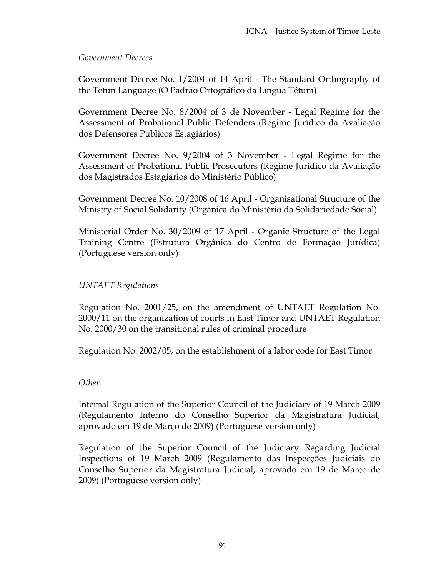## *Government Decrees*

Government Decree No. 1/2004 of 14 April - The Standard Orthography of the Tetun Language (O Padrão Ortográfico da Língua Tétum)

Government Decree No. 8/2004 of 3 de November - Legal Regime for the Assessment of Probational Public Defenders (Regime Jurídico da Avaliação dos Defensores Publicos Estagiários)

Government Decree No. 9/2004 of 3 November - Legal Regime for the Assessment of Probational Public Prosecutors (Regime Jurídico da Avaliação dos Magistrados Estagiários do Ministério Público)

Government Decree No. 10/2008 of 16 April - Organisational Structure of the Ministry of Social Solidarity (Orgânica do Ministério da Solidariedade Social)

Ministerial Order No. 30/2009 of 17 April - Organic Structure of the Legal Training Centre (Estrutura Orgânica do Centro de Formação Jurídica) (Portuguese version only)

## *UNTAET Regulations*

Regulation No. 2001/25, on the amendment of UNTAET Regulation No. 2000/11 on the organization of courts in East Timor and UNTAET Regulation No. 2000/30 on the transitional rules of criminal procedure

Regulation No. 2002/05, on the establishment of a labor code for East Timor

## *Other*

Internal Regulation of the Superior Council of the Judiciary of 19 March 2009 (Regulamento Interno do Conselho Superior da Magistratura Judicial, aprovado em 19 de Março de 2009) (Portuguese version only)

Regulation of the Superior Council of the Judiciary Regarding Judicial Inspections of 19 March 2009 (Regulamento das Inspecções Judiciais do Conselho Superior da Magistratura Judicial, aprovado em 19 de Março de 2009) (Portuguese version only)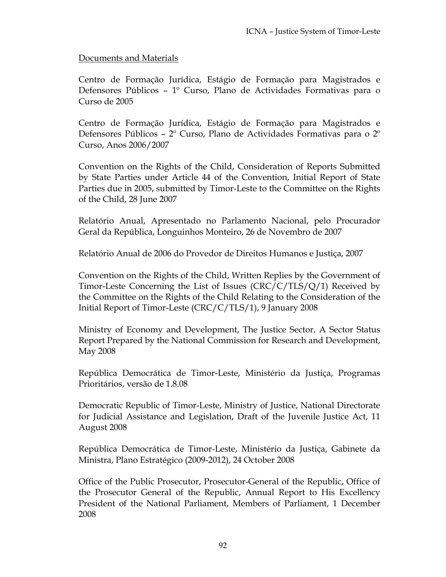## Documents and Materials

Centro de Formação Jurídica, Estágio de Formação para Magistrados e Defensores Públicos – 1º Curso, Plano de Actividades Formativas para o Curso de 2005

Centro de Formação Jurídica, Estágio de Formação para Magistrados e Defensores Públicos – 2º Curso, Plano de Actividades Formativas para o 2º Curso, Anos 2006/2007

Convention on the Rights of the Child, Consideration of Reports Submitted by State Parties under Article 44 of the Convention, Initial Report of State Parties due in 2005, submitted by Timor-Leste to the Committee on the Rights of the Child, 28 June 2007

Relatório Anual, Apresentado no Parlamento Nacional, pelo Procurador Geral da República, Longuinhos Monteiro, 26 de Novembro de 2007

Relatório Anual de 2006 do Provedor de Direitos Humanos e Justiça, 2007

Convention on the Rights of the Child, Written Replies by the Government of Timor-Leste Concerning the List of Issues (CRC/C/TLS/Q/1) Received by the Committee on the Rights of the Child Relating to the Consideration of the Initial Report of Timor-Leste (CRC/C/TLS/1), 9 January 2008

Ministry of Economy and Development, The Justice Sector, A Sector Status Report Prepared by the National Commission for Research and Development, May 2008

República Democrática de Timor-Leste, Ministério da Justiça, Programas Prioritários, versão de 1.8.08

Democratic Republic of Timor-Leste, Ministry of Justice, National Directorate for Judicial Assistance and Legislation, Draft of the Juvenile Justice Act, 11 August 2008

República Democrática de Timor-Leste, Ministério da Justiça, Gabinete da Ministra, Plano Estratégico (2009-2012), 24 October 2008

Office of the Public Prosecutor, Prosecutor-General of the Republic, Office of the Prosecutor General of the Republic, Annual Report to His Excellency President of the National Parliament, Members of Parliament, 1 December 2008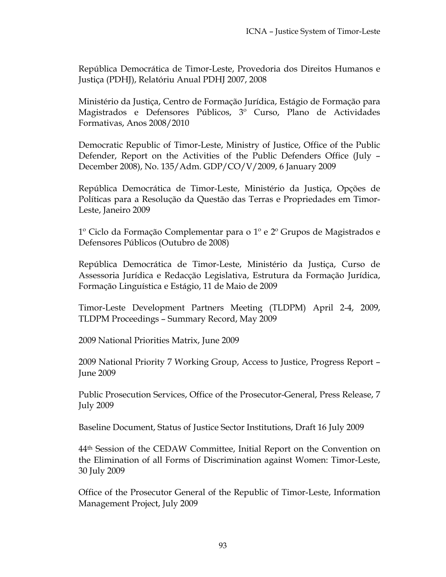República Democrática de Timor-Leste, Provedoria dos Direitos Humanos e Justiça (PDHJ), Relatóriu Anual PDHJ 2007, 2008

Ministério da Justiça, Centro de Formação Jurídica, Estágio de Formação para Magistrados e Defensores Públicos, 3º Curso, Plano de Actividades Formativas, Anos 2008/2010

Democratic Republic of Timor-Leste, Ministry of Justice, Office of the Public Defender, Report on the Activities of the Public Defenders Office (July – December 2008), No. 135/Adm. GDP/CO/V/2009, 6 January 2009

República Democrática de Timor-Leste, Ministério da Justiça, Opções de Políticas para a Resolução da Questão das Terras e Propriedades em Timor-Leste, Janeiro 2009

1º Ciclo da Formação Complementar para o 1º e 2º Grupos de Magistrados e Defensores Públicos (Outubro de 2008)

República Democrática de Timor-Leste, Ministério da Justiça, Curso de Assessoria Jurídica e Redacção Legislativa, Estrutura da Formação Jurídica, Formação Linguística e Estágio, 11 de Maio de 2009

Timor-Leste Development Partners Meeting (TLDPM) April 2-4, 2009, TLDPM Proceedings – Summary Record, May 2009

2009 National Priorities Matrix, June 2009

2009 National Priority 7 Working Group, Access to Justice, Progress Report – June 2009

Public Prosecution Services, Office of the Prosecutor-General, Press Release, 7 July 2009

Baseline Document, Status of Justice Sector Institutions, Draft 16 July 2009

44th Session of the CEDAW Committee, Initial Report on the Convention on the Elimination of all Forms of Discrimination against Women: Timor-Leste, 30 July 2009

Office of the Prosecutor General of the Republic of Timor-Leste, Information Management Project, July 2009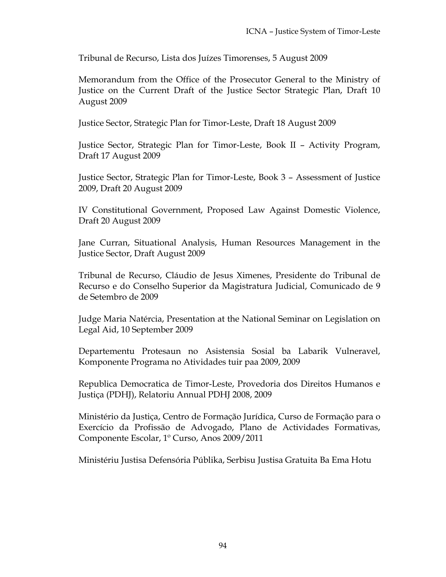Tribunal de Recurso, Lista dos Juízes Timorenses, 5 August 2009

Memorandum from the Office of the Prosecutor General to the Ministry of Justice on the Current Draft of the Justice Sector Strategic Plan, Draft 10 August 2009

Justice Sector, Strategic Plan for Timor-Leste, Draft 18 August 2009

Justice Sector, Strategic Plan for Timor-Leste, Book II – Activity Program, Draft 17 August 2009

Justice Sector, Strategic Plan for Timor-Leste, Book 3 – Assessment of Justice 2009, Draft 20 August 2009

IV Constitutional Government, Proposed Law Against Domestic Violence, Draft 20 August 2009

Jane Curran, Situational Analysis, Human Resources Management in the Justice Sector, Draft August 2009

Tribunal de Recurso, Cláudio de Jesus Ximenes, Presidente do Tribunal de Recurso e do Conselho Superior da Magistratura Judicial, Comunicado de 9 de Setembro de 2009

Judge Maria Natércia, Presentation at the National Seminar on Legislation on Legal Aid, 10 September 2009

Departementu Protesaun no Asistensia Sosial ba Labarik Vulneravel, Komponente Programa no Atividades tuir paa 2009, 2009

Republica Democratica de Timor-Leste, Provedoria dos Direitos Humanos e Justiça (PDHJ), Relatoriu Annual PDHJ 2008, 2009

Ministério da Justiça, Centro de Formação Jurídica, Curso de Formação para o Exercício da Profissão de Advogado, Plano de Actividades Formativas, Componente Escolar, 1º Curso, Anos 2009/2011

Ministériu Justisa Defensória Públika, Serbisu Justisa Gratuita Ba Ema Hotu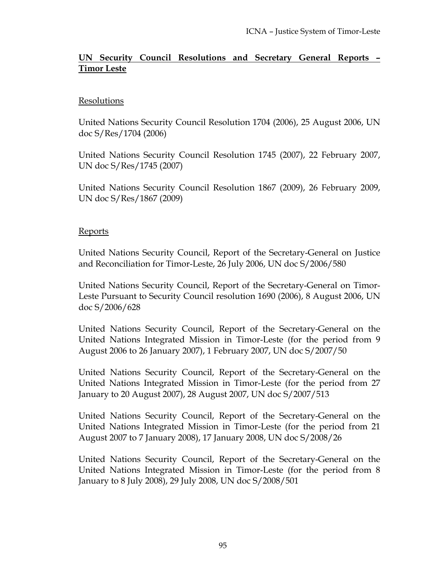# **UN Security Council Resolutions and Secretary General Reports – Timor Leste**

# **Resolutions**

United Nations Security Council Resolution 1704 (2006), 25 August 2006, UN doc S/Res/1704 (2006)

United Nations Security Council Resolution 1745 (2007), 22 February 2007, UN doc S/Res/1745 (2007)

United Nations Security Council Resolution 1867 (2009), 26 February 2009, UN doc S/Res/1867 (2009)

## **Reports**

United Nations Security Council, Report of the Secretary-General on Justice and Reconciliation for Timor-Leste, 26 July 2006, UN doc S/2006/580

United Nations Security Council, Report of the Secretary-General on Timor-Leste Pursuant to Security Council resolution 1690 (2006), 8 August 2006, UN doc S/2006/628

United Nations Security Council, Report of the Secretary-General on the United Nations Integrated Mission in Timor-Leste (for the period from 9 August 2006 to 26 January 2007), 1 February 2007, UN doc S/2007/50

United Nations Security Council, Report of the Secretary-General on the United Nations Integrated Mission in Timor-Leste (for the period from 27 January to 20 August 2007), 28 August 2007, UN doc S/2007/513

United Nations Security Council, Report of the Secretary-General on the United Nations Integrated Mission in Timor-Leste (for the period from 21 August 2007 to 7 January 2008), 17 January 2008, UN doc S/2008/26

United Nations Security Council, Report of the Secretary-General on the United Nations Integrated Mission in Timor-Leste (for the period from 8 January to 8 July 2008), 29 July 2008, UN doc S/2008/501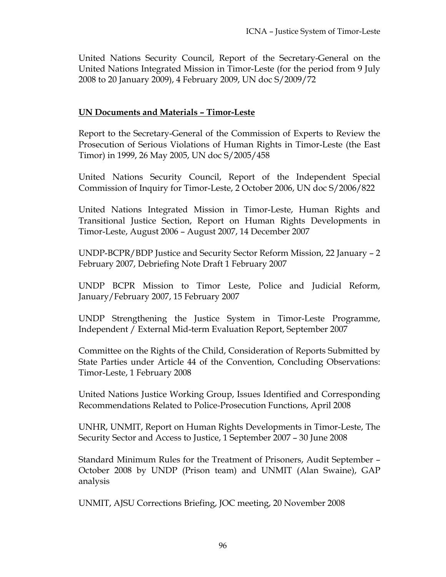United Nations Security Council, Report of the Secretary-General on the United Nations Integrated Mission in Timor-Leste (for the period from 9 July 2008 to 20 January 2009), 4 February 2009, UN doc S/2009/72

# **UN Documents and Materials – Timor-Leste**

Report to the Secretary-General of the Commission of Experts to Review the Prosecution of Serious Violations of Human Rights in Timor-Leste (the East Timor) in 1999, 26 May 2005, UN doc S/2005/458

United Nations Security Council, Report of the Independent Special Commission of Inquiry for Timor-Leste, 2 October 2006, UN doc S/2006/822

United Nations Integrated Mission in Timor-Leste, Human Rights and Transitional Justice Section, Report on Human Rights Developments in Timor-Leste, August 2006 – August 2007, 14 December 2007

UNDP-BCPR/BDP Justice and Security Sector Reform Mission, 22 January – 2 February 2007, Debriefing Note Draft 1 February 2007

UNDP BCPR Mission to Timor Leste, Police and Judicial Reform, January/February 2007, 15 February 2007

UNDP Strengthening the Justice System in Timor-Leste Programme, Independent / External Mid-term Evaluation Report, September 2007

Committee on the Rights of the Child, Consideration of Reports Submitted by State Parties under Article 44 of the Convention, Concluding Observations: Timor-Leste, 1 February 2008

United Nations Justice Working Group, Issues Identified and Corresponding Recommendations Related to Police-Prosecution Functions, April 2008

UNHR, UNMIT, Report on Human Rights Developments in Timor-Leste, The Security Sector and Access to Justice, 1 September 2007 – 30 June 2008

Standard Minimum Rules for the Treatment of Prisoners, Audit September – October 2008 by UNDP (Prison team) and UNMIT (Alan Swaine), GAP analysis

UNMIT, AJSU Corrections Briefing, JOC meeting, 20 November 2008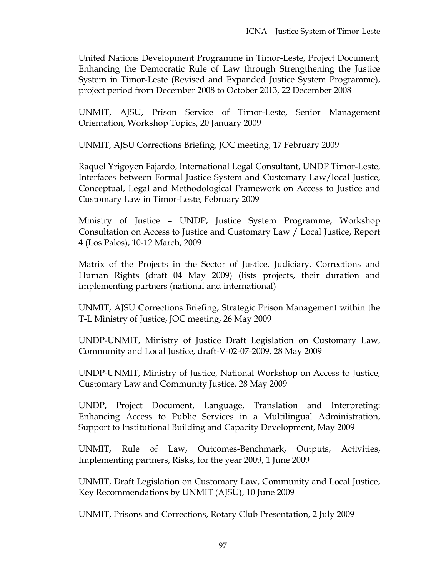United Nations Development Programme in Timor-Leste, Project Document, Enhancing the Democratic Rule of Law through Strengthening the Justice System in Timor-Leste (Revised and Expanded Justice System Programme), project period from December 2008 to October 2013, 22 December 2008

UNMIT, AJSU, Prison Service of Timor-Leste, Senior Management Orientation, Workshop Topics, 20 January 2009

UNMIT, AJSU Corrections Briefing, JOC meeting, 17 February 2009

Raquel Yrigoyen Fajardo, International Legal Consultant, UNDP Timor-Leste, Interfaces between Formal Justice System and Customary Law/local Justice, Conceptual, Legal and Methodological Framework on Access to Justice and Customary Law in Timor-Leste, February 2009

Ministry of Justice – UNDP, Justice System Programme, Workshop Consultation on Access to Justice and Customary Law / Local Justice, Report 4 (Los Palos), 10-12 March, 2009

Matrix of the Projects in the Sector of Justice, Judiciary, Corrections and Human Rights (draft 04 May 2009) (lists projects, their duration and implementing partners (national and international)

UNMIT, AJSU Corrections Briefing, Strategic Prison Management within the T-L Ministry of Justice, JOC meeting, 26 May 2009

UNDP-UNMIT, Ministry of Justice Draft Legislation on Customary Law, Community and Local Justice, draft-V-02-07-2009, 28 May 2009

UNDP-UNMIT, Ministry of Justice, National Workshop on Access to Justice, Customary Law and Community Justice, 28 May 2009

UNDP, Project Document, Language, Translation and Interpreting: Enhancing Access to Public Services in a Multilingual Administration, Support to Institutional Building and Capacity Development, May 2009

UNMIT, Rule of Law, Outcomes-Benchmark, Outputs, Activities, Implementing partners, Risks, for the year 2009, 1 June 2009

UNMIT, Draft Legislation on Customary Law, Community and Local Justice, Key Recommendations by UNMIT (AJSU), 10 June 2009

UNMIT, Prisons and Corrections, Rotary Club Presentation, 2 July 2009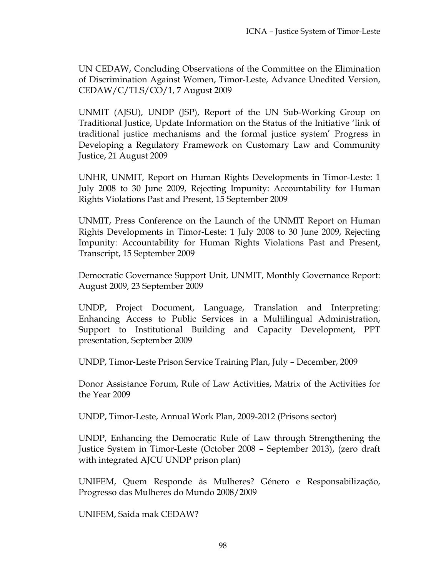UN CEDAW, Concluding Observations of the Committee on the Elimination of Discrimination Against Women, Timor-Leste, Advance Unedited Version, CEDAW/C/TLS/CO/1, 7 August 2009

UNMIT (AJSU), UNDP (JSP), Report of the UN Sub-Working Group on Traditional Justice, Update Information on the Status of the Initiative 'link of traditional justice mechanisms and the formal justice system' Progress in Developing a Regulatory Framework on Customary Law and Community Justice, 21 August 2009

UNHR, UNMIT, Report on Human Rights Developments in Timor-Leste: 1 July 2008 to 30 June 2009, Rejecting Impunity: Accountability for Human Rights Violations Past and Present, 15 September 2009

UNMIT, Press Conference on the Launch of the UNMIT Report on Human Rights Developments in Timor-Leste: 1 July 2008 to 30 June 2009, Rejecting Impunity: Accountability for Human Rights Violations Past and Present, Transcript, 15 September 2009

Democratic Governance Support Unit, UNMIT, Monthly Governance Report: August 2009, 23 September 2009

UNDP, Project Document, Language, Translation and Interpreting: Enhancing Access to Public Services in a Multilingual Administration, Support to Institutional Building and Capacity Development, PPT presentation, September 2009

UNDP, Timor-Leste Prison Service Training Plan, July – December, 2009

Donor Assistance Forum, Rule of Law Activities, Matrix of the Activities for the Year 2009

UNDP, Timor-Leste, Annual Work Plan, 2009-2012 (Prisons sector)

UNDP, Enhancing the Democratic Rule of Law through Strengthening the Justice System in Timor-Leste (October 2008 – September 2013), (zero draft with integrated AJCU UNDP prison plan)

UNIFEM, Quem Responde às Mulheres? Género e Responsabilização, Progresso das Mulheres do Mundo 2008/2009

UNIFEM, Saida mak CEDAW?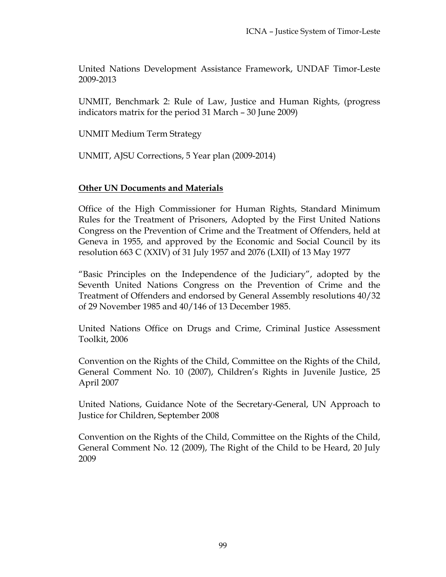United Nations Development Assistance Framework, UNDAF Timor-Leste 2009-2013

UNMIT, Benchmark 2: Rule of Law, Justice and Human Rights, (progress indicators matrix for the period 31 March – 30 June 2009)

UNMIT Medium Term Strategy

UNMIT, AJSU Corrections, 5 Year plan (2009-2014)

## **Other UN Documents and Materials**

Office of the High Commissioner for Human Rights, Standard Minimum Rules for the Treatment of Prisoners, Adopted by the First United Nations Congress on the Prevention of Crime and the Treatment of Offenders, held at Geneva in 1955, and approved by the Economic and Social Council by its resolution 663 C (XXIV) of 31 July 1957 and 2076 (LXII) of 13 May 1977

"Basic Principles on the Independence of the Judiciary", adopted by the Seventh United Nations Congress on the Prevention of Crime and the Treatment of Offenders and endorsed by General Assembly resolutions 40/32 of 29 November 1985 and 40/146 of 13 December 1985.

United Nations Office on Drugs and Crime, Criminal Justice Assessment Toolkit, 2006

Convention on the Rights of the Child, Committee on the Rights of the Child, General Comment No. 10 (2007), Children's Rights in Juvenile Justice, 25 April 2007

United Nations, Guidance Note of the Secretary-General, UN Approach to Justice for Children, September 2008

Convention on the Rights of the Child, Committee on the Rights of the Child, General Comment No. 12 (2009), The Right of the Child to be Heard, 20 July 2009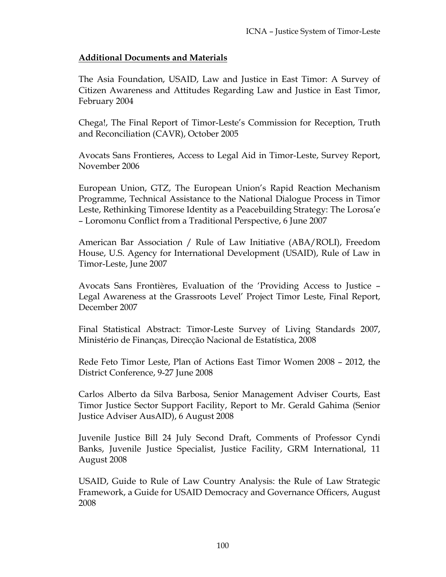## **Additional Documents and Materials**

The Asia Foundation, USAID, Law and Justice in East Timor: A Survey of Citizen Awareness and Attitudes Regarding Law and Justice in East Timor, February 2004

Chega!, The Final Report of Timor-Leste's Commission for Reception, Truth and Reconciliation (CAVR), October 2005

Avocats Sans Frontieres, Access to Legal Aid in Timor-Leste, Survey Report, November 2006

European Union, GTZ, The European Union's Rapid Reaction Mechanism Programme, Technical Assistance to the National Dialogue Process in Timor Leste, Rethinking Timorese Identity as a Peacebuilding Strategy: The Lorosa'e – Loromonu Conflict from a Traditional Perspective, 6 June 2007

American Bar Association / Rule of Law Initiative (ABA/ROLI), Freedom House, U.S. Agency for International Development (USAID), Rule of Law in Timor-Leste, June 2007

Avocats Sans Frontières, Evaluation of the 'Providing Access to Justice – Legal Awareness at the Grassroots Level' Project Timor Leste, Final Report, December 2007

Final Statistical Abstract: Timor-Leste Survey of Living Standards 2007, Ministério de Finanças, Direcção Nacional de Estatística, 2008

Rede Feto Timor Leste, Plan of Actions East Timor Women 2008 – 2012, the District Conference, 9-27 June 2008

Carlos Alberto da Silva Barbosa, Senior Management Adviser Courts, East Timor Justice Sector Support Facility, Report to Mr. Gerald Gahima (Senior Justice Adviser AusAID), 6 August 2008

Juvenile Justice Bill 24 July Second Draft, Comments of Professor Cyndi Banks, Juvenile Justice Specialist, Justice Facility, GRM International, 11 August 2008

USAID, Guide to Rule of Law Country Analysis: the Rule of Law Strategic Framework, a Guide for USAID Democracy and Governance Officers, August 2008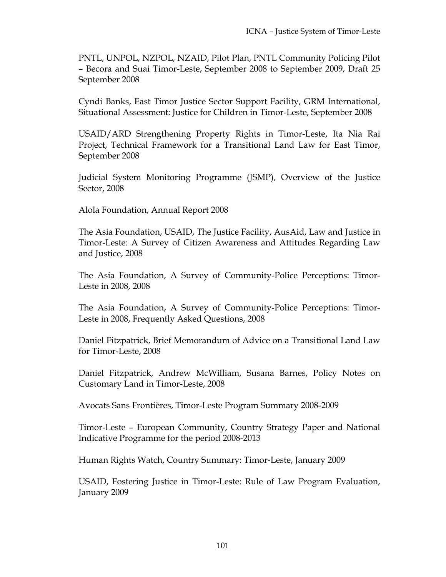PNTL, UNPOL, NZPOL, NZAID, Pilot Plan, PNTL Community Policing Pilot – Becora and Suai Timor-Leste, September 2008 to September 2009, Draft 25 September 2008

Cyndi Banks, East Timor Justice Sector Support Facility, GRM International, Situational Assessment: Justice for Children in Timor-Leste, September 2008

USAID/ARD Strengthening Property Rights in Timor-Leste, Ita Nia Rai Project, Technical Framework for a Transitional Land Law for East Timor, September 2008

Judicial System Monitoring Programme (JSMP), Overview of the Justice Sector, 2008

Alola Foundation, Annual Report 2008

The Asia Foundation, USAID, The Justice Facility, AusAid, Law and Justice in Timor-Leste: A Survey of Citizen Awareness and Attitudes Regarding Law and Justice, 2008

The Asia Foundation, A Survey of Community-Police Perceptions: Timor-Leste in 2008, 2008

The Asia Foundation, A Survey of Community-Police Perceptions: Timor-Leste in 2008, Frequently Asked Questions, 2008

Daniel Fitzpatrick, Brief Memorandum of Advice on a Transitional Land Law for Timor-Leste, 2008

Daniel Fitzpatrick, Andrew McWilliam, Susana Barnes, Policy Notes on Customary Land in Timor-Leste, 2008

Avocats Sans Frontières, Timor-Leste Program Summary 2008-2009

Timor-Leste – European Community, Country Strategy Paper and National Indicative Programme for the period 2008-2013

Human Rights Watch, Country Summary: Timor-Leste, January 2009

USAID, Fostering Justice in Timor-Leste: Rule of Law Program Evaluation, January 2009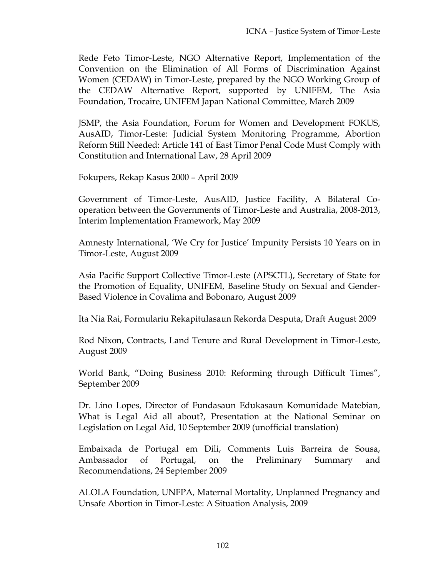Rede Feto Timor-Leste, NGO Alternative Report, Implementation of the Convention on the Elimination of All Forms of Discrimination Against Women (CEDAW) in Timor-Leste, prepared by the NGO Working Group of the CEDAW Alternative Report, supported by UNIFEM, The Asia Foundation, Trocaire, UNIFEM Japan National Committee, March 2009

JSMP, the Asia Foundation, Forum for Women and Development FOKUS, AusAID, Timor-Leste: Judicial System Monitoring Programme, Abortion Reform Still Needed: Article 141 of East Timor Penal Code Must Comply with Constitution and International Law, 28 April 2009

Fokupers, Rekap Kasus 2000 – April 2009

Government of Timor-Leste, AusAID, Justice Facility, A Bilateral Cooperation between the Governments of Timor-Leste and Australia, 2008-2013, Interim Implementation Framework, May 2009

Amnesty International, 'We Cry for Justice' Impunity Persists 10 Years on in Timor-Leste, August 2009

Asia Pacific Support Collective Timor-Leste (APSCTL), Secretary of State for the Promotion of Equality, UNIFEM, Baseline Study on Sexual and Gender-Based Violence in Covalima and Bobonaro, August 2009

Ita Nia Rai, Formulariu Rekapitulasaun Rekorda Desputa, Draft August 2009

Rod Nixon, Contracts, Land Tenure and Rural Development in Timor-Leste, August 2009

World Bank, "Doing Business 2010: Reforming through Difficult Times", September 2009

Dr. Lino Lopes, Director of Fundasaun Edukasaun Komunidade Matebian, What is Legal Aid all about?, Presentation at the National Seminar on Legislation on Legal Aid, 10 September 2009 (unofficial translation)

Embaixada de Portugal em Dili, Comments Luis Barreira de Sousa, Ambassador of Portugal, on the Preliminary Summary and Recommendations, 24 September 2009

ALOLA Foundation, UNFPA, Maternal Mortality, Unplanned Pregnancy and Unsafe Abortion in Timor-Leste: A Situation Analysis, 2009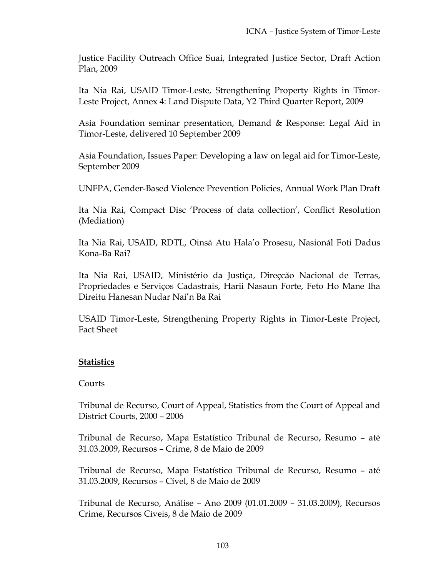Justice Facility Outreach Office Suai, Integrated Justice Sector, Draft Action Plan, 2009

Ita Nia Rai, USAID Timor-Leste, Strengthening Property Rights in Timor-Leste Project, Annex 4: Land Dispute Data, Y2 Third Quarter Report, 2009

Asia Foundation seminar presentation, Demand & Response: Legal Aid in Timor-Leste, delivered 10 September 2009

Asia Foundation, Issues Paper: Developing a law on legal aid for Timor-Leste, September 2009

UNFPA, Gender-Based Violence Prevention Policies, Annual Work Plan Draft

Ita Nia Rai, Compact Disc 'Process of data collection', Conflict Resolution (Mediation)

Ita Nia Rai, USAID, RDTL, Oinsá Atu Hala'o Prosesu, Nasionál Foti Dadus Kona-Ba Rai?

Ita Nia Rai, USAID, Ministério da Justiça, Direçcão Nacional de Terras, Propriedades e Serviços Cadastrais, Harii Nasaun Forte, Feto Ho Mane Iha Direitu Hanesan Nudar Nai'n Ba Rai

USAID Timor-Leste, Strengthening Property Rights in Timor-Leste Project, Fact Sheet

# **Statistics**

## Courts

Tribunal de Recurso, Court of Appeal, Statistics from the Court of Appeal and District Courts, 2000 – 2006

Tribunal de Recurso, Mapa Estatístico Tribunal de Recurso, Resumo – até 31.03.2009, Recursos – Crime, 8 de Maio de 2009

Tribunal de Recurso, Mapa Estatístico Tribunal de Recurso, Resumo – até 31.03.2009, Recursos – Cível, 8 de Maio de 2009

Tribunal de Recurso, Análise – Ano 2009 (01.01.2009 – 31.03.2009), Recursos Crime, Recursos Cíveis, 8 de Maio de 2009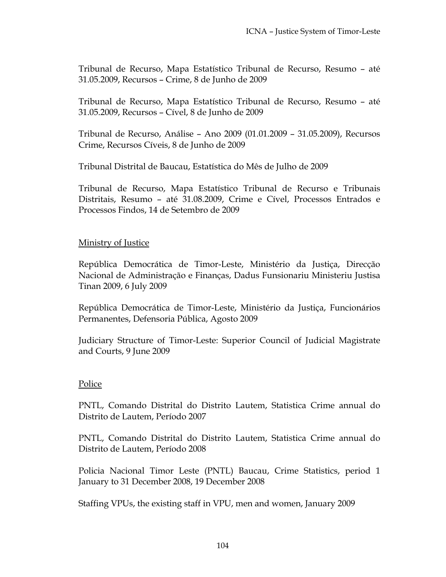Tribunal de Recurso, Mapa Estatístico Tribunal de Recurso, Resumo – até 31.05.2009, Recursos – Crime, 8 de Junho de 2009

Tribunal de Recurso, Mapa Estatístico Tribunal de Recurso, Resumo – até 31.05.2009, Recursos – Cível, 8 de Junho de 2009

Tribunal de Recurso, Análise – Ano 2009 (01.01.2009 – 31.05.2009), Recursos Crime, Recursos Cíveis, 8 de Junho de 2009

Tribunal Distrital de Baucau, Estatística do Mês de Julho de 2009

Tribunal de Recurso, Mapa Estatístico Tribunal de Recurso e Tribunais Distritais, Resumo – até 31.08.2009, Crime e Cível, Processos Entrados e Processos Findos, 14 de Setembro de 2009

## **Ministry of Justice**

República Democrática de Timor-Leste, Ministério da Justiça, Direcção Nacional de Administração e Finanças, Dadus Funsionariu Ministeriu Justisa Tinan 2009, 6 July 2009

República Democrática de Timor-Leste, Ministério da Justiça, Funcionários Permanentes, Defensoria Pública, Agosto 2009

Judiciary Structure of Timor-Leste: Superior Council of Judicial Magistrate and Courts, 9 June 2009

## Police

PNTL, Comando Distrital do Distrito Lautem, Statistica Crime annual do Distrito de Lautem, Período 2007

PNTL, Comando Distrital do Distrito Lautem, Statistica Crime annual do Distrito de Lautem, Período 2008

Policia Nacional Timor Leste (PNTL) Baucau, Crime Statistics, period 1 January to 31 December 2008, 19 December 2008

Staffing VPUs, the existing staff in VPU, men and women, January 2009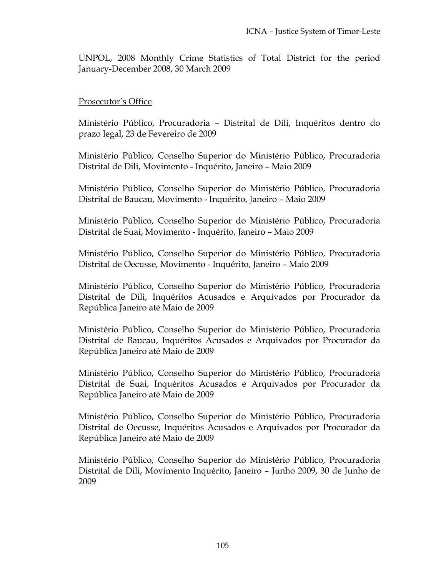UNPOL, 2008 Monthly Crime Statistics of Total District for the period January-December 2008, 30 March 2009

## Prosecutor's Office

Ministério Público, Procuradoria – Distrital de Dili, Inquéritos dentro do prazo legal, 23 de Fevereiro de 2009

Ministério Público, Conselho Superior do Ministério Público, Procuradoria Distrital de Dili, Movimento - Inquérito, Janeiro – Maio 2009

Ministério Público, Conselho Superior do Ministério Público, Procuradoria Distrital de Baucau, Movimento - Inquérito, Janeiro – Maio 2009

Ministério Público, Conselho Superior do Ministério Público, Procuradoria Distrital de Suai, Movimento - Inquérito, Janeiro – Maio 2009

Ministério Público, Conselho Superior do Ministério Público, Procuradoria Distrital de Oecusse, Movimento - Inquérito, Janeiro – Maio 2009

Ministério Público, Conselho Superior do Ministério Público, Procuradoria Distrital de Dili, Inquéritos Acusados e Arquivados por Procurador da República Janeiro até Maio de 2009

Ministério Público, Conselho Superior do Ministério Público, Procuradoria Distrital de Baucau, Inquéritos Acusados e Arquivados por Procurador da República Janeiro até Maio de 2009

Ministério Público, Conselho Superior do Ministério Público, Procuradoria Distrital de Suai, Inquéritos Acusados e Arquivados por Procurador da República Janeiro até Maio de 2009

Ministério Público, Conselho Superior do Ministério Público, Procuradoria Distrital de Oecusse, Inquéritos Acusados e Arquivados por Procurador da República Janeiro até Maio de 2009

Ministério Público, Conselho Superior do Ministério Público, Procuradoria Distrital de Dili, Movimento Inquérito, Janeiro – Junho 2009, 30 de Junho de 2009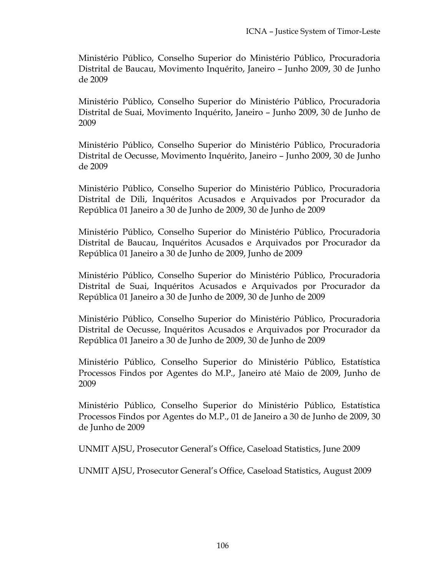Ministério Público, Conselho Superior do Ministério Público, Procuradoria Distrital de Baucau, Movimento Inquérito, Janeiro – Junho 2009, 30 de Junho de 2009

Ministério Público, Conselho Superior do Ministério Público, Procuradoria Distrital de Suai, Movimento Inquérito, Janeiro – Junho 2009, 30 de Junho de 2009

Ministério Público, Conselho Superior do Ministério Público, Procuradoria Distrital de Oecusse, Movimento Inquérito, Janeiro – Junho 2009, 30 de Junho de 2009

Ministério Público, Conselho Superior do Ministério Público, Procuradoria Distrital de Dili, Inquéritos Acusados e Arquivados por Procurador da República 01 Janeiro a 30 de Junho de 2009, 30 de Junho de 2009

Ministério Público, Conselho Superior do Ministério Público, Procuradoria Distrital de Baucau, Inquéritos Acusados e Arquivados por Procurador da República 01 Janeiro a 30 de Junho de 2009, Junho de 2009

Ministério Público, Conselho Superior do Ministério Público, Procuradoria Distrital de Suai, Inquéritos Acusados e Arquivados por Procurador da República 01 Janeiro a 30 de Junho de 2009, 30 de Junho de 2009

Ministério Público, Conselho Superior do Ministério Público, Procuradoria Distrital de Oecusse, Inquéritos Acusados e Arquivados por Procurador da República 01 Janeiro a 30 de Junho de 2009, 30 de Junho de 2009

Ministério Público, Conselho Superior do Ministério Público, Estatística Processos Findos por Agentes do M.P., Janeiro até Maio de 2009, Junho de 2009

Ministério Público, Conselho Superior do Ministério Público, Estatística Processos Findos por Agentes do M.P., 01 de Janeiro a 30 de Junho de 2009, 30 de Junho de 2009

UNMIT AJSU, Prosecutor General's Office, Caseload Statistics, June 2009

UNMIT AJSU, Prosecutor General's Office, Caseload Statistics, August 2009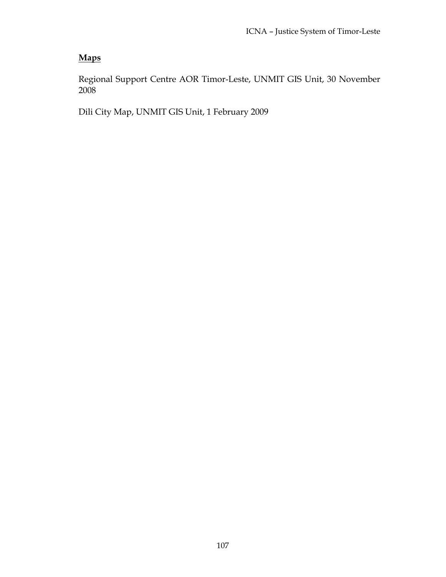# **Maps**

Regional Support Centre AOR Timor-Leste, UNMIT GIS Unit, 30 November 2008

Dili City Map, UNMIT GIS Unit, 1 February 2009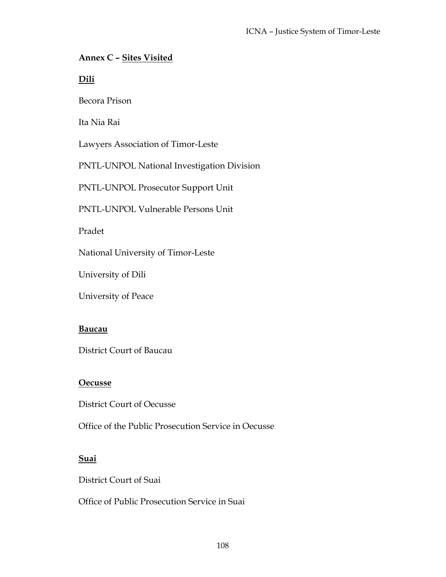## **Annex C – Sites Visited**

**Dili**

Becora Prison

Ita Nia Rai

Lawyers Association of Timor-Leste

PNTL-UNPOL National Investigation Division

PNTL-UNPOL Prosecutor Support Unit

PNTL-UNPOL Vulnerable Persons Unit

Pradet

National University of Timor-Leste

University of Dili

University of Peace

#### **Baucau**

District Court of Baucau

#### **Oecusse**

District Court of Oecusse

Office of the Public Prosecution Service in Oecusse

## **Suai**

District Court of Suai

Office of Public Prosecution Service in Suai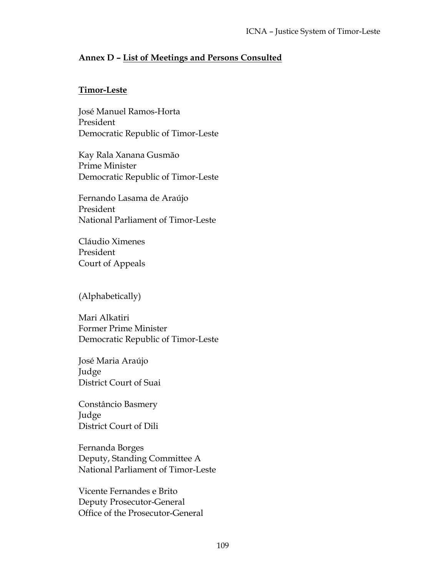## **Annex D – List of Meetings and Persons Consulted**

## **Timor-Leste**

José Manuel Ramos-Horta President Democratic Republic of Timor-Leste

Kay Rala Xanana Gusmão Prime Minister Democratic Republic of Timor-Leste

Fernando Lasama de Araújo President National Parliament of Timor-Leste

Cláudio Ximenes President Court of Appeals

(Alphabetically)

Mari Alkatiri Former Prime Minister Democratic Republic of Timor-Leste

José Maria Araújo Judge District Court of Suai

Constâncio Basmery Judge District Court of Dili

Fernanda Borges Deputy, Standing Committee A National Parliament of Timor-Leste

Vicente Fernandes e Brito Deputy Prosecutor-General Office of the Prosecutor-General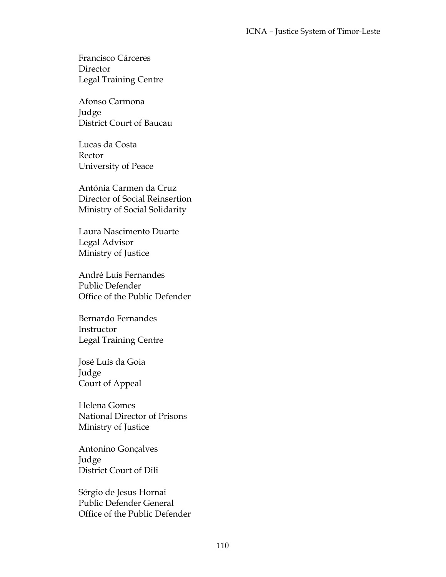Francisco Cárceres **Director** Legal Training Centre

Afonso Carmona Judge District Court of Baucau

Lucas da Costa Rector University of Peace

Antónia Carmen da Cruz Director of Social Reinsertion Ministry of Social Solidarity

Laura Nascimento Duarte Legal Advisor Ministry of Justice

André Luís Fernandes Public Defender Office of the Public Defender

Bernardo Fernandes **Instructor** Legal Training Centre

José Luís da Goia Judge Court of Appeal

Helena Gomes National Director of Prisons Ministry of Justice

Antonino Gonçalves Judge District Court of Dili

Sérgio de Jesus Hornai Public Defender General Office of the Public Defender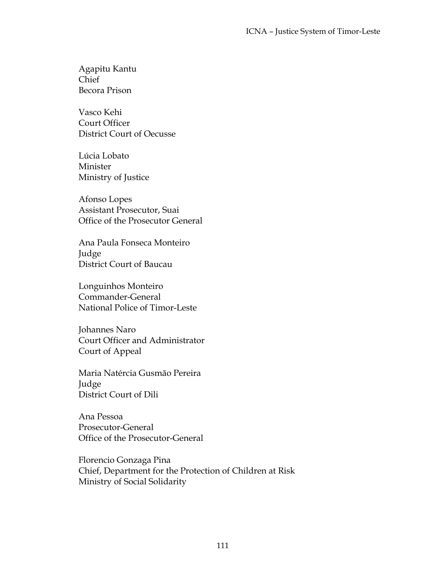Agapitu Kantu Chief Becora Prison

Vasco Kehi Court Officer District Court of Oecusse

Lúcia Lobato Minister Ministry of Justice

Afonso Lopes Assistant Prosecutor, Suai Office of the Prosecutor General

Ana Paula Fonseca Monteiro Judge District Court of Baucau

Longuinhos Monteiro Commander-General National Police of Timor-Leste

Johannes Naro Court Officer and Administrator Court of Appeal

Maria Natércia Gusmão Pereira Judge District Court of Dili

Ana Pessoa Prosecutor-General Office of the Prosecutor-General

Florencio Gonzaga Pina Chief, Department for the Protection of Children at Risk Ministry of Social Solidarity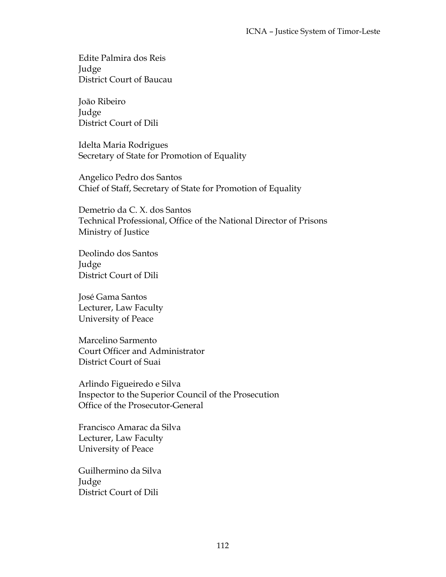Edite Palmira dos Reis Judge District Court of Baucau

João Ribeiro Judge District Court of Dili

Idelta Maria Rodrigues Secretary of State for Promotion of Equality

Angelico Pedro dos Santos Chief of Staff, Secretary of State for Promotion of Equality

Demetrio da C. X. dos Santos Technical Professional, Office of the National Director of Prisons Ministry of Justice

Deolindo dos Santos Judge District Court of Dili

José Gama Santos Lecturer, Law Faculty University of Peace

Marcelino Sarmento Court Officer and Administrator District Court of Suai

Arlindo Figueiredo e Silva Inspector to the Superior Council of the Prosecution Office of the Prosecutor-General

Francisco Amarac da Silva Lecturer, Law Faculty University of Peace

Guilhermino da Silva Judge District Court of Dili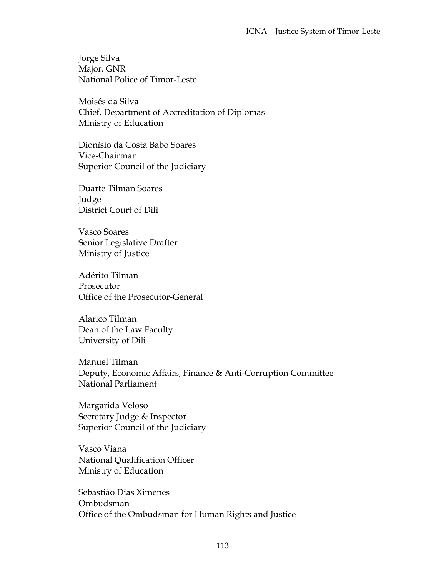Jorge Silva Major, GNR National Police of Timor-Leste

Moisés da Silva Chief, Department of Accreditation of Diplomas Ministry of Education

Dionísio da Costa Babo Soares Vice-Chairman Superior Council of the Judiciary

Duarte Tilman Soares Judge District Court of Dili

Vasco Soares Senior Legislative Drafter Ministry of Justice

Adérito Tilman Prosecutor Office of the Prosecutor-General

Alarico Tilman Dean of the Law Faculty University of Dili

Manuel Tilman Deputy, Economic Affairs, Finance & Anti-Corruption Committee National Parliament

Margarida Veloso Secretary Judge & Inspector Superior Council of the Judiciary

Vasco Viana National Qualification Officer Ministry of Education

Sebastião Dias Ximenes Ombudsman Office of the Ombudsman for Human Rights and Justice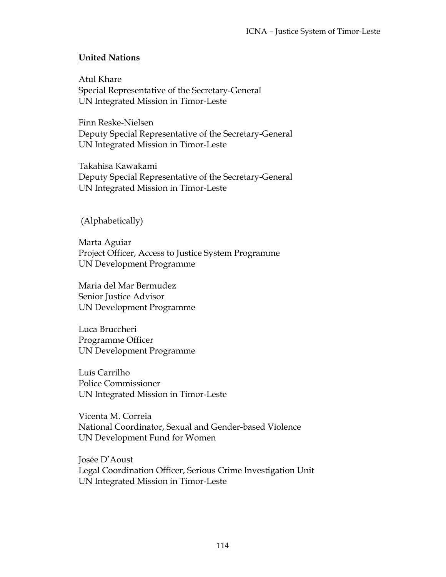# **United Nations**

Atul Khare Special Representative of the Secretary-General UN Integrated Mission in Timor-Leste

Finn Reske-Nielsen Deputy Special Representative of the Secretary-General UN Integrated Mission in Timor-Leste

Takahisa Kawakami Deputy Special Representative of the Secretary-General UN Integrated Mission in Timor-Leste

(Alphabetically)

Marta Aguiar Project Officer, Access to Justice System Programme UN Development Programme

Maria del Mar Bermudez Senior Justice Advisor UN Development Programme

Luca Bruccheri Programme Officer UN Development Programme

Luís Carrilho Police Commissioner UN Integrated Mission in Timor-Leste

Vicenta M. Correia National Coordinator, Sexual and Gender-based Violence UN Development Fund for Women

Josée D'Aoust Legal Coordination Officer, Serious Crime Investigation Unit UN Integrated Mission in Timor-Leste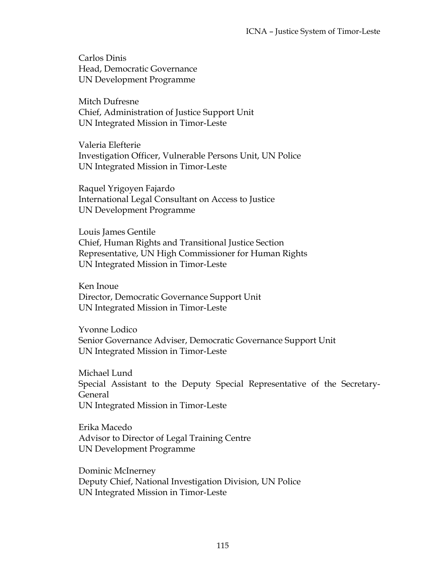Carlos Dinis Head, Democratic Governance UN Development Programme

Mitch Dufresne Chief, Administration of Justice Support Unit UN Integrated Mission in Timor-Leste

Valeria Elefterie Investigation Officer, Vulnerable Persons Unit, UN Police UN Integrated Mission in Timor-Leste

Raquel Yrigoyen Fajardo International Legal Consultant on Access to Justice UN Development Programme

Louis James Gentile Chief, Human Rights and Transitional Justice Section Representative, UN High Commissioner for Human Rights UN Integrated Mission in Timor-Leste

Ken Inoue Director, Democratic Governance Support Unit UN Integrated Mission in Timor-Leste

Yvonne Lodico Senior Governance Adviser, Democratic Governance Support Unit UN Integrated Mission in Timor-Leste

Michael Lund Special Assistant to the Deputy Special Representative of the Secretary-General UN Integrated Mission in Timor-Leste

Erika Macedo Advisor to Director of Legal Training Centre UN Development Programme

Dominic McInerney Deputy Chief, National Investigation Division, UN Police UN Integrated Mission in Timor-Leste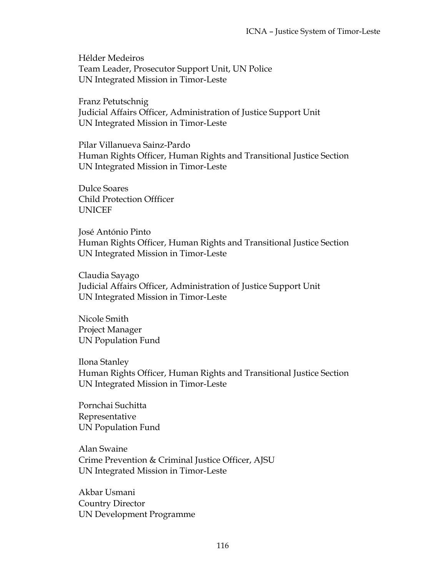Hélder Medeiros Team Leader, Prosecutor Support Unit, UN Police UN Integrated Mission in Timor-Leste

Franz Petutschnig Judicial Affairs Officer, Administration of Justice Support Unit UN Integrated Mission in Timor-Leste

Pilar Villanueva Sainz-Pardo Human Rights Officer, Human Rights and Transitional Justice Section UN Integrated Mission in Timor-Leste

Dulce Soares Child Protection Offficer UNICEF

José António Pinto Human Rights Officer, Human Rights and Transitional Justice Section UN Integrated Mission in Timor-Leste

Claudia Sayago Judicial Affairs Officer, Administration of Justice Support Unit UN Integrated Mission in Timor-Leste

Nicole Smith Project Manager UN Population Fund

Ilona Stanley Human Rights Officer, Human Rights and Transitional Justice Section UN Integrated Mission in Timor-Leste

Pornchai Suchitta Representative UN Population Fund

Alan Swaine Crime Prevention & Criminal Justice Officer, AJSU UN Integrated Mission in Timor-Leste

Akbar Usmani Country Director UN Development Programme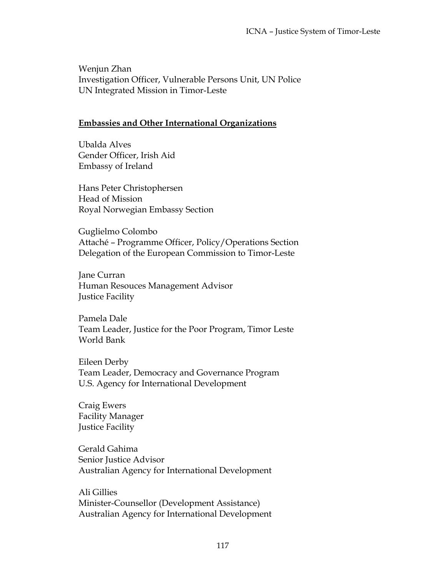Wenjun Zhan Investigation Officer, Vulnerable Persons Unit, UN Police UN Integrated Mission in Timor-Leste

#### **Embassies and Other International Organizations**

Ubalda Alves Gender Officer, Irish Aid Embassy of Ireland

Hans Peter Christophersen Head of Mission Royal Norwegian Embassy Section

Guglielmo Colombo Attaché – Programme Officer, Policy/Operations Section Delegation of the European Commission to Timor-Leste

Jane Curran Human Resouces Management Advisor Justice Facility

Pamela Dale Team Leader, Justice for the Poor Program, Timor Leste World Bank

Eileen Derby Team Leader, Democracy and Governance Program U.S. Agency for International Development

Craig Ewers Facility Manager Justice Facility

Gerald Gahima Senior Justice Advisor Australian Agency for International Development

Ali Gillies Minister-Counsellor (Development Assistance) Australian Agency for International Development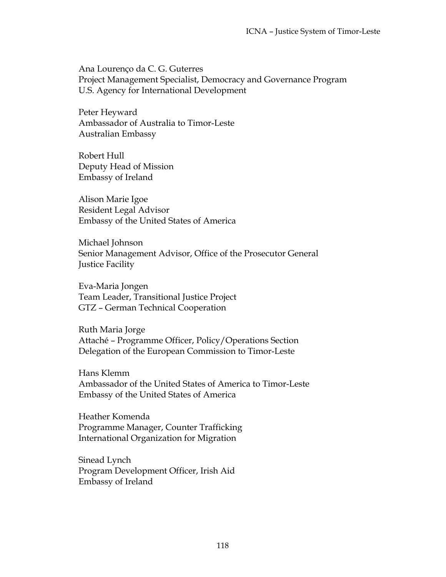Ana Lourenço da C. G. Guterres Project Management Specialist, Democracy and Governance Program U.S. Agency for International Development

Peter Heyward Ambassador of Australia to Timor-Leste Australian Embassy

Robert Hull Deputy Head of Mission Embassy of Ireland

Alison Marie Igoe Resident Legal Advisor Embassy of the United States of America

Michael Johnson Senior Management Advisor, Office of the Prosecutor General Justice Facility

Eva-Maria Jongen Team Leader, Transitional Justice Project GTZ – German Technical Cooperation

Ruth Maria Jorge Attaché – Programme Officer, Policy/Operations Section Delegation of the European Commission to Timor-Leste

Hans Klemm Ambassador of the United States of America to Timor-Leste Embassy of the United States of America

Heather Komenda Programme Manager, Counter Trafficking International Organization for Migration

Sinead Lynch Program Development Officer, Irish Aid Embassy of Ireland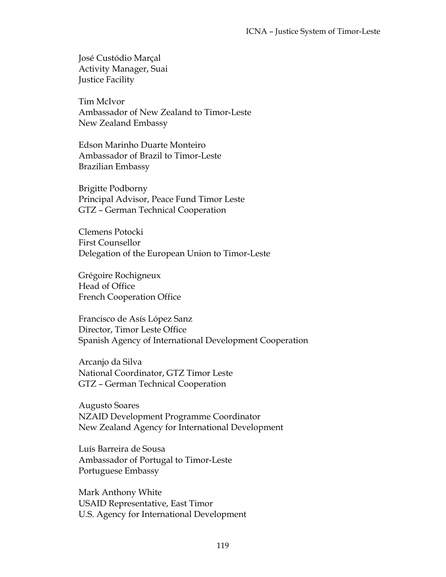José Custódio Marçal Activity Manager, Suai Justice Facility

Tim McIvor Ambassador of New Zealand to Timor-Leste New Zealand Embassy

Edson Marinho Duarte Monteiro Ambassador of Brazil to Timor-Leste Brazilian Embassy

Brigitte Podborny Principal Advisor, Peace Fund Timor Leste GTZ – German Technical Cooperation

Clemens Potocki First Counsellor Delegation of the European Union to Timor-Leste

Grégoire Rochigneux Head of Office French Cooperation Office

Francisco de Asís López Sanz Director, Timor Leste Office Spanish Agency of International Development Cooperation

Arcanjo da Silva National Coordinator, GTZ Timor Leste GTZ – German Technical Cooperation

Augusto Soares NZAID Development Programme Coordinator New Zealand Agency for International Development

Luís Barreira de Sousa Ambassador of Portugal to Timor-Leste Portuguese Embassy

Mark Anthony White USAID Representative, East Timor U.S. Agency for International Development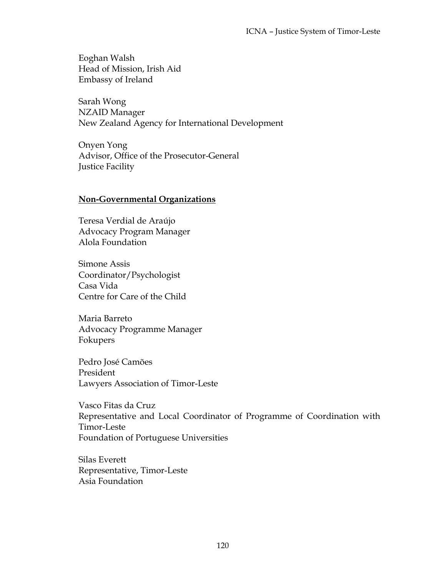Eoghan Walsh Head of Mission, Irish Aid Embassy of Ireland

Sarah Wong NZAID Manager New Zealand Agency for International Development

Onyen Yong Advisor, Office of the Prosecutor-General Justice Facility

### **Non-Governmental Organizations**

Teresa Verdial de Araújo Advocacy Program Manager Alola Foundation

Simone Assis Coordinator/Psychologist Casa Vida Centre for Care of the Child

Maria Barreto Advocacy Programme Manager Fokupers

Pedro José Camões President Lawyers Association of Timor-Leste

Vasco Fitas da Cruz Representative and Local Coordinator of Programme of Coordination with Timor-Leste Foundation of Portuguese Universities

Silas Everett Representative, Timor-Leste Asia Foundation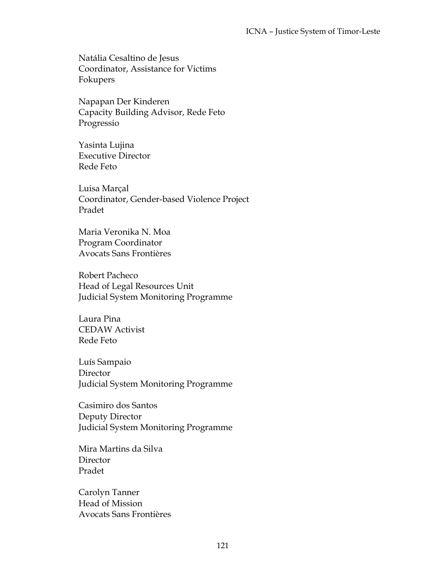Natália Cesaltino de Jesus Coordinator, Assistance for Victims Fokupers

Napapan Der Kinderen Capacity Building Advisor, Rede Feto Progressio

Yasinta Lujina Executive Director Rede Feto

Luisa Marçal Coordinator, Gender-based Violence Project Pradet

Maria Veronika N. Moa Program Coordinator Avocats Sans Frontières

Robert Pacheco Head of Legal Resources Unit Judicial System Monitoring Programme

Laura Pina CEDAW Activist Rede Feto

Luís Sampaio **Director** Judicial System Monitoring Programme

Casimiro dos Santos Deputy Director Judicial System Monitoring Programme

Mira Martins da Silva **Director** Pradet

Carolyn Tanner Head of Mission Avocats Sans Frontières